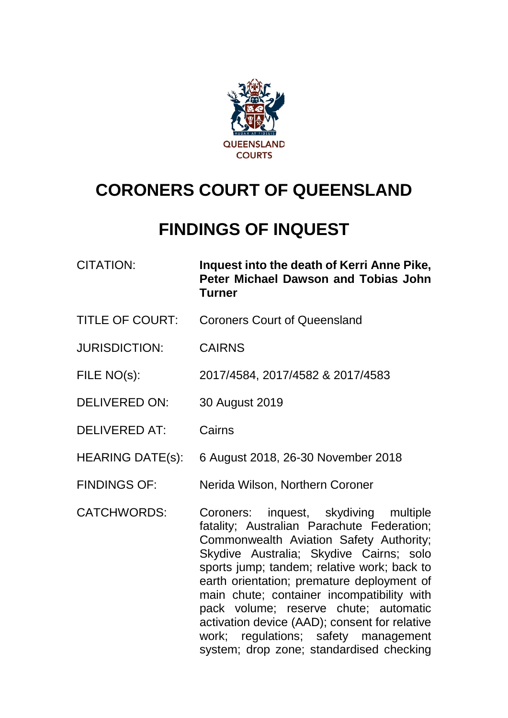

# **CORONERS COURT OF QUEENSLAND**

# **FINDINGS OF INQUEST**

| CITATION: | Inquest into the death of Kerri Anne Pike, |
|-----------|--------------------------------------------|
|           | Peter Michael Dawson and Tobias John       |
|           | <b>Turner</b>                              |

- TITLE OF COURT: Coroners Court of Queensland
- JURISDICTION: CAIRNS
- FILE NO(s): 2017/4584, 2017/4582 & 2017/4583
- DELIVERED ON: 30 August 2019
- DELIVERED AT: Cairns
- HEARING DATE(s): 6 August 2018, 26-30 November 2018
- FINDINGS OF: Nerida Wilson, Northern Coroner

CATCHWORDS: Coroners: inquest, skydiving multiple fatality; Australian Parachute Federation; Commonwealth Aviation Safety Authority; Skydive Australia; Skydive Cairns; solo sports jump; tandem; relative work; back to earth orientation; premature deployment of main chute; container incompatibility with pack volume; reserve chute; automatic activation device (AAD); consent for relative work; regulations; safety management system; drop zone; standardised checking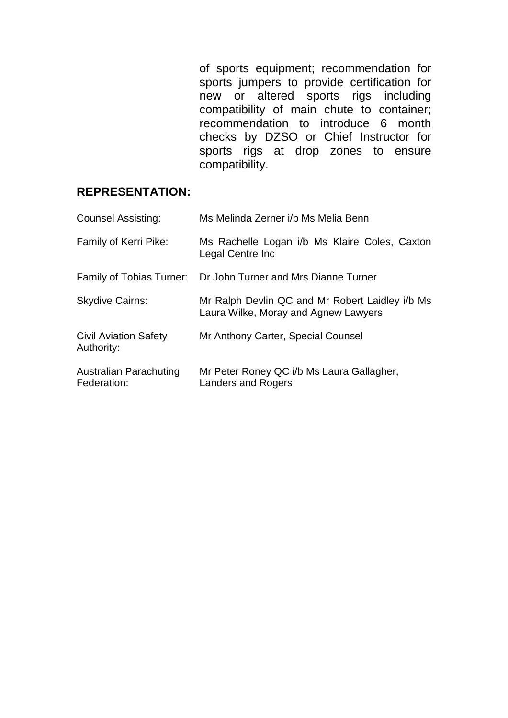of sports equipment; recommendation for sports jumpers to provide certification for new or altered sports rigs including compatibility of main chute to container; recommendation to introduce 6 month checks by DZSO or Chief Instructor for sports rigs at drop zones to ensure compatibility.

## **REPRESENTATION:**

| <b>Counsel Assisting:</b>                  | Ms Melinda Zerner i/b Ms Melia Benn                                                     |
|--------------------------------------------|-----------------------------------------------------------------------------------------|
| Family of Kerri Pike:                      | Ms Rachelle Logan i/b Ms Klaire Coles, Caxton<br>Legal Centre Inc                       |
| Family of Tobias Turner:                   | Dr John Turner and Mrs Dianne Turner                                                    |
| <b>Skydive Cairns:</b>                     | Mr Ralph Devlin QC and Mr Robert Laidley i/b Ms<br>Laura Wilke, Moray and Agnew Lawyers |
| <b>Civil Aviation Safety</b><br>Authority: | Mr Anthony Carter, Special Counsel                                                      |
| Australian Parachuting<br>Federation:      | Mr Peter Roney QC i/b Ms Laura Gallagher,<br><b>Landers and Rogers</b>                  |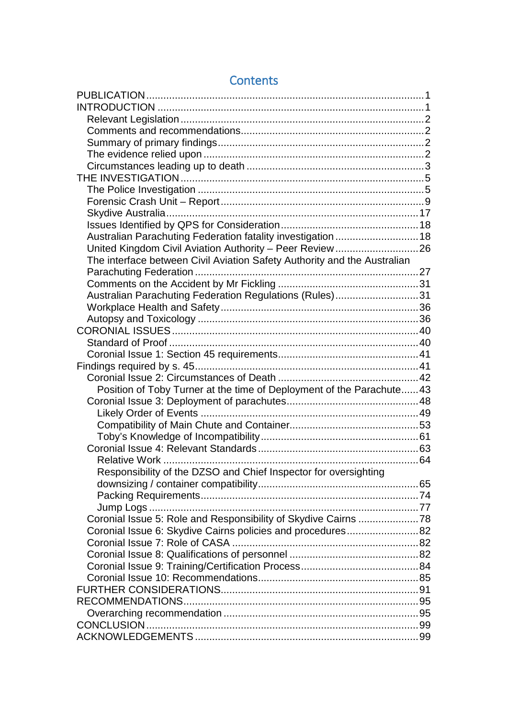| Australian Parachuting Federation fatality investigation  18             |  |
|--------------------------------------------------------------------------|--|
|                                                                          |  |
| The interface between Civil Aviation Safety Authority and the Australian |  |
|                                                                          |  |
|                                                                          |  |
| Australian Parachuting Federation Regulations (Rules)31                  |  |
|                                                                          |  |
|                                                                          |  |
|                                                                          |  |
|                                                                          |  |
|                                                                          |  |
|                                                                          |  |
|                                                                          |  |
| Position of Toby Turner at the time of Deployment of the Parachute 43    |  |
|                                                                          |  |
|                                                                          |  |
|                                                                          |  |
|                                                                          |  |
|                                                                          |  |
|                                                                          |  |
| Responsibility of the DZSO and Chief Inspector for oversighting          |  |
|                                                                          |  |
|                                                                          |  |
|                                                                          |  |
| Coronial Issue 5: Role and Responsibility of Skydive Cairns 78           |  |
| Coronial Issue 6: Skydive Cairns policies and procedures82               |  |
|                                                                          |  |
|                                                                          |  |
|                                                                          |  |
|                                                                          |  |
|                                                                          |  |
|                                                                          |  |
|                                                                          |  |
|                                                                          |  |
|                                                                          |  |
|                                                                          |  |

## **Contents**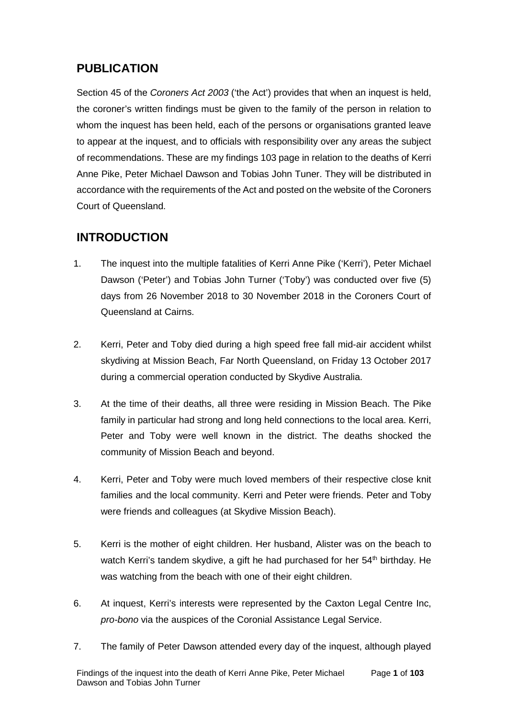## <span id="page-3-0"></span>**PUBLICATION**

Section 45 of the *Coroners Act 2003* ('the Act') provides that when an inquest is held, the coroner's written findings must be given to the family of the person in relation to whom the inquest has been held, each of the persons or organisations granted leave to appear at the inquest, and to officials with responsibility over any areas the subject of recommendations. These are my findings 103 page in relation to the deaths of Kerri Anne Pike, Peter Michael Dawson and Tobias John Tuner. They will be distributed in accordance with the requirements of the Act and posted on the website of the Coroners Court of Queensland.

## <span id="page-3-1"></span>**INTRODUCTION**

- 1. The inquest into the multiple fatalities of Kerri Anne Pike ('Kerri'), Peter Michael Dawson ('Peter') and Tobias John Turner ('Toby') was conducted over five (5) days from 26 November 2018 to 30 November 2018 in the Coroners Court of Queensland at Cairns.
- 2. Kerri, Peter and Toby died during a high speed free fall mid-air accident whilst skydiving at Mission Beach, Far North Queensland, on Friday 13 October 2017 during a commercial operation conducted by Skydive Australia.
- 3. At the time of their deaths, all three were residing in Mission Beach. The Pike family in particular had strong and long held connections to the local area. Kerri, Peter and Toby were well known in the district. The deaths shocked the community of Mission Beach and beyond.
- 4. Kerri, Peter and Toby were much loved members of their respective close knit families and the local community. Kerri and Peter were friends. Peter and Toby were friends and colleagues (at Skydive Mission Beach).
- 5. Kerri is the mother of eight children. Her husband, Alister was on the beach to watch Kerri's tandem skydive, a gift he had purchased for her 54<sup>th</sup> birthday. He was watching from the beach with one of their eight children.
- 6. At inquest, Kerri's interests were represented by the Caxton Legal Centre Inc, *pro-bono* via the auspices of the Coronial Assistance Legal Service.
- 7. The family of Peter Dawson attended every day of the inquest, although played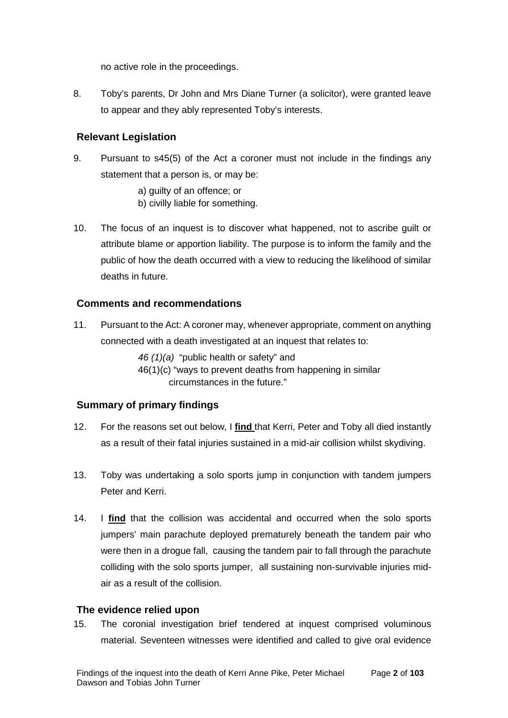no active role in the proceedings.

8. Toby's parents, Dr John and Mrs Diane Turner (a solicitor), were granted leave to appear and they ably represented Toby's interests.

## <span id="page-4-0"></span>**Relevant Legislation**

- 9. Pursuant to s45(5) of the Act a coroner must not include in the findings any statement that a person is, or may be:
	- a) guilty of an offence; or
	- b) civilly liable for something.
- 10. The focus of an inquest is to discover what happened, not to ascribe guilt or attribute blame or apportion liability. The purpose is to inform the family and the public of how the death occurred with a view to reducing the likelihood of similar deaths in future.

## <span id="page-4-1"></span>**Comments and recommendations**

11. Pursuant to the Act: A coroner may, whenever appropriate, comment on anything connected with a death investigated at an inquest that relates to:

*46 (1)(a)* "public health or safety" and

46(1)(c) "ways to prevent deaths from happening in similar circumstances in the future."

## <span id="page-4-2"></span>**Summary of primary findings**

- 12. For the reasons set out below, I **find** that Kerri, Peter and Toby all died instantly as a result of their fatal injuries sustained in a mid-air collision whilst skydiving.
- 13. Toby was undertaking a solo sports jump in conjunction with tandem jumpers Peter and Kerri.
- 14. I **find** that the collision was accidental and occurred when the solo sports jumpers' main parachute deployed prematurely beneath the tandem pair who were then in a drogue fall, causing the tandem pair to fall through the parachute colliding with the solo sports jumper, all sustaining non-survivable injuries midair as a result of the collision.

### <span id="page-4-3"></span>**The evidence relied upon**

15. The coronial investigation brief tendered at inquest comprised voluminous material. Seventeen witnesses were identified and called to give oral evidence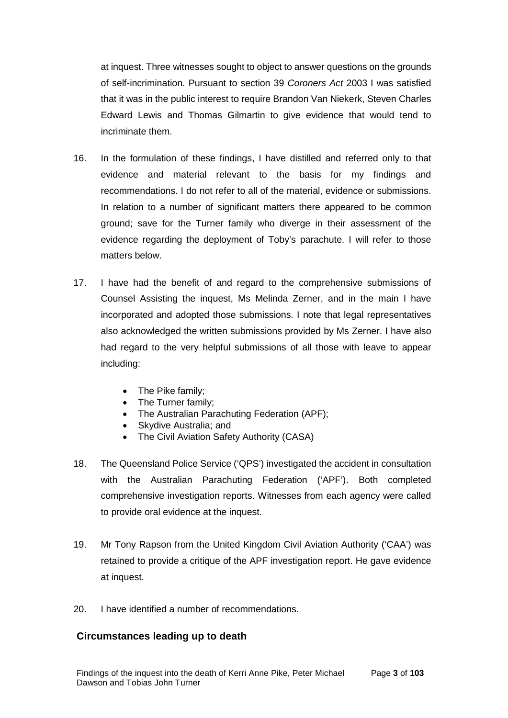at inquest. Three witnesses sought to object to answer questions on the grounds of self-incrimination. Pursuant to section 39 *Coroners Act* 2003 I was satisfied that it was in the public interest to require Brandon Van Niekerk, Steven Charles Edward Lewis and Thomas Gilmartin to give evidence that would tend to incriminate them.

- 16. In the formulation of these findings, I have distilled and referred only to that evidence and material relevant to the basis for my findings and recommendations. I do not refer to all of the material, evidence or submissions. In relation to a number of significant matters there appeared to be common ground; save for the Turner family who diverge in their assessment of the evidence regarding the deployment of Toby's parachute. I will refer to those matters below.
- 17. I have had the benefit of and regard to the comprehensive submissions of Counsel Assisting the inquest, Ms Melinda Zerner, and in the main I have incorporated and adopted those submissions. I note that legal representatives also acknowledged the written submissions provided by Ms Zerner. I have also had regard to the very helpful submissions of all those with leave to appear including:
	- The Pike family;
	- The Turner family;
	- The Australian Parachuting Federation (APF);
	- Skydive Australia; and
	- The Civil Aviation Safety Authority (CASA)
- 18. The Queensland Police Service ('QPS') investigated the accident in consultation with the Australian Parachuting Federation ('APF'). Both completed comprehensive investigation reports. Witnesses from each agency were called to provide oral evidence at the inquest.
- 19. Mr Tony Rapson from the United Kingdom Civil Aviation Authority ('CAA') was retained to provide a critique of the APF investigation report. He gave evidence at inquest.
- 20. I have identified a number of recommendations.

### <span id="page-5-0"></span>**Circumstances leading up to death**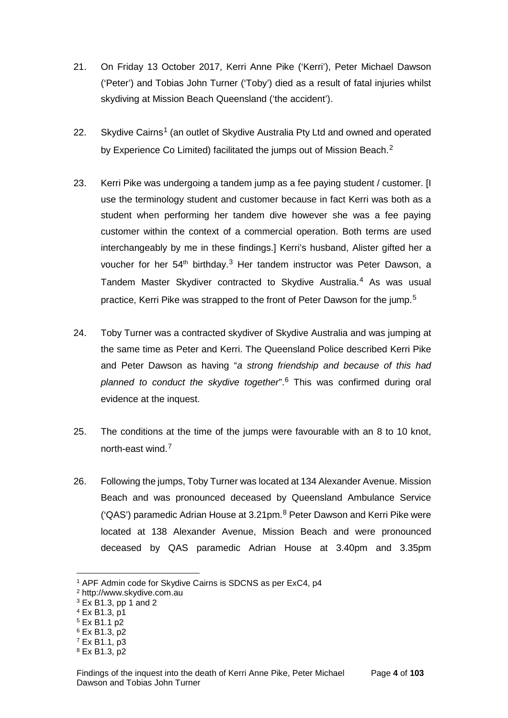- 21. On Friday 13 October 2017, Kerri Anne Pike ('Kerri'), Peter Michael Dawson ('Peter') and Tobias John Turner ('Toby') died as a result of fatal injuries whilst skydiving at Mission Beach Queensland ('the accident').
- 22. Skydive Cairns<sup>[1](#page-6-0)</sup> (an outlet of Skydive Australia Pty Ltd and owned and operated by Experience Co Limited) facilitated the jumps out of Mission Beach.<sup>[2](#page-6-1)</sup>
- 23. Kerri Pike was undergoing a tandem jump as a fee paying student / customer. [I use the terminology student and customer because in fact Kerri was both as a student when performing her tandem dive however she was a fee paying customer within the context of a commercial operation. Both terms are used interchangeably by me in these findings.] Kerri's husband, Alister gifted her a voucher for her 54<sup>th</sup> birthday.<sup>[3](#page-6-2)</sup> Her tandem instructor was Peter Dawson, a Tandem Master Skydiver contracted to Skydive Australia.[4](#page-6-3) As was usual practice, Kerri Pike was strapped to the front of Peter Dawson for the jump.[5](#page-6-4)
- 24. Toby Turner was a contracted skydiver of Skydive Australia and was jumping at the same time as Peter and Kerri. The Queensland Police described Kerri Pike and Peter Dawson as having "*a strong friendship and because of this had planned to conduct the skydive together*".[6](#page-6-5) This was confirmed during oral evidence at the inquest.
- 25. The conditions at the time of the jumps were favourable with an 8 to 10 knot, north-east wind.[7](#page-6-6)
- 26. Following the jumps, Toby Turner was located at 134 Alexander Avenue. Mission Beach and was pronounced deceased by Queensland Ambulance Service ('QAS') paramedic Adrian House at 3.21pm. $8$  Peter Dawson and Kerri Pike were located at 138 Alexander Avenue, Mission Beach and were pronounced deceased by QAS paramedic Adrian House at 3.40pm and 3.35pm

<span id="page-6-0"></span><sup>1</sup> APF Admin code for Skydive Cairns is SDCNS as per ExC4, p4

<span id="page-6-1"></span><sup>2</sup> http://www.skydive.com.au

<span id="page-6-2"></span> $3$  Ex B1.3, pp 1 and 2

<span id="page-6-3"></span><sup>4</sup> Ex B1.3, p1

<span id="page-6-4"></span> $5$  Ex B<sub>1.1</sub> p<sub>2</sub>

<span id="page-6-5"></span><sup>6</sup> Ex B1.3, p2

<span id="page-6-6"></span><sup>7</sup> Ex B1.1, p3

<span id="page-6-7"></span><sup>8</sup> Ex B1.3, p2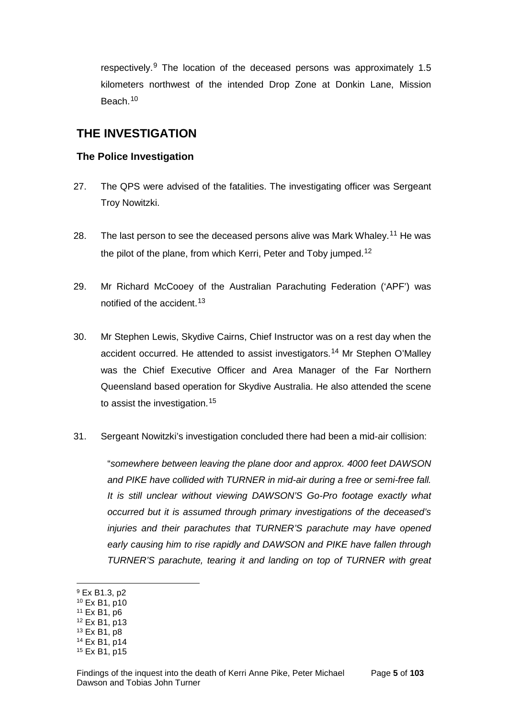respectively.<sup>[9](#page-7-2)</sup> The location of the deceased persons was approximately 1.5 kilometers northwest of the intended Drop Zone at Donkin Lane, Mission Beach.[10](#page-7-3)

## <span id="page-7-0"></span>**THE INVESTIGATION**

## <span id="page-7-1"></span>**The Police Investigation**

- 27. The QPS were advised of the fatalities. The investigating officer was Sergeant Troy Nowitzki.
- 28. The last person to see the deceased persons alive was Mark Whaley.<sup>[11](#page-7-4)</sup> He was the pilot of the plane, from which Kerri, Peter and Toby jumped.[12](#page-7-5)
- 29. Mr Richard McCooey of the Australian Parachuting Federation ('APF') was notified of the accident.[13](#page-7-6)
- 30. Mr Stephen Lewis, Skydive Cairns, Chief Instructor was on a rest day when the accident occurred. He attended to assist investigators.[14](#page-7-7) Mr Stephen O'Malley was the Chief Executive Officer and Area Manager of the Far Northern Queensland based operation for Skydive Australia. He also attended the scene to assist the investigation.<sup>[15](#page-7-8)</sup>
- 31. Sergeant Nowitzki's investigation concluded there had been a mid-air collision:

"*somewhere between leaving the plane door and approx. 4000 feet DAWSON and PIKE have collided with TURNER in mid-air during a free or semi-free fall. It is still unclear without viewing DAWSON'S Go-Pro footage exactly what occurred but it is assumed through primary investigations of the deceased's injuries and their parachutes that TURNER'S parachute may have opened early causing him to rise rapidly and DAWSON and PIKE have fallen through TURNER'S parachute, tearing it and landing on top of TURNER with great* 

<span id="page-7-2"></span><sup>9</sup> Ex B1.3, p2

<span id="page-7-3"></span><sup>10</sup> Ex B1, p10

<span id="page-7-4"></span><sup>11</sup> Ex B1, p6

<span id="page-7-5"></span><sup>12</sup> Ex B1, p13

<span id="page-7-6"></span><sup>13</sup> Ex B1, p8

<span id="page-7-7"></span><sup>14</sup> Ex B1, p14

<span id="page-7-8"></span><sup>15</sup> Ex B1, p15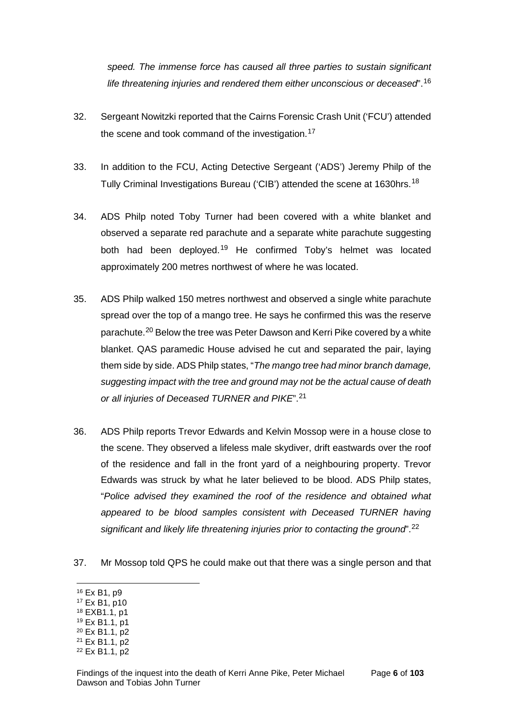*speed. The immense force has caused all three parties to sustain significant life threatening injuries and rendered them either unconscious or deceased*".[16](#page-8-0)

- 32. Sergeant Nowitzki reported that the Cairns Forensic Crash Unit ('FCU') attended the scene and took command of the investigation.<sup>[17](#page-8-1)</sup>
- 33. In addition to the FCU, Acting Detective Sergeant ('ADS') Jeremy Philp of the Tully Criminal Investigations Bureau ('CIB') attended the scene at 1630hrs.<sup>[18](#page-8-2)</sup>
- 34. ADS Philp noted Toby Turner had been covered with a white blanket and observed a separate red parachute and a separate white parachute suggesting both had been deployed.[19](#page-8-3) He confirmed Toby's helmet was located approximately 200 metres northwest of where he was located.
- 35. ADS Philp walked 150 metres northwest and observed a single white parachute spread over the top of a mango tree. He says he confirmed this was the reserve parachute.<sup>[20](#page-8-4)</sup> Below the tree was Peter Dawson and Kerri Pike covered by a white blanket. QAS paramedic House advised he cut and separated the pair, laying them side by side. ADS Philp states, "*The mango tree had minor branch damage, suggesting impact with the tree and ground may not be the actual cause of death or all injuries of Deceased TURNER and PIKE*".[21](#page-8-5)
- 36. ADS Philp reports Trevor Edwards and Kelvin Mossop were in a house close to the scene. They observed a lifeless male skydiver, drift eastwards over the roof of the residence and fall in the front yard of a neighbouring property. Trevor Edwards was struck by what he later believed to be blood. ADS Philp states, "*Police advised they examined the roof of the residence and obtained what appeared to be blood samples consistent with Deceased TURNER having significant and likely life threatening injuries prior to contacting the ground*".[22](#page-8-6)
- 37. Mr Mossop told QPS he could make out that there was a single person and that
- <span id="page-8-0"></span><sup>16</sup> Ex B1, p9

- <span id="page-8-1"></span><sup>17</sup> Ex B1, p10
- <span id="page-8-2"></span><sup>18</sup> EXB1.1, p1
- <span id="page-8-3"></span><sup>19</sup> Ex B1.1, p1
- <span id="page-8-4"></span><sup>20</sup> Ex B1.1, p2
- <span id="page-8-5"></span><sup>21</sup> Ex B1.1, p2

<span id="page-8-6"></span><sup>22</sup> Ex B1.1, p2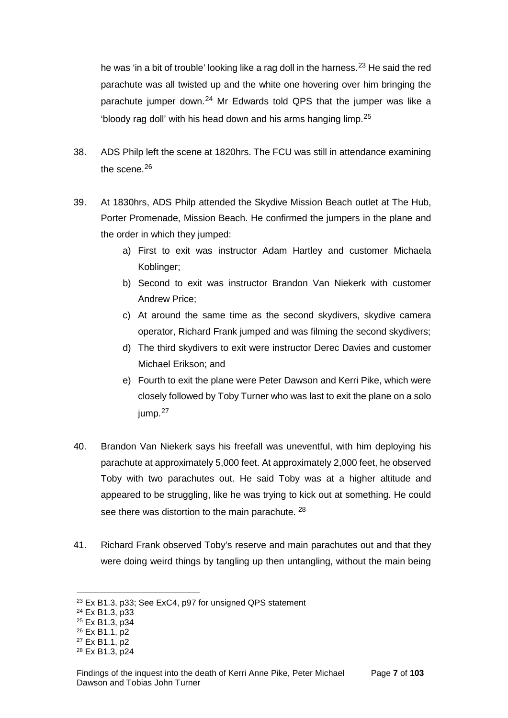he was 'in a bit of trouble' looking like a rag doll in the harness.<sup>[23](#page-9-0)</sup> He said the red parachute was all twisted up and the white one hovering over him bringing the parachute jumper down. $24$  Mr Edwards told QPS that the jumper was like a 'bloody rag doll' with his head down and his arms hanging limp.[25](#page-9-2)

- 38. ADS Philp left the scene at 1820hrs. The FCU was still in attendance examining the scene.<sup>[26](#page-9-3)</sup>
- 39. At 1830hrs, ADS Philp attended the Skydive Mission Beach outlet at The Hub, Porter Promenade, Mission Beach. He confirmed the jumpers in the plane and the order in which they jumped:
	- a) First to exit was instructor Adam Hartley and customer Michaela Koblinger;
	- b) Second to exit was instructor Brandon Van Niekerk with customer Andrew Price;
	- c) At around the same time as the second skydivers, skydive camera operator, Richard Frank jumped and was filming the second skydivers;
	- d) The third skydivers to exit were instructor Derec Davies and customer Michael Erikson; and
	- e) Fourth to exit the plane were Peter Dawson and Kerri Pike, which were closely followed by Toby Turner who was last to exit the plane on a solo jump.[27](#page-9-4)
- 40. Brandon Van Niekerk says his freefall was uneventful, with him deploying his parachute at approximately 5,000 feet. At approximately 2,000 feet, he observed Toby with two parachutes out. He said Toby was at a higher altitude and appeared to be struggling, like he was trying to kick out at something. He could see there was distortion to the main parachute. <sup>[28](#page-9-5)</sup>
- 41. Richard Frank observed Toby's reserve and main parachutes out and that they were doing weird things by tangling up then untangling, without the main being

<span id="page-9-0"></span><sup>&</sup>lt;sup>23</sup> Ex B1.3, p33; See ExC4, p97 for unsigned QPS statement

<span id="page-9-1"></span><sup>24</sup> Ex B1.3, p33

<span id="page-9-2"></span><sup>25</sup> Ex B1.3, p34

<span id="page-9-3"></span><sup>26</sup> Ex B1.1, p2

<span id="page-9-4"></span><sup>27</sup> Ex B1.1, p2

<span id="page-9-5"></span><sup>28</sup> Ex B1.3, p24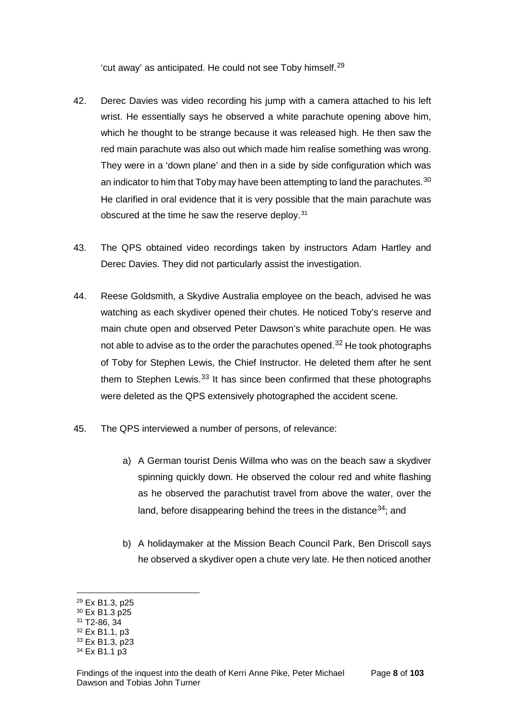'cut away' as anticipated. He could not see Toby himself.[29](#page-10-0)

- 42. Derec Davies was video recording his jump with a camera attached to his left wrist. He essentially says he observed a white parachute opening above him, which he thought to be strange because it was released high. He then saw the red main parachute was also out which made him realise something was wrong. They were in a 'down plane' and then in a side by side configuration which was an indicator to him that Toby may have been attempting to land the parachutes.<sup>[30](#page-10-1)</sup> He clarified in oral evidence that it is very possible that the main parachute was obscured at the time he saw the reserve deploy.<sup>[31](#page-10-2)</sup>
- 43. The QPS obtained video recordings taken by instructors Adam Hartley and Derec Davies. They did not particularly assist the investigation.
- 44. Reese Goldsmith, a Skydive Australia employee on the beach, advised he was watching as each skydiver opened their chutes. He noticed Toby's reserve and main chute open and observed Peter Dawson's white parachute open. He was not able to advise as to the order the parachutes opened.<sup>[32](#page-10-3)</sup> He took photographs of Toby for Stephen Lewis, the Chief Instructor. He deleted them after he sent them to Stephen Lewis.<sup>[33](#page-10-4)</sup> It has since been confirmed that these photographs were deleted as the QPS extensively photographed the accident scene.
- 45. The QPS interviewed a number of persons, of relevance:
	- a) A German tourist Denis Willma who was on the beach saw a skydiver spinning quickly down. He observed the colour red and white flashing as he observed the parachutist travel from above the water, over the land, before disappearing behind the trees in the distance  $34$ ; and
	- b) A holidaymaker at the Mission Beach Council Park, Ben Driscoll says he observed a skydiver open a chute very late. He then noticed another

<span id="page-10-0"></span><sup>29</sup> Ex B1.3, p25

<span id="page-10-1"></span><sup>30</sup> Ex B1.3 p25

<span id="page-10-2"></span><sup>31</sup> T2-86, 34

<span id="page-10-3"></span><sup>32</sup> Ex B1.1, p3

<span id="page-10-4"></span><sup>33</sup> Ex B1.3, p23

<span id="page-10-5"></span><sup>34</sup> Ex B1.1 p3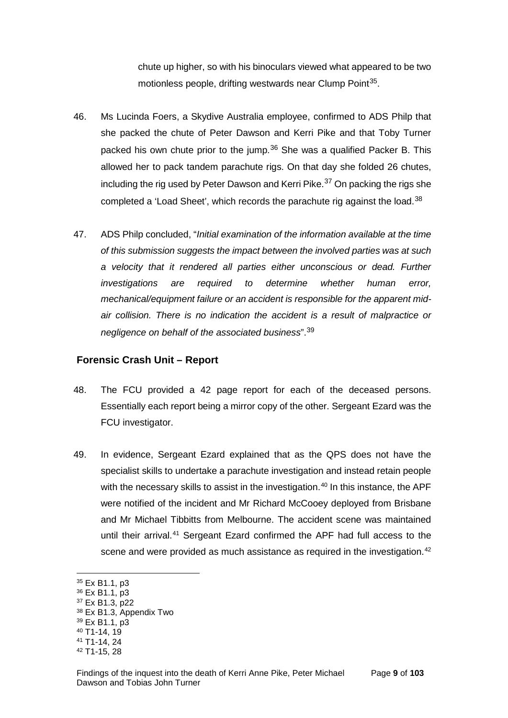chute up higher, so with his binoculars viewed what appeared to be two motionless people, drifting westwards near Clump Point<sup>[35](#page-11-1)</sup>.

- 46. Ms Lucinda Foers, a Skydive Australia employee, confirmed to ADS Philp that she packed the chute of Peter Dawson and Kerri Pike and that Toby Turner packed his own chute prior to the jump.<sup>[36](#page-11-2)</sup> She was a qualified Packer B. This allowed her to pack tandem parachute rigs. On that day she folded 26 chutes, including the rig used by Peter Dawson and Kerri Pike.<sup>[37](#page-11-3)</sup> On packing the rigs she completed a 'Load Sheet', which records the parachute rig against the load.<sup>[38](#page-11-4)</sup>
- 47. ADS Philp concluded, "*Initial examination of the information available at the time of this submission suggests the impact between the involved parties was at such a velocity that it rendered all parties either unconscious or dead. Further investigations are required to determine whether human error, mechanical/equipment failure or an accident is responsible for the apparent midair collision. There is no indication the accident is a result of malpractice or negligence on behalf of the associated business*".[39](#page-11-5)

#### <span id="page-11-0"></span>**Forensic Crash Unit – Report**

- 48. The FCU provided a 42 page report for each of the deceased persons. Essentially each report being a mirror copy of the other. Sergeant Ezard was the FCU investigator.
- 49. In evidence, Sergeant Ezard explained that as the QPS does not have the specialist skills to undertake a parachute investigation and instead retain people with the necessary skills to assist in the investigation.<sup>[40](#page-11-6)</sup> In this instance, the APF were notified of the incident and Mr Richard McCooey deployed from Brisbane and Mr Michael Tibbitts from Melbourne. The accident scene was maintained until their arrival.<sup>[41](#page-11-7)</sup> Sergeant Ezard confirmed the APF had full access to the scene and were provided as much assistance as required in the investigation.<sup>[42](#page-11-8)</sup>

<span id="page-11-1"></span><sup>35</sup> Ex B1.1, p3

<span id="page-11-2"></span><sup>36</sup> Ex B1.1, p3

<span id="page-11-3"></span><sup>37</sup> Ex B1.3, p22

<span id="page-11-4"></span><sup>38</sup> Ex B1.3, Appendix Two

<span id="page-11-5"></span><sup>39</sup> Ex B1.1, p3

<span id="page-11-6"></span><sup>40</sup> T1-14, 19

<span id="page-11-7"></span><sup>41</sup> T1-14, 24

<span id="page-11-8"></span><sup>42</sup> T1-15, 28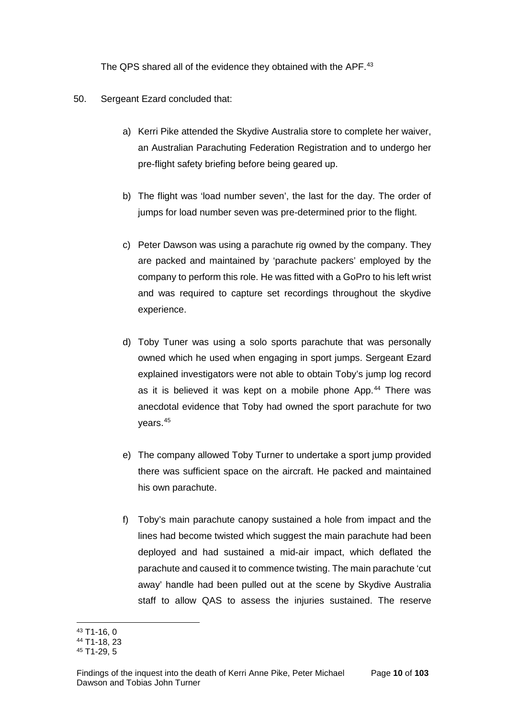The QPS shared all of the evidence they obtained with the APF.<sup>[43](#page-12-0)</sup>

- 50. Sergeant Ezard concluded that:
	- a) Kerri Pike attended the Skydive Australia store to complete her waiver, an Australian Parachuting Federation Registration and to undergo her pre-flight safety briefing before being geared up.
	- b) The flight was 'load number seven', the last for the day. The order of jumps for load number seven was pre-determined prior to the flight.
	- c) Peter Dawson was using a parachute rig owned by the company. They are packed and maintained by 'parachute packers' employed by the company to perform this role. He was fitted with a GoPro to his left wrist and was required to capture set recordings throughout the skydive experience.
	- d) Toby Tuner was using a solo sports parachute that was personally owned which he used when engaging in sport jumps. Sergeant Ezard explained investigators were not able to obtain Toby's jump log record as it is believed it was kept on a mobile phone App.<sup>[44](#page-12-1)</sup> There was anecdotal evidence that Toby had owned the sport parachute for two years.[45](#page-12-2)
	- e) The company allowed Toby Turner to undertake a sport jump provided there was sufficient space on the aircraft. He packed and maintained his own parachute.
	- f) Toby's main parachute canopy sustained a hole from impact and the lines had become twisted which suggest the main parachute had been deployed and had sustained a mid-air impact, which deflated the parachute and caused it to commence twisting. The main parachute 'cut away' handle had been pulled out at the scene by Skydive Australia staff to allow QAS to assess the injuries sustained. The reserve

<sup>43</sup> T1-16, 0  $\overline{a}$ 

<span id="page-12-1"></span><span id="page-12-0"></span><sup>44</sup> T1-18, 23

<span id="page-12-2"></span><sup>45</sup> T1-29, 5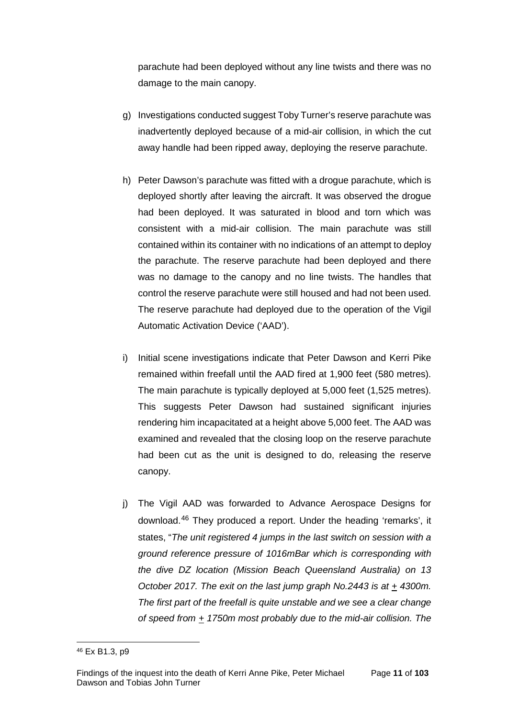parachute had been deployed without any line twists and there was no damage to the main canopy.

- g) Investigations conducted suggest Toby Turner's reserve parachute was inadvertently deployed because of a mid-air collision, in which the cut away handle had been ripped away, deploying the reserve parachute.
- h) Peter Dawson's parachute was fitted with a drogue parachute, which is deployed shortly after leaving the aircraft. It was observed the drogue had been deployed. It was saturated in blood and torn which was consistent with a mid-air collision. The main parachute was still contained within its container with no indications of an attempt to deploy the parachute. The reserve parachute had been deployed and there was no damage to the canopy and no line twists. The handles that control the reserve parachute were still housed and had not been used. The reserve parachute had deployed due to the operation of the Vigil Automatic Activation Device ('AAD').
- i) Initial scene investigations indicate that Peter Dawson and Kerri Pike remained within freefall until the AAD fired at 1,900 feet (580 metres). The main parachute is typically deployed at 5,000 feet (1,525 metres). This suggests Peter Dawson had sustained significant injuries rendering him incapacitated at a height above 5,000 feet. The AAD was examined and revealed that the closing loop on the reserve parachute had been cut as the unit is designed to do, releasing the reserve canopy.
- j) The Vigil AAD was forwarded to Advance Aerospace Designs for download.[46](#page-13-0) They produced a report. Under the heading 'remarks', it states, "*The unit registered 4 jumps in the last switch on session with a ground reference pressure of 1016mBar which is corresponding with the dive DZ location (Mission Beach Queensland Australia) on 13 October 2017. The exit on the last jump graph No.2443 is at + 4300m. The first part of the freefall is quite unstable and we see a clear change of speed from + 1750m most probably due to the mid-air collision. The*

<span id="page-13-0"></span><sup>46</sup> Ex B1.3, p9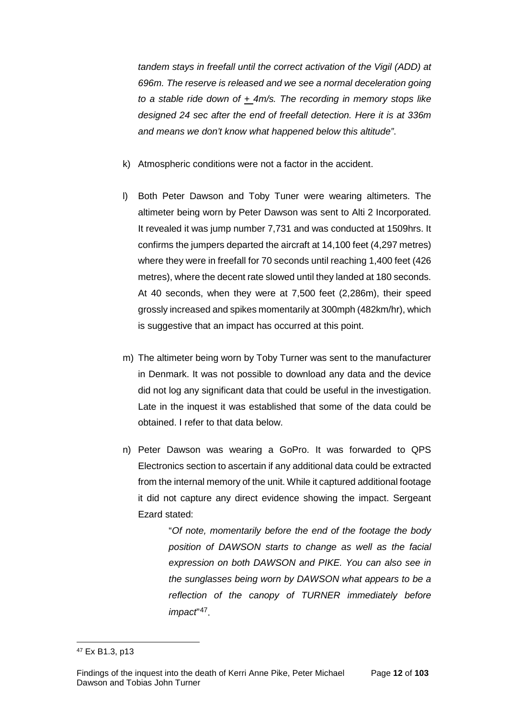*tandem stays in freefall until the correct activation of the Vigil (ADD) at 696m. The reserve is released and we see a normal deceleration going to a stable ride down of + 4m/s. The recording in memory stops like designed 24 sec after the end of freefall detection. Here it is at 336m and means we don't know what happened below this altitude"*.

- k) Atmospheric conditions were not a factor in the accident.
- l) Both Peter Dawson and Toby Tuner were wearing altimeters. The altimeter being worn by Peter Dawson was sent to Alti 2 Incorporated. It revealed it was jump number 7,731 and was conducted at 1509hrs. It confirms the jumpers departed the aircraft at 14,100 feet (4,297 metres) where they were in freefall for 70 seconds until reaching 1,400 feet (426 metres), where the decent rate slowed until they landed at 180 seconds. At 40 seconds, when they were at 7,500 feet (2,286m), their speed grossly increased and spikes momentarily at 300mph (482km/hr), which is suggestive that an impact has occurred at this point.
- m) The altimeter being worn by Toby Turner was sent to the manufacturer in Denmark. It was not possible to download any data and the device did not log any significant data that could be useful in the investigation. Late in the inquest it was established that some of the data could be obtained. I refer to that data below.
- n) Peter Dawson was wearing a GoPro. It was forwarded to QPS Electronics section to ascertain if any additional data could be extracted from the internal memory of the unit. While it captured additional footage it did not capture any direct evidence showing the impact. Sergeant Ezard stated:

"*Of note, momentarily before the end of the footage the body position of DAWSON starts to change as well as the facial expression on both DAWSON and PIKE. You can also see in the sunglasses being worn by DAWSON what appears to be a reflection of the canopy of TURNER immediately before impact*"[47](#page-14-0).

<span id="page-14-0"></span><sup>47</sup> Ex B1.3, p13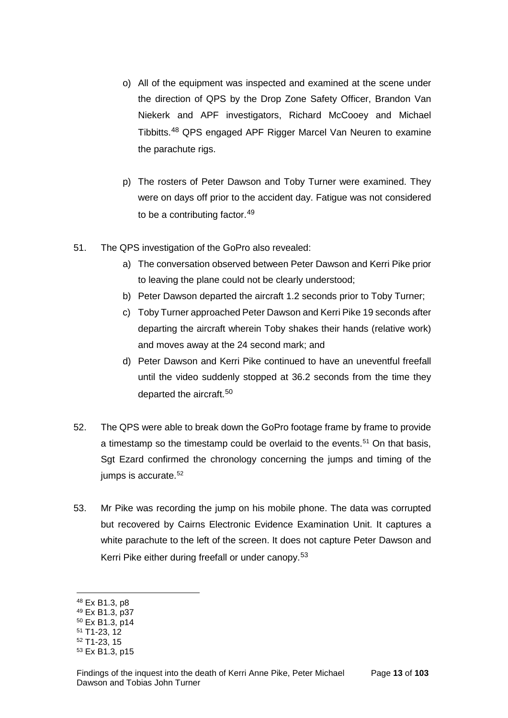- o) All of the equipment was inspected and examined at the scene under the direction of QPS by the Drop Zone Safety Officer, Brandon Van Niekerk and APF investigators, Richard McCooey and Michael Tibbitts.[48](#page-15-0) QPS engaged APF Rigger Marcel Van Neuren to examine the parachute rigs.
- p) The rosters of Peter Dawson and Toby Turner were examined. They were on days off prior to the accident day. Fatigue was not considered to be a contributing factor.<sup>[49](#page-15-1)</sup>
- 51. The QPS investigation of the GoPro also revealed:
	- a) The conversation observed between Peter Dawson and Kerri Pike prior to leaving the plane could not be clearly understood;
	- b) Peter Dawson departed the aircraft 1.2 seconds prior to Toby Turner;
	- c) Toby Turner approached Peter Dawson and Kerri Pike 19 seconds after departing the aircraft wherein Toby shakes their hands (relative work) and moves away at the 24 second mark; and
	- d) Peter Dawson and Kerri Pike continued to have an uneventful freefall until the video suddenly stopped at 36.2 seconds from the time they departed the aircraft.<sup>[50](#page-15-2)</sup>
- 52. The QPS were able to break down the GoPro footage frame by frame to provide a timestamp so the timestamp could be overlaid to the events.<sup>[51](#page-15-3)</sup> On that basis, Sgt Ezard confirmed the chronology concerning the jumps and timing of the jumps is accurate.<sup>[52](#page-15-4)</sup>
- 53. Mr Pike was recording the jump on his mobile phone. The data was corrupted but recovered by Cairns Electronic Evidence Examination Unit. It captures a white parachute to the left of the screen. It does not capture Peter Dawson and Kerri Pike either during freefall or under canopy.<sup>[53](#page-15-5)</sup>

<span id="page-15-0"></span><sup>48</sup> Ex B1.3, p8

<span id="page-15-1"></span><sup>49</sup> Ex B1.3, p37

<span id="page-15-2"></span><sup>50</sup> Ex B1.3, p14 <sup>51</sup> T1-23, 12

<span id="page-15-3"></span><sup>52</sup> T1-23, 15

<span id="page-15-4"></span>

<span id="page-15-5"></span><sup>53</sup> Ex B1.3, p15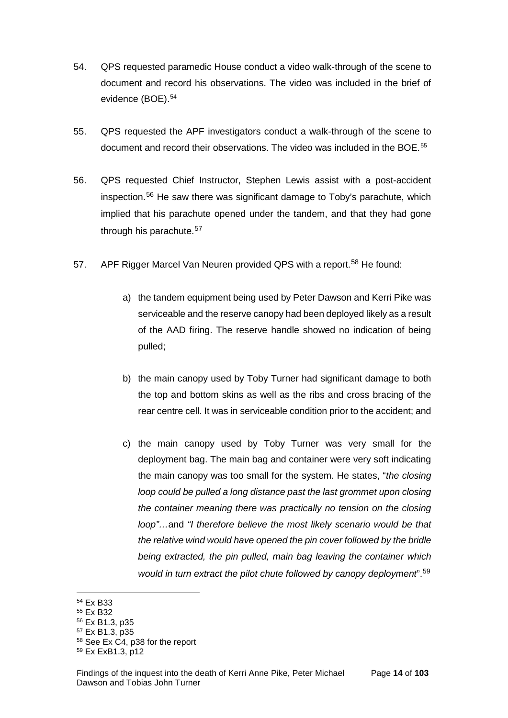- 54. QPS requested paramedic House conduct a video walk-through of the scene to document and record his observations. The video was included in the brief of evidence (BOE).<sup>54</sup>
- 55. QPS requested the APF investigators conduct a walk-through of the scene to document and record their observations. The video was included in the BOE.<sup>[55](#page-16-1)</sup>
- 56. QPS requested Chief Instructor, Stephen Lewis assist with a post-accident inspection.[56](#page-16-2) He saw there was significant damage to Toby's parachute, which implied that his parachute opened under the tandem, and that they had gone through his parachute.<sup>[57](#page-16-3)</sup>
- 57. APF Rigger Marcel Van Neuren provided QPS with a report.<sup>[58](#page-16-4)</sup> He found:
	- a) the tandem equipment being used by Peter Dawson and Kerri Pike was serviceable and the reserve canopy had been deployed likely as a result of the AAD firing. The reserve handle showed no indication of being pulled;
	- b) the main canopy used by Toby Turner had significant damage to both the top and bottom skins as well as the ribs and cross bracing of the rear centre cell. It was in serviceable condition prior to the accident; and
	- c) the main canopy used by Toby Turner was very small for the deployment bag. The main bag and container were very soft indicating the main canopy was too small for the system. He states, "*the closing loop could be pulled a long distance past the last grommet upon closing the container meaning there was practically no tension on the closing loop"…*and *"I therefore believe the most likely scenario would be that the relative wind would have opened the pin cover followed by the bridle being extracted, the pin pulled, main bag leaving the container which would in turn extract the pilot chute followed by canopy deployment*".[59](#page-16-5)

<span id="page-16-3"></span><sup>57</sup> Ex B1.3, p35

<sup>54</sup> Ex B33

<span id="page-16-1"></span><span id="page-16-0"></span><sup>55</sup> Ex B32

<span id="page-16-2"></span><sup>56</sup> Ex B1.3, p35

<span id="page-16-4"></span><sup>58</sup> See Ex C4, p38 for the report

<span id="page-16-5"></span><sup>59</sup> Ex ExB1.3, p12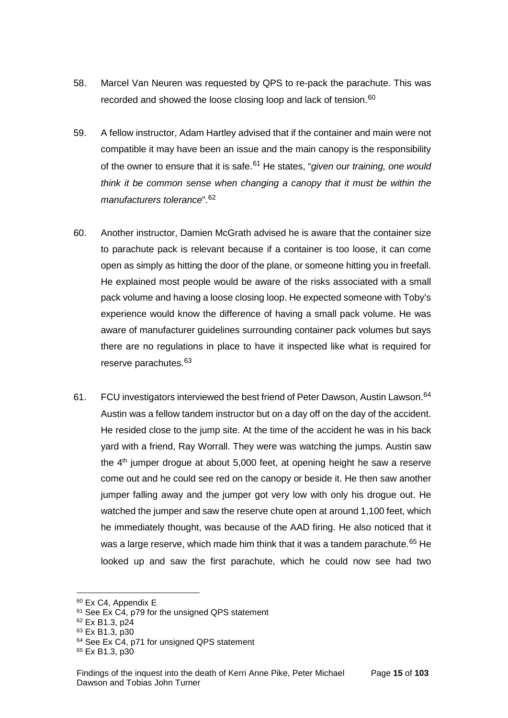- 58. Marcel Van Neuren was requested by QPS to re-pack the parachute. This was recorded and showed the loose closing loop and lack of tension.<sup>[60](#page-17-0)</sup>
- 59. A fellow instructor, Adam Hartley advised that if the container and main were not compatible it may have been an issue and the main canopy is the responsibility of the owner to ensure that it is safe.[61](#page-17-1) He states, "*given our training, one would think it be common sense when changing a canopy that it must be within the manufacturers tolerance*".[62](#page-17-2)
- 60. Another instructor, Damien McGrath advised he is aware that the container size to parachute pack is relevant because if a container is too loose, it can come open as simply as hitting the door of the plane, or someone hitting you in freefall. He explained most people would be aware of the risks associated with a small pack volume and having a loose closing loop. He expected someone with Toby's experience would know the difference of having a small pack volume. He was aware of manufacturer guidelines surrounding container pack volumes but says there are no regulations in place to have it inspected like what is required for reserve parachutes.<sup>[63](#page-17-3)</sup>
- 61. FCU investigators interviewed the best friend of Peter Dawson, Austin Lawson.<sup>[64](#page-17-4)</sup> Austin was a fellow tandem instructor but on a day off on the day of the accident. He resided close to the jump site. At the time of the accident he was in his back yard with a friend, Ray Worrall. They were was watching the jumps. Austin saw the  $4<sup>th</sup>$  jumper drogue at about 5,000 feet, at opening height he saw a reserve come out and he could see red on the canopy or beside it. He then saw another jumper falling away and the jumper got very low with only his drogue out. He watched the jumper and saw the reserve chute open at around 1,100 feet, which he immediately thought, was because of the AAD firing. He also noticed that it was a large reserve, which made him think that it was a tandem parachute.<sup>[65](#page-17-5)</sup> He looked up and saw the first parachute, which he could now see had two

<span id="page-17-0"></span><sup>60</sup> Ex C4, Appendix E

<span id="page-17-1"></span> $61$  See Ex C4, p79 for the unsigned QPS statement

<span id="page-17-2"></span><sup>62</sup> Ex B1.3, p24

<span id="page-17-3"></span><sup>63</sup> Ex B1.3, p30

<span id="page-17-4"></span><sup>&</sup>lt;sup>64</sup> See Ex C4, p71 for unsigned QPS statement

<span id="page-17-5"></span><sup>65</sup> Ex B1.3, p30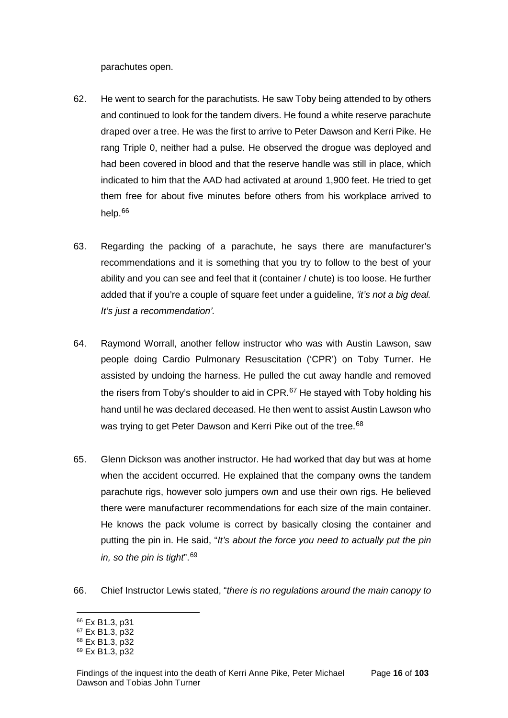parachutes open.

- 62. He went to search for the parachutists. He saw Toby being attended to by others and continued to look for the tandem divers. He found a white reserve parachute draped over a tree. He was the first to arrive to Peter Dawson and Kerri Pike. He rang Triple 0, neither had a pulse. He observed the drogue was deployed and had been covered in blood and that the reserve handle was still in place, which indicated to him that the AAD had activated at around 1,900 feet. He tried to get them free for about five minutes before others from his workplace arrived to help.[66](#page-18-0)
- 63. Regarding the packing of a parachute, he says there are manufacturer's recommendations and it is something that you try to follow to the best of your ability and you can see and feel that it (container / chute) is too loose. He further added that if you're a couple of square feet under a guideline, *'it's not a big deal. It's just a recommendation'.*
- 64. Raymond Worrall, another fellow instructor who was with Austin Lawson, saw people doing Cardio Pulmonary Resuscitation ('CPR') on Toby Turner. He assisted by undoing the harness. He pulled the cut away handle and removed the risers from Toby's shoulder to aid in  $\text{CPR}$ .<sup>[67](#page-18-1)</sup> He stayed with Toby holding his hand until he was declared deceased. He then went to assist Austin Lawson who was trying to get Peter Dawson and Kerri Pike out of the tree.<sup>[68](#page-18-2)</sup>
- 65. Glenn Dickson was another instructor. He had worked that day but was at home when the accident occurred. He explained that the company owns the tandem parachute rigs, however solo jumpers own and use their own rigs. He believed there were manufacturer recommendations for each size of the main container. He knows the pack volume is correct by basically closing the container and putting the pin in. He said, "*It's about the force you need to actually put the pin in, so the pin is tight*".[69](#page-18-3)
- 66. Chief Instructor Lewis stated, "*there is no regulations around the main canopy to*

<sup>66</sup> Ex B1.3, p31  $\overline{a}$ 

<span id="page-18-1"></span><span id="page-18-0"></span><sup>67</sup> Ex B1.3, p32

<span id="page-18-2"></span><sup>68</sup> Ex B1.3, p32

<span id="page-18-3"></span><sup>69</sup> Ex B1.3, p32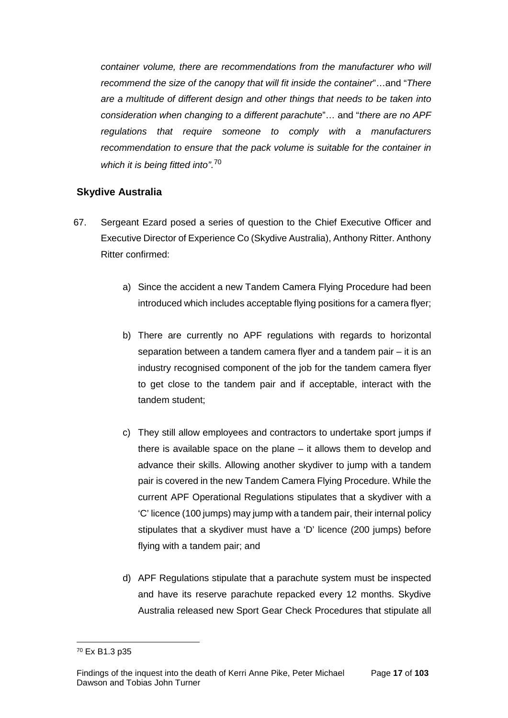*container volume, there are recommendations from the manufacturer who will recommend the size of the canopy that will fit inside the container*"…and "*There are a multitude of different design and other things that needs to be taken into consideration when changing to a different parachute*"… and "*there are no APF regulations that require someone to comply with a manufacturers recommendation to ensure that the pack volume is suitable for the container in which it is being fitted into"*. [70](#page-19-1) 

## <span id="page-19-0"></span>**Skydive Australia**

- 67. Sergeant Ezard posed a series of question to the Chief Executive Officer and Executive Director of Experience Co (Skydive Australia), Anthony Ritter. Anthony Ritter confirmed:
	- a) Since the accident a new Tandem Camera Flying Procedure had been introduced which includes acceptable flying positions for a camera flyer;
	- b) There are currently no APF regulations with regards to horizontal separation between a tandem camera flyer and a tandem pair – it is an industry recognised component of the job for the tandem camera flyer to get close to the tandem pair and if acceptable, interact with the tandem student;
	- c) They still allow employees and contractors to undertake sport jumps if there is available space on the plane – it allows them to develop and advance their skills. Allowing another skydiver to jump with a tandem pair is covered in the new Tandem Camera Flying Procedure. While the current APF Operational Regulations stipulates that a skydiver with a 'C' licence (100 jumps) may jump with a tandem pair, their internal policy stipulates that a skydiver must have a 'D' licence (200 jumps) before flying with a tandem pair; and
	- d) APF Regulations stipulate that a parachute system must be inspected and have its reserve parachute repacked every 12 months. Skydive Australia released new Sport Gear Check Procedures that stipulate all

<span id="page-19-1"></span><sup>70</sup> Ex B1.3 p35  $\overline{a}$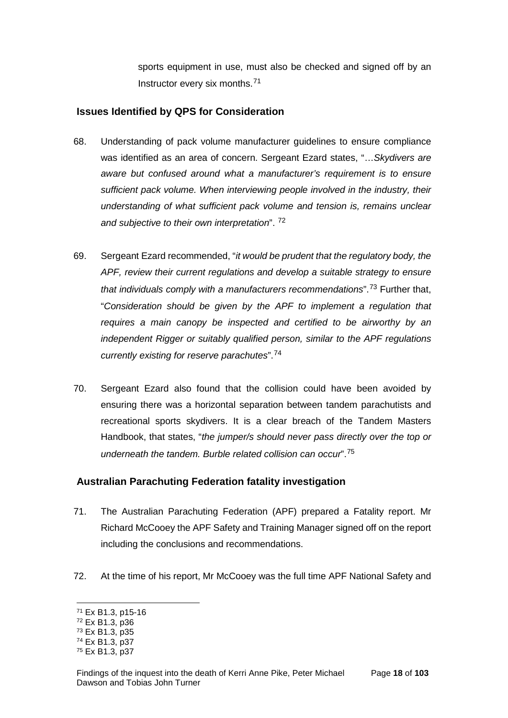sports equipment in use, must also be checked and signed off by an Instructor every six months.[71](#page-20-2)

### <span id="page-20-0"></span>**Issues Identified by QPS for Consideration**

- 68. Understanding of pack volume manufacturer guidelines to ensure compliance was identified as an area of concern. Sergeant Ezard states, "…*Skydivers are aware but confused around what a manufacturer's requirement is to ensure sufficient pack volume. When interviewing people involved in the industry, their understanding of what sufficient pack volume and tension is, remains unclear and subjective to their own interpretation*". [72](#page-20-3)
- 69. Sergeant Ezard recommended, "*it would be prudent that the regulatory body, the APF, review their current regulations and develop a suitable strategy to ensure that individuals comply with a manufacturers recommendations*".[73](#page-20-4) Further that, "*Consideration should be given by the APF to implement a regulation that requires a main canopy be inspected and certified to be airworthy by an independent Rigger or suitably qualified person, similar to the APF regulations currently existing for reserve parachutes*".[74](#page-20-5)
- 70. Sergeant Ezard also found that the collision could have been avoided by ensuring there was a horizontal separation between tandem parachutists and recreational sports skydivers. It is a clear breach of the Tandem Masters Handbook, that states, "*the jumper/s should never pass directly over the top or underneath the tandem. Burble related collision can occur*".[75](#page-20-6)

## <span id="page-20-1"></span>**Australian Parachuting Federation fatality investigation**

- 71. The Australian Parachuting Federation (APF) prepared a Fatality report. Mr Richard McCooey the APF Safety and Training Manager signed off on the report including the conclusions and recommendations.
- 72. At the time of his report, Mr McCooey was the full time APF National Safety and

<span id="page-20-2"></span><sup>71</sup> Ex B1.3, p15-16

<span id="page-20-3"></span><sup>72</sup> Ex B1.3, p36

<span id="page-20-4"></span><sup>73</sup> Ex B1.3, p35

<span id="page-20-5"></span><sup>74</sup> Ex B1.3, p37

<span id="page-20-6"></span><sup>75</sup> Ex B1.3, p37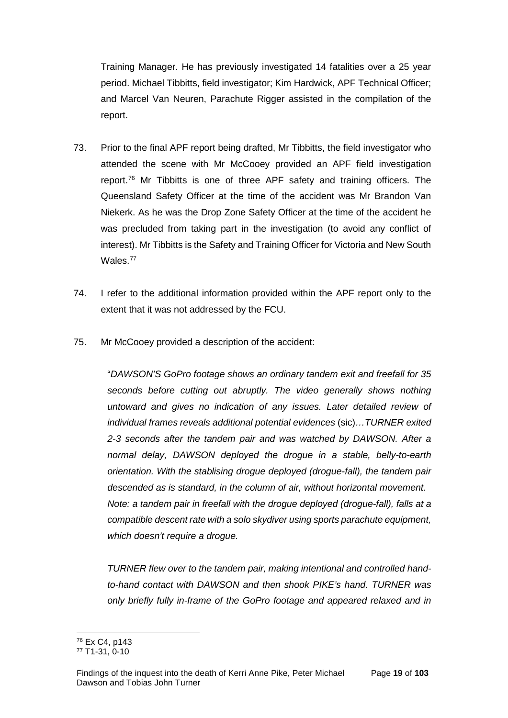Training Manager. He has previously investigated 14 fatalities over a 25 year period. Michael Tibbitts, field investigator; Kim Hardwick, APF Technical Officer; and Marcel Van Neuren, Parachute Rigger assisted in the compilation of the report.

- 73. Prior to the final APF report being drafted, Mr Tibbitts, the field investigator who attended the scene with Mr McCooey provided an APF field investigation report.<sup>76</sup> Mr Tibbitts is one of three APF safety and training officers. The Queensland Safety Officer at the time of the accident was Mr Brandon Van Niekerk. As he was the Drop Zone Safety Officer at the time of the accident he was precluded from taking part in the investigation (to avoid any conflict of interest). Mr Tibbitts is the Safety and Training Officer for Victoria and New South Wales.<sup>[77](#page-21-1)</sup>
- 74. I refer to the additional information provided within the APF report only to the extent that it was not addressed by the FCU.
- 75. Mr McCooey provided a description of the accident:

"*DAWSON'S GoPro footage shows an ordinary tandem exit and freefall for 35 seconds before cutting out abruptly. The video generally shows nothing untoward and gives no indication of any issues. Later detailed review of individual frames reveals additional potential evidences* (sic)*…TURNER exited 2-3 seconds after the tandem pair and was watched by DAWSON. After a normal delay, DAWSON deployed the drogue in a stable, belly-to-earth orientation. With the stablising drogue deployed (drogue-fall), the tandem pair descended as is standard, in the column of air, without horizontal movement. Note: a tandem pair in freefall with the drogue deployed (drogue-fall), falls at a compatible descent rate with a solo skydiver using sports parachute equipment, which doesn't require a drogue.*

*TURNER flew over to the tandem pair, making intentional and controlled handto-hand contact with DAWSON and then shook PIKE's hand. TURNER was only briefly fully in-frame of the GoPro footage and appeared relaxed and in* 

<sup>76</sup> Ex C4, p143  $\overline{a}$ 

<span id="page-21-1"></span><span id="page-21-0"></span><sup>77</sup> T1-31, 0-10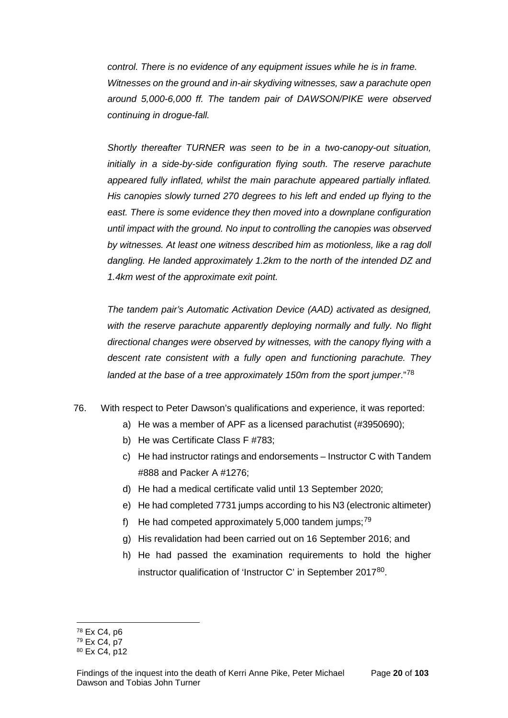*control. There is no evidence of any equipment issues while he is in frame. Witnesses on the ground and in-air skydiving witnesses, saw a parachute open around 5,000-6,000 ff. The tandem pair of DAWSON/PIKE were observed continuing in drogue-fall.* 

*Shortly thereafter TURNER was seen to be in a two-canopy-out situation, initially in a side-by-side configuration flying south. The reserve parachute appeared fully inflated, whilst the main parachute appeared partially inflated. His canopies slowly turned 270 degrees to his left and ended up flying to the east. There is some evidence they then moved into a downplane configuration until impact with the ground. No input to controlling the canopies was observed by witnesses. At least one witness described him as motionless, like a rag doll dangling. He landed approximately 1.2km to the north of the intended DZ and 1.4km west of the approximate exit point.* 

*The tandem pair's Automatic Activation Device (AAD) activated as designed, with the reserve parachute apparently deploying normally and fully. No flight directional changes were observed by witnesses, with the canopy flying with a descent rate consistent with a fully open and functioning parachute. They landed at the base of a tree approximately 150m from the sport jumper*."[78](#page-22-0)

- 76. With respect to Peter Dawson's qualifications and experience, it was reported:
	- a) He was a member of APF as a licensed parachutist (#3950690);
	- b) He was Certificate Class F #783;
	- c) He had instructor ratings and endorsements Instructor C with Tandem #888 and Packer A #1276;
	- d) He had a medical certificate valid until 13 September 2020;
	- e) He had completed 7731 jumps according to his N3 (electronic altimeter)
	- f) He had competed approximately 5,000 tandem jumps; $79$
	- g) His revalidation had been carried out on 16 September 2016; and
	- h) He had passed the examination requirements to hold the higher instructor qualification of 'Instructor C' in September 2017[80.](#page-22-2)

<sup>78</sup> Ex C4, p6  $\overline{a}$ 

<span id="page-22-1"></span><span id="page-22-0"></span><sup>79</sup> Ex C4, p7

<span id="page-22-2"></span><sup>80</sup> Ex C4, p12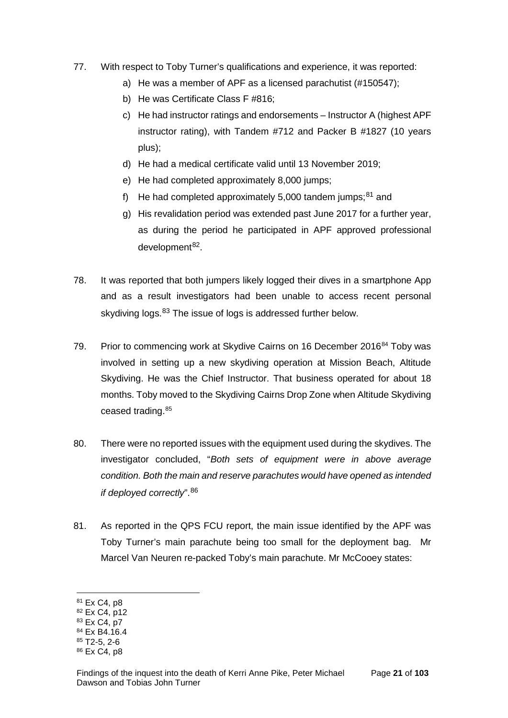- 77. With respect to Toby Turner's qualifications and experience, it was reported:
	- a) He was a member of APF as a licensed parachutist (#150547);
	- b) He was Certificate Class F #816;
	- c) He had instructor ratings and endorsements Instructor A (highest APF instructor rating), with Tandem #712 and Packer B #1827 (10 years plus);
	- d) He had a medical certificate valid until 13 November 2019;
	- e) He had completed approximately 8,000 jumps;
	- f) He had completed approximately 5,000 tandem jumps; $81$  and
	- g) His revalidation period was extended past June 2017 for a further year, as during the period he participated in APF approved professional  $d$ evelopment $82$ .
- 78. It was reported that both jumpers likely logged their dives in a smartphone App and as a result investigators had been unable to access recent personal skydiving logs.<sup>[83](#page-23-2)</sup> The issue of logs is addressed further below.
- 79. Prior to commencing work at Skydive Cairns on 16 December 2016<sup>[84](#page-23-3)</sup> Toby was involved in setting up a new skydiving operation at Mission Beach, Altitude Skydiving. He was the Chief Instructor. That business operated for about 18 months. Toby moved to the Skydiving Cairns Drop Zone when Altitude Skydiving ceased trading.<sup>[85](#page-23-4)</sup>
- 80. There were no reported issues with the equipment used during the skydives. The investigator concluded, "*Both sets of equipment were in above average condition. Both the main and reserve parachutes would have opened as intended if deployed correctly*".[86](#page-23-5)
- 81. As reported in the QPS FCU report, the main issue identified by the APF was Toby Turner's main parachute being too small for the deployment bag. Mr Marcel Van Neuren re-packed Toby's main parachute. Mr McCooey states:

<span id="page-23-0"></span><sup>&</sup>lt;sup>81</sup> Ex C4, p8

<span id="page-23-1"></span><sup>82</sup> Ex C4, p12

<span id="page-23-2"></span><sup>83</sup> Ex C4, p7

<span id="page-23-3"></span><sup>84</sup> Ex B4.16.4

<span id="page-23-4"></span> $85$  T<sub>2</sub>-5, 2-6

<span id="page-23-5"></span><sup>86</sup> Ex C4, p8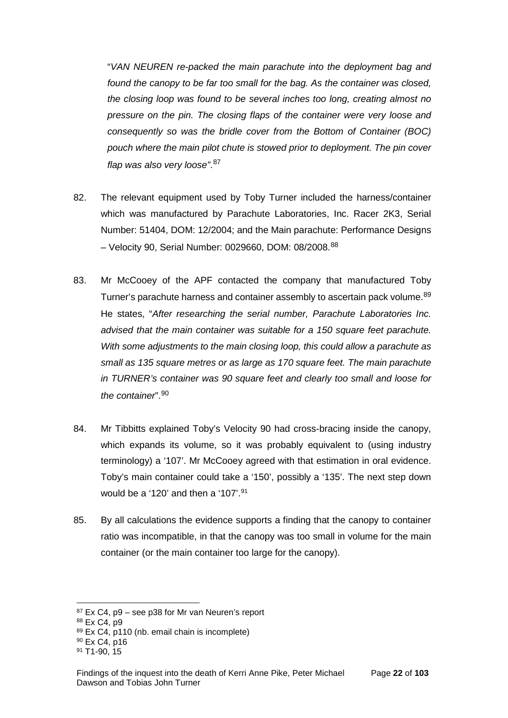"*VAN NEUREN re-packed the main parachute into the deployment bag and found the canopy to be far too small for the bag. As the container was closed, the closing loop was found to be several inches too long, creating almost no pressure on the pin. The closing flaps of the container were very loose and consequently so was the bridle cover from the Bottom of Container (BOC) pouch where the main pilot chute is stowed prior to deployment. The pin cover flap was also very loose"*. [87](#page-24-0)

- 82. The relevant equipment used by Toby Turner included the harness/container which was manufactured by Parachute Laboratories, Inc. Racer 2K3, Serial Number: 51404, DOM: 12/2004; and the Main parachute: Performance Designs – Velocity 90, Serial Number: 0029660, DOM: 08/2008.[88](#page-24-1)
- 83. Mr McCooey of the APF contacted the company that manufactured Toby Turner's parachute harness and container assembly to ascertain pack volume.<sup>[89](#page-24-2)</sup> He states, "*After researching the serial number, Parachute Laboratories Inc. advised that the main container was suitable for a 150 square feet parachute. With some adjustments to the main closing loop, this could allow a parachute as small as 135 square metres or as large as 170 square feet. The main parachute in TURNER's container was 90 square feet and clearly too small and loose for the container*".[90](#page-24-3)
- 84. Mr Tibbitts explained Toby's Velocity 90 had cross-bracing inside the canopy, which expands its volume, so it was probably equivalent to (using industry terminology) a '107'. Mr McCooey agreed with that estimation in oral evidence. Toby's main container could take a '150', possibly a '135'. The next step down would be a '120' and then a '107'.<sup>[91](#page-24-4)</sup>
- 85. By all calculations the evidence supports a finding that the canopy to container ratio was incompatible, in that the canopy was too small in volume for the main container (or the main container too large for the canopy).

<span id="page-24-0"></span> $87$  Ex C4, p9 – see p38 for Mr van Neuren's report

<span id="page-24-1"></span><sup>88</sup> Ex C4, p9

<span id="page-24-2"></span><sup>89</sup> Ex C4, p110 (nb. email chain is incomplete)

<span id="page-24-3"></span><sup>90</sup> Ex C4, p16

<span id="page-24-4"></span><sup>91</sup> T1-90, 15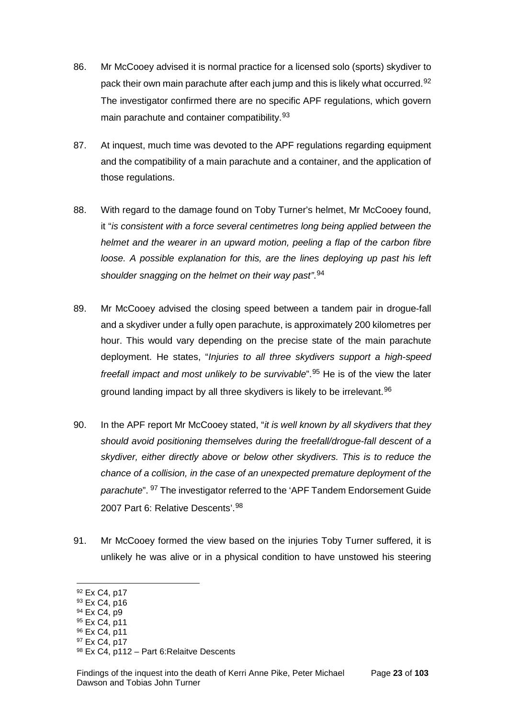- 86. Mr McCooey advised it is normal practice for a licensed solo (sports) skydiver to pack their own main parachute after each jump and this is likely what occurred.<sup>[92](#page-25-0)</sup> The investigator confirmed there are no specific APF regulations, which govern main parachute and container compatibility.<sup>[93](#page-25-1)</sup>
- 87. At inquest, much time was devoted to the APF regulations regarding equipment and the compatibility of a main parachute and a container, and the application of those regulations.
- 88. With regard to the damage found on Toby Turner's helmet, Mr McCooey found, it "*is consistent with a force several centimetres long being applied between the helmet and the wearer in an upward motion, peeling a flap of the carbon fibre loose. A possible explanation for this, are the lines deploying up past his left shoulder snagging on the helmet on their way past"*. [94](#page-25-2)
- 89. Mr McCooey advised the closing speed between a tandem pair in drogue-fall and a skydiver under a fully open parachute, is approximately 200 kilometres per hour. This would vary depending on the precise state of the main parachute deployment. He states, "*Injuries to all three skydivers support a high-speed freefall impact and most unlikely to be survivable*".[95](#page-25-3) He is of the view the later ground landing impact by all three skydivers is likely to be irrelevant.<sup>[96](#page-25-4)</sup>
- 90. In the APF report Mr McCooey stated, "*it is well known by all skydivers that they should avoid positioning themselves during the freefall/drogue-fall descent of a skydiver, either directly above or below other skydivers. This is to reduce the chance of a collision, in the case of an unexpected premature deployment of the parachute*". [97](#page-25-5) The investigator referred to the 'APF Tandem Endorsement Guide 2007 Part 6: Relative Descents'.[98](#page-25-6)
- 91. Mr McCooey formed the view based on the injuries Toby Turner suffered, it is unlikely he was alive or in a physical condition to have unstowed his steering

<span id="page-25-4"></span><sup>96</sup> Ex C4, p11

<span id="page-25-0"></span><sup>92</sup> Ex C4, p17

<span id="page-25-1"></span><sup>93</sup> Ex C4, p16

<span id="page-25-2"></span><sup>&</sup>lt;sup>94</sup> Ex C4, p9

<span id="page-25-3"></span><sup>95</sup> Ex C4, p11

<span id="page-25-5"></span><sup>97</sup> Ex C4, p17

<span id="page-25-6"></span><sup>98</sup> Ex C4, p112 - Part 6: Relaitve Descents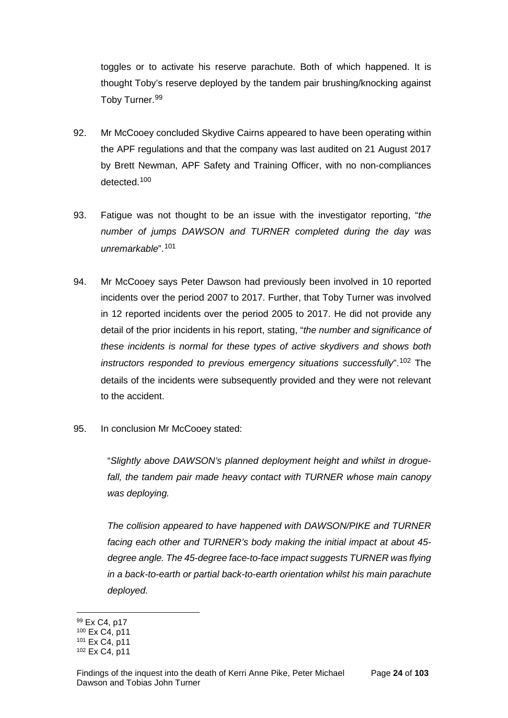toggles or to activate his reserve parachute. Both of which happened. It is thought Toby's reserve deployed by the tandem pair brushing/knocking against Toby Turner.<sup>[99](#page-26-0)</sup>

- 92. Mr McCooey concluded Skydive Cairns appeared to have been operating within the APF regulations and that the company was last audited on 21 August 2017 by Brett Newman, APF Safety and Training Officer, with no non-compliances detected.[100](#page-26-1)
- 93. Fatigue was not thought to be an issue with the investigator reporting, "*the number of jumps DAWSON and TURNER completed during the day was unremarkable*".[101](#page-26-2)
- 94. Mr McCooey says Peter Dawson had previously been involved in 10 reported incidents over the period 2007 to 2017. Further, that Toby Turner was involved in 12 reported incidents over the period 2005 to 2017. He did not provide any detail of the prior incidents in his report, stating, "*the number and significance of these incidents is normal for these types of active skydivers and shows both instructors responded to previous emergency situations successfully*".[102](#page-26-3) The details of the incidents were subsequently provided and they were not relevant to the accident.
- 95. In conclusion Mr McCooey stated:

"*Slightly above DAWSON's planned deployment height and whilst in droguefall, the tandem pair made heavy contact with TURNER whose main canopy was deploying.* 

*The collision appeared to have happened with DAWSON/PIKE and TURNER facing each other and TURNER's body making the initial impact at about 45 degree angle. The 45-degree face-to-face impact suggests TURNER was flying in a back-to-earth or partial back-to-earth orientation whilst his main parachute deployed.*

<sup>99</sup> Ex C4, p17  $\overline{a}$ 

<span id="page-26-1"></span><span id="page-26-0"></span><sup>100</sup> Ex C4, p11

<span id="page-26-2"></span><sup>101</sup> Ex C4, p11

<span id="page-26-3"></span><sup>102</sup> Ex C4, p11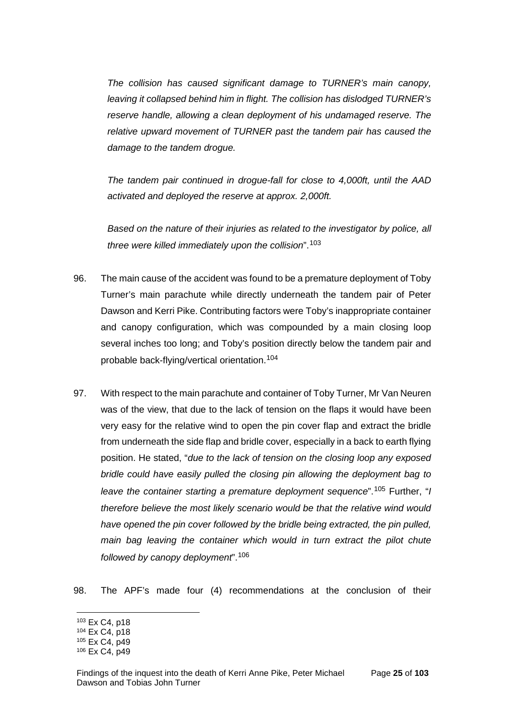*The collision has caused significant damage to TURNER's main canopy, leaving it collapsed behind him in flight. The collision has dislodged TURNER's reserve handle, allowing a clean deployment of his undamaged reserve. The relative upward movement of TURNER past the tandem pair has caused the damage to the tandem drogue.* 

*The tandem pair continued in drogue-fall for close to 4,000ft, until the AAD activated and deployed the reserve at approx. 2,000ft.*

*Based on the nature of their injuries as related to the investigator by police, all three were killed immediately upon the collision*".[103](#page-27-0)

- 96. The main cause of the accident was found to be a premature deployment of Toby Turner's main parachute while directly underneath the tandem pair of Peter Dawson and Kerri Pike. Contributing factors were Toby's inappropriate container and canopy configuration, which was compounded by a main closing loop several inches too long; and Toby's position directly below the tandem pair and probable back-flying/vertical orientation.[104](#page-27-1)
- 97. With respect to the main parachute and container of Toby Turner, Mr Van Neuren was of the view, that due to the lack of tension on the flaps it would have been very easy for the relative wind to open the pin cover flap and extract the bridle from underneath the side flap and bridle cover, especially in a back to earth flying position. He stated, "*due to the lack of tension on the closing loop any exposed bridle could have easily pulled the closing pin allowing the deployment bag to leave the container starting a premature deployment sequence*".[105](#page-27-2) Further, "*I therefore believe the most likely scenario would be that the relative wind would have opened the pin cover followed by the bridle being extracted, the pin pulled, main bag leaving the container which would in turn extract the pilot chute followed by canopy deployment*".[106](#page-27-3)

98. The APF's made four (4) recommendations at the conclusion of their

<span id="page-27-0"></span><sup>103</sup> Ex C4, p18

<span id="page-27-1"></span><sup>104</sup> Ex C4, p18

<span id="page-27-2"></span><sup>105</sup> Ex C4, p49

<span id="page-27-3"></span><sup>106</sup> Ex C4, p49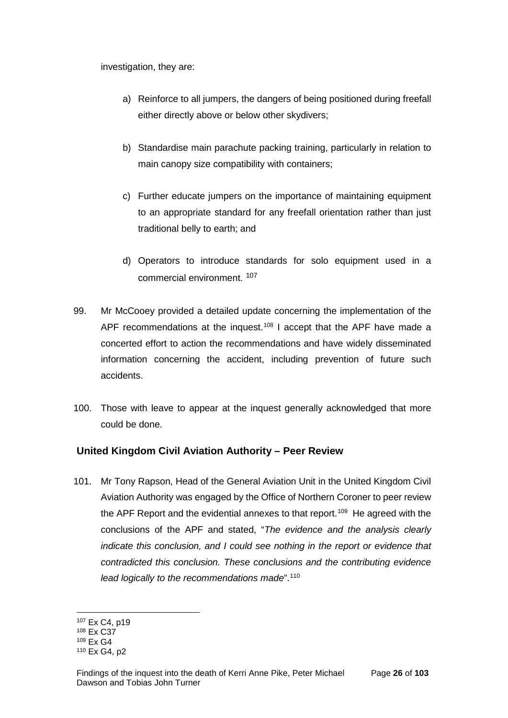investigation, they are:

- a) Reinforce to all jumpers, the dangers of being positioned during freefall either directly above or below other skydivers;
- b) Standardise main parachute packing training, particularly in relation to main canopy size compatibility with containers;
- c) Further educate jumpers on the importance of maintaining equipment to an appropriate standard for any freefall orientation rather than just traditional belly to earth; and
- d) Operators to introduce standards for solo equipment used in a commercial environment. [107](#page-28-1)
- 99. Mr McCooey provided a detailed update concerning the implementation of the APF recommendations at the inquest.<sup>[108](#page-28-2)</sup> I accept that the APF have made a concerted effort to action the recommendations and have widely disseminated information concerning the accident, including prevention of future such accidents.
- 100. Those with leave to appear at the inquest generally acknowledged that more could be done.

## <span id="page-28-0"></span>**United Kingdom Civil Aviation Authority – Peer Review**

101. Mr Tony Rapson, Head of the General Aviation Unit in the United Kingdom Civil Aviation Authority was engaged by the Office of Northern Coroner to peer review the APF Report and the evidential annexes to that report.<sup>[109](#page-28-3)</sup> He agreed with the conclusions of the APF and stated, "*The evidence and the analysis clearly indicate this conclusion, and I could see nothing in the report or evidence that contradicted this conclusion. These conclusions and the contributing evidence lead logically to the recommendations made*".[110](#page-28-4) 

<sup>107</sup> Ex C4, p19  $\overline{a}$ 

<span id="page-28-2"></span><span id="page-28-1"></span><sup>108</sup> Ex C37

<span id="page-28-3"></span><sup>109</sup> Ex G4

<span id="page-28-4"></span><sup>110</sup> Ex G4, p2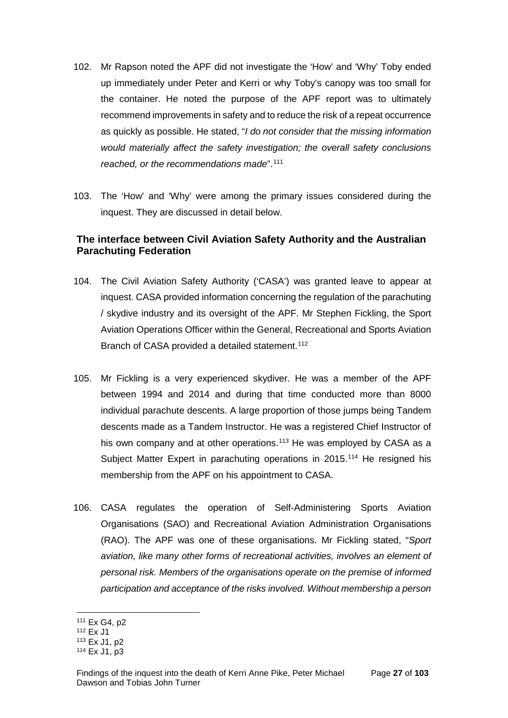- 102. Mr Rapson noted the APF did not investigate the 'How' and 'Why' Toby ended up immediately under Peter and Kerri or why Toby's canopy was too small for the container. He noted the purpose of the APF report was to ultimately recommend improvements in safety and to reduce the risk of a repeat occurrence as quickly as possible. He stated, "*I do not consider that the missing information would materially affect the safety investigation; the overall safety conclusions reached, or the recommendations made*".[111](#page-29-1)
- 103. The 'How' and 'Why' were among the primary issues considered during the inquest. They are discussed in detail below.

## <span id="page-29-0"></span>**The interface between Civil Aviation Safety Authority and the Australian Parachuting Federation**

- 104. The Civil Aviation Safety Authority ('CASA') was granted leave to appear at inquest. CASA provided information concerning the regulation of the parachuting / skydive industry and its oversight of the APF. Mr Stephen Fickling, the Sport Aviation Operations Officer within the General, Recreational and Sports Aviation Branch of CASA provided a detailed statement.<sup>[112](#page-29-2)</sup>
- 105. Mr Fickling is a very experienced skydiver. He was a member of the APF between 1994 and 2014 and during that time conducted more than 8000 individual parachute descents. A large proportion of those jumps being Tandem descents made as a Tandem Instructor. He was a registered Chief Instructor of his own company and at other operations.<sup>[113](#page-29-3)</sup> He was employed by CASA as a Subject Matter Expert in parachuting operations in 2015.<sup>[114](#page-29-4)</sup> He resigned his membership from the APF on his appointment to CASA.
- 106. CASA regulates the operation of Self-Administering Sports Aviation Organisations (SAO) and Recreational Aviation Administration Organisations (RAO). The APF was one of these organisations. Mr Fickling stated, "*Sport aviation, like many other forms of recreational activities, involves an element of personal risk. Members of the organisations operate on the premise of informed participation and acceptance of the risks involved. Without membership a person*

<sup>111</sup> Ex G4, p2  $\overline{a}$ 

<span id="page-29-2"></span><span id="page-29-1"></span><sup>112</sup> Ex J1

<span id="page-29-3"></span><sup>113</sup> Ex J1, p2

<span id="page-29-4"></span><sup>114</sup> Ex J1, p3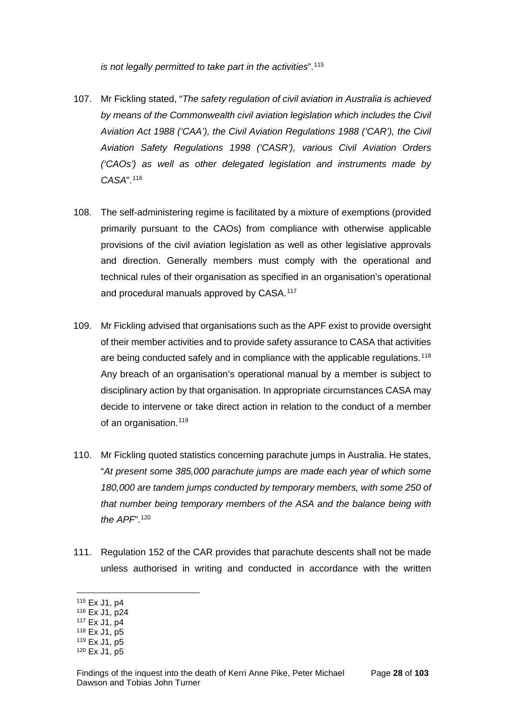*is not legally permitted to take part in the activities*".[115](#page-30-0)

- 107. Mr Fickling stated, "*The safety regulation of civil aviation in Australia is achieved by means of the Commonwealth civil aviation legislation which includes the Civil Aviation Act 1988 ('CAA'), the Civil Aviation Regulations 1988 ('CAR'), the Civil Aviation Safety Regulations 1998 ('CASR'), various Civil Aviation Orders ('CAOs') as well as other delegated legislation and instruments made by CASA*".[116](#page-30-1)
- 108. The self-administering regime is facilitated by a mixture of exemptions (provided primarily pursuant to the CAOs) from compliance with otherwise applicable provisions of the civil aviation legislation as well as other legislative approvals and direction. Generally members must comply with the operational and technical rules of their organisation as specified in an organisation's operational and procedural manuals approved by CASA.<sup>[117](#page-30-2)</sup>
- 109. Mr Fickling advised that organisations such as the APF exist to provide oversight of their member activities and to provide safety assurance to CASA that activities are being conducted safely and in compliance with the applicable regulations.<sup>[118](#page-30-3)</sup> Any breach of an organisation's operational manual by a member is subject to disciplinary action by that organisation. In appropriate circumstances CASA may decide to intervene or take direct action in relation to the conduct of a member of an organisation.<sup>[119](#page-30-4)</sup>
- 110. Mr Fickling quoted statistics concerning parachute jumps in Australia. He states, "*At present some 385,000 parachute jumps are made each year of which some 180,000 are tandem jumps conducted by temporary members, with some 250 of that number being temporary members of the ASA and the balance being with the APF*".[120](#page-30-5)
- 111. Regulation 152 of the CAR provides that parachute descents shall not be made unless authorised in writing and conducted in accordance with the written

<span id="page-30-0"></span><sup>115</sup> Ex J1, p4

<span id="page-30-1"></span><sup>116</sup> Ex J1, p24

<span id="page-30-2"></span><sup>117</sup> Ex J1, p4

<span id="page-30-3"></span><sup>118</sup> Ex J1, p5

<sup>119</sup> Ex J1, p5

<span id="page-30-5"></span><span id="page-30-4"></span><sup>120</sup> Ex J1, p5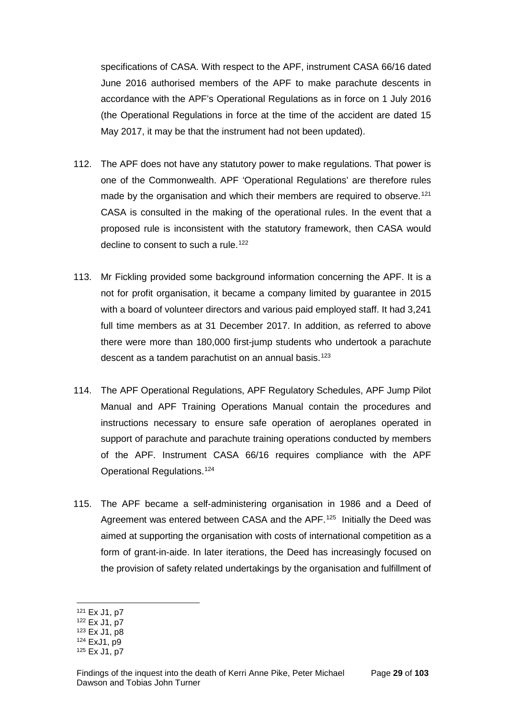specifications of CASA. With respect to the APF, instrument CASA 66/16 dated June 2016 authorised members of the APF to make parachute descents in accordance with the APF's Operational Regulations as in force on 1 July 2016 (the Operational Regulations in force at the time of the accident are dated 15 May 2017, it may be that the instrument had not been updated).

- 112. The APF does not have any statutory power to make regulations. That power is one of the Commonwealth. APF 'Operational Regulations' are therefore rules made by the organisation and which their members are required to observe.<sup>[121](#page-31-0)</sup> CASA is consulted in the making of the operational rules. In the event that a proposed rule is inconsistent with the statutory framework, then CASA would decline to consent to such a rule.<sup>[122](#page-31-1)</sup>
- 113. Mr Fickling provided some background information concerning the APF. It is a not for profit organisation, it became a company limited by guarantee in 2015 with a board of volunteer directors and various paid employed staff. It had 3,241 full time members as at 31 December 2017. In addition, as referred to above there were more than 180,000 first-jump students who undertook a parachute descent as a tandem parachutist on an annual basis.<sup>[123](#page-31-2)</sup>
- 114. The APF Operational Regulations, APF Regulatory Schedules, APF Jump Pilot Manual and APF Training Operations Manual contain the procedures and instructions necessary to ensure safe operation of aeroplanes operated in support of parachute and parachute training operations conducted by members of the APF. Instrument CASA 66/16 requires compliance with the APF Operational Regulations.[124](#page-31-3)
- 115. The APF became a self-administering organisation in 1986 and a Deed of Agreement was entered between CASA and the APF.<sup>125</sup> Initially the Deed was aimed at supporting the organisation with costs of international competition as a form of grant-in-aide. In later iterations, the Deed has increasingly focused on the provision of safety related undertakings by the organisation and fulfillment of

<sup>121</sup> Ex J1, p7

<span id="page-31-1"></span><span id="page-31-0"></span><sup>122</sup> Ex J1, p7

<span id="page-31-2"></span><sup>123</sup> Ex J1, p8

<span id="page-31-3"></span><sup>124</sup> ExJ1, p9

<span id="page-31-4"></span><sup>125</sup> Ex J1, p7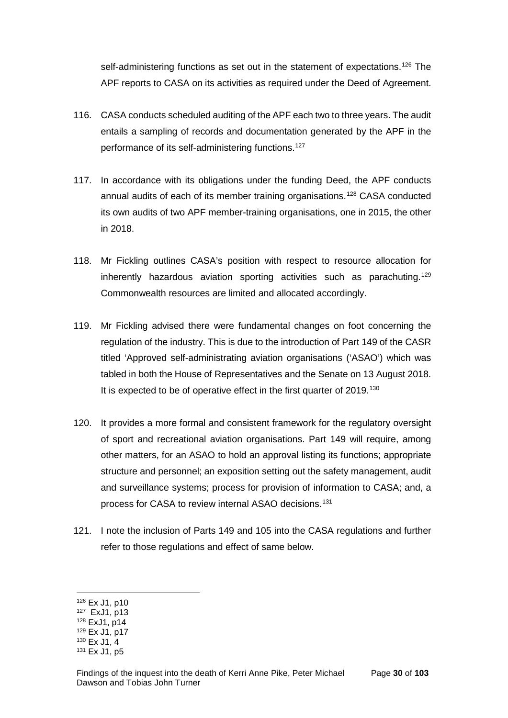self-administering functions as set out in the statement of expectations.<sup>[126](#page-32-0)</sup> The APF reports to CASA on its activities as required under the Deed of Agreement.

- 116. CASA conducts scheduled auditing of the APF each two to three years. The audit entails a sampling of records and documentation generated by the APF in the performance of its self-administering functions.<sup>[127](#page-32-1)</sup>
- 117. In accordance with its obligations under the funding Deed, the APF conducts annual audits of each of its member training organisations.[128](#page-32-2) CASA conducted its own audits of two APF member-training organisations, one in 2015, the other in 2018.
- 118. Mr Fickling outlines CASA's position with respect to resource allocation for inherently hazardous aviation sporting activities such as parachuting.<sup>[129](#page-32-3)</sup> Commonwealth resources are limited and allocated accordingly.
- 119. Mr Fickling advised there were fundamental changes on foot concerning the regulation of the industry. This is due to the introduction of Part 149 of the CASR titled 'Approved self-administrating aviation organisations ('ASAO') which was tabled in both the House of Representatives and the Senate on 13 August 2018. It is expected to be of operative effect in the first quarter of 2019.<sup>[130](#page-32-4)</sup>
- 120. It provides a more formal and consistent framework for the regulatory oversight of sport and recreational aviation organisations. Part 149 will require, among other matters, for an ASAO to hold an approval listing its functions; appropriate structure and personnel; an exposition setting out the safety management, audit and surveillance systems; process for provision of information to CASA; and, a process for CASA to review internal ASAO decisions. [131](#page-32-5)
- 121. I note the inclusion of Parts 149 and 105 into the CASA regulations and further refer to those regulations and effect of same below.

<span id="page-32-0"></span><sup>126</sup> Ex J1, p10

<span id="page-32-1"></span><sup>127</sup> ExJ1, p13

<span id="page-32-2"></span><sup>128</sup> ExJ1, p14 <sup>129</sup> Ex J1, p17

<span id="page-32-3"></span><sup>130</sup> Ex J1, 4

<span id="page-32-5"></span><span id="page-32-4"></span><sup>131</sup> Ex J1, p5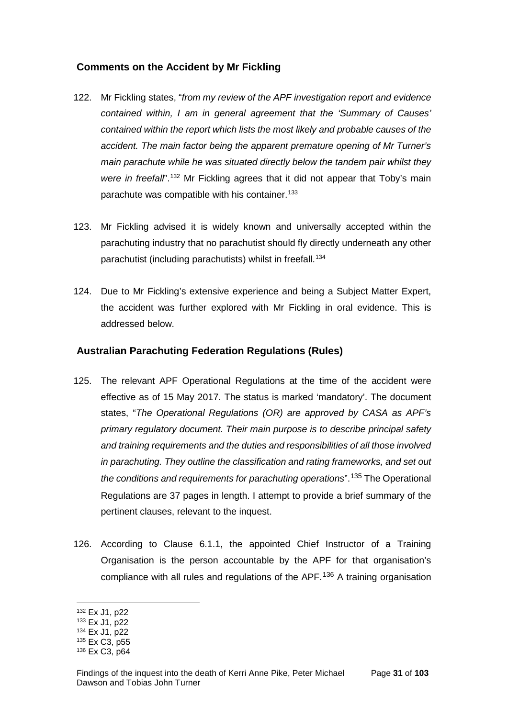## <span id="page-33-0"></span>**Comments on the Accident by Mr Fickling**

- 122. Mr Fickling states, "*from my review of the APF investigation report and evidence contained within, I am in general agreement that the 'Summary of Causes' contained within the report which lists the most likely and probable causes of the accident. The main factor being the apparent premature opening of Mr Turner's main parachute while he was situated directly below the tandem pair whilst they*  were in freefall<sup>".[132](#page-33-2)</sup> Mr Fickling agrees that it did not appear that Toby's main parachute was compatible with his container.<sup>[133](#page-33-3)</sup>
- 123. Mr Fickling advised it is widely known and universally accepted within the parachuting industry that no parachutist should fly directly underneath any other parachutist (including parachutists) whilst in freefall.<sup>[134](#page-33-4)</sup>
- 124. Due to Mr Fickling's extensive experience and being a Subject Matter Expert, the accident was further explored with Mr Fickling in oral evidence. This is addressed below.

### <span id="page-33-1"></span>**Australian Parachuting Federation Regulations (Rules)**

- 125. The relevant APF Operational Regulations at the time of the accident were effective as of 15 May 2017. The status is marked 'mandatory'. The document states, "*The Operational Regulations (OR) are approved by CASA as APF's primary regulatory document. Their main purpose is to describe principal safety and training requirements and the duties and responsibilities of all those involved in parachuting. They outline the classification and rating frameworks, and set out the conditions and requirements for parachuting operations*".[135](#page-33-5) The Operational Regulations are 37 pages in length. I attempt to provide a brief summary of the pertinent clauses, relevant to the inquest.
- 126. According to Clause 6.1.1, the appointed Chief Instructor of a Training Organisation is the person accountable by the APF for that organisation's compliance with all rules and regulations of the APF.[136](#page-33-6) A training organisation

<span id="page-33-2"></span><sup>132</sup> Ex J1, p22

<span id="page-33-3"></span><sup>133</sup> Ex J1, p22

<span id="page-33-4"></span><sup>134</sup> Ex J1, p22

<span id="page-33-5"></span><sup>135</sup> Ex C3, p55

<span id="page-33-6"></span><sup>136</sup> Ex C3, p64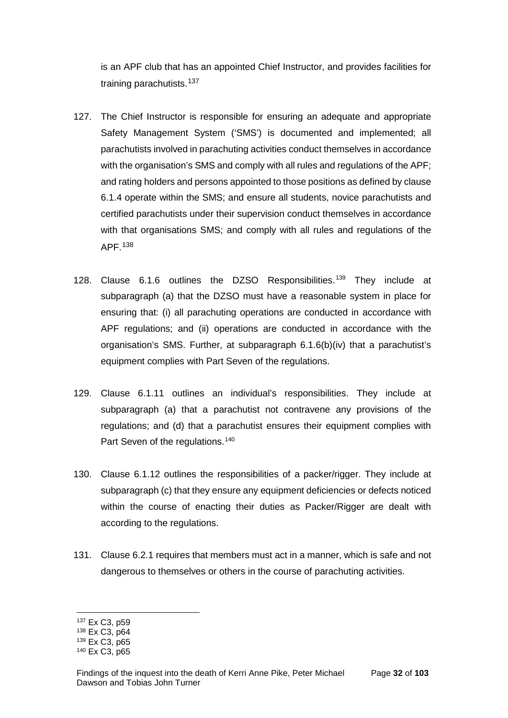is an APF club that has an appointed Chief Instructor, and provides facilities for training parachutists.<sup>[137](#page-34-0)</sup>

- 127. The Chief Instructor is responsible for ensuring an adequate and appropriate Safety Management System ('SMS') is documented and implemented; all parachutists involved in parachuting activities conduct themselves in accordance with the organisation's SMS and comply with all rules and regulations of the APF; and rating holders and persons appointed to those positions as defined by clause 6.1.4 operate within the SMS; and ensure all students, novice parachutists and certified parachutists under their supervision conduct themselves in accordance with that organisations SMS; and comply with all rules and regulations of the APF.[138](#page-34-1)
- 128. Clause 6.1.6 outlines the DZSO Responsibilities.[139](#page-34-2) They include at subparagraph (a) that the DZSO must have a reasonable system in place for ensuring that: (i) all parachuting operations are conducted in accordance with APF regulations; and (ii) operations are conducted in accordance with the organisation's SMS. Further, at subparagraph 6.1.6(b)(iv) that a parachutist's equipment complies with Part Seven of the regulations.
- 129. Clause 6.1.11 outlines an individual's responsibilities. They include at subparagraph (a) that a parachutist not contravene any provisions of the regulations; and (d) that a parachutist ensures their equipment complies with Part Seven of the regulations.<sup>[140](#page-34-3)</sup>
- 130. Clause 6.1.12 outlines the responsibilities of a packer/rigger. They include at subparagraph (c) that they ensure any equipment deficiencies or defects noticed within the course of enacting their duties as Packer/Rigger are dealt with according to the regulations.
- 131. Clause 6.2.1 requires that members must act in a manner, which is safe and not dangerous to themselves or others in the course of parachuting activities.

<sup>137</sup> Ex C3, p59  $\overline{a}$ 

<span id="page-34-1"></span><span id="page-34-0"></span><sup>138</sup> Ex C3, p64

<span id="page-34-2"></span><sup>139</sup> Ex C3, p65

<span id="page-34-3"></span><sup>140</sup> Ex C3, p65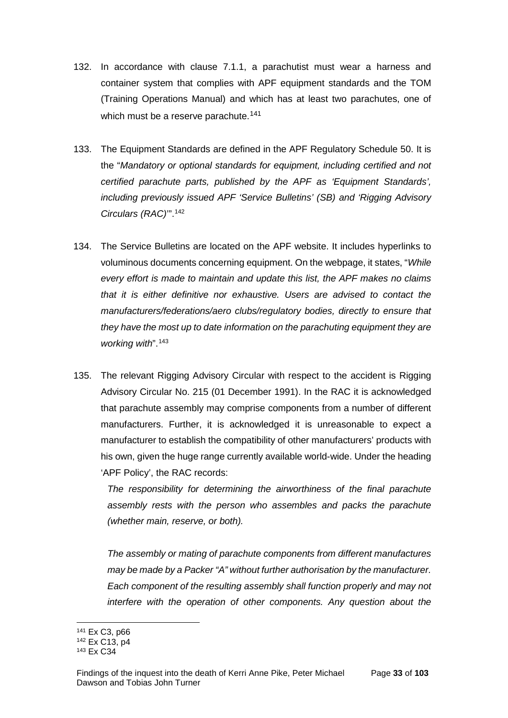- 132. In accordance with clause 7.1.1, a parachutist must wear a harness and container system that complies with APF equipment standards and the TOM (Training Operations Manual) and which has at least two parachutes, one of which must be a reserve parachute.<sup>[141](#page-35-0)</sup>
- 133. The Equipment Standards are defined in the APF Regulatory Schedule 50. It is the "*Mandatory or optional standards for equipment, including certified and not certified parachute parts, published by the APF as 'Equipment Standards', including previously issued APF 'Service Bulletins' (SB) and 'Rigging Advisory Circulars (RAC)*'".[142](#page-35-1)
- 134. The Service Bulletins are located on the APF website. It includes hyperlinks to voluminous documents concerning equipment. On the webpage, it states, "*While every effort is made to maintain and update this list, the APF makes no claims that it is either definitive nor exhaustive. Users are advised to contact the manufacturers/federations/aero clubs/regulatory bodies, directly to ensure that they have the most up to date information on the parachuting equipment they are working with*".[143](#page-35-2)
- 135. The relevant Rigging Advisory Circular with respect to the accident is Rigging Advisory Circular No. 215 (01 December 1991). In the RAC it is acknowledged that parachute assembly may comprise components from a number of different manufacturers. Further, it is acknowledged it is unreasonable to expect a manufacturer to establish the compatibility of other manufacturers' products with his own, given the huge range currently available world-wide. Under the heading 'APF Policy', the RAC records:

*The responsibility for determining the airworthiness of the final parachute assembly rests with the person who assembles and packs the parachute (whether main, reserve, or both).*

*The assembly or mating of parachute components from different manufactures may be made by a Packer "A" without further authorisation by the manufacturer. Each component of the resulting assembly shall function properly and may not interfere with the operation of other components. Any question about the* 

<sup>141</sup> Ex C3, p66  $\overline{a}$ 

<span id="page-35-1"></span><span id="page-35-0"></span><sup>142</sup> Ex C13, p4

<span id="page-35-2"></span><sup>143</sup> Ex C34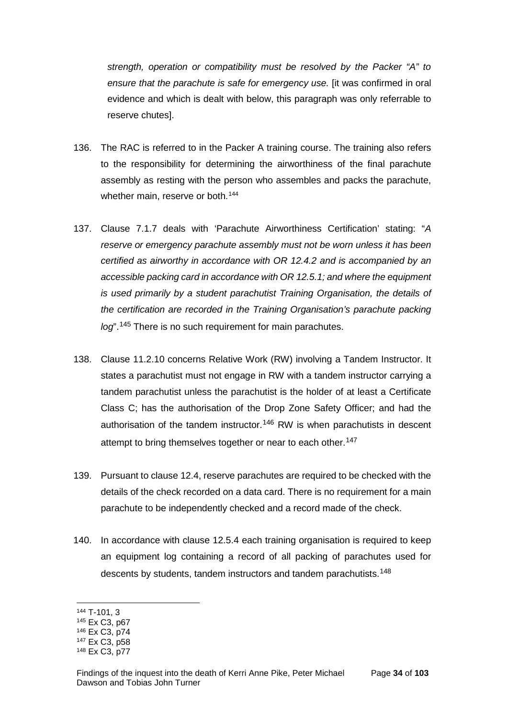*strength, operation or compatibility must be resolved by the Packer "A" to ensure that the parachute is safe for emergency use.* [it was confirmed in oral evidence and which is dealt with below, this paragraph was only referrable to reserve chutes].

- 136. The RAC is referred to in the Packer A training course. The training also refers to the responsibility for determining the airworthiness of the final parachute assembly as resting with the person who assembles and packs the parachute, whether main, reserve or both.<sup>[144](#page-36-0)</sup>
- 137. Clause 7.1.7 deals with 'Parachute Airworthiness Certification' stating: "*A reserve or emergency parachute assembly must not be worn unless it has been certified as airworthy in accordance with OR 12.4.2 and is accompanied by an accessible packing card in accordance with OR 12.5.1; and where the equipment is used primarily by a student parachutist Training Organisation, the details of the certification are recorded in the Training Organisation's parachute packing log*".[145](#page-36-1) There is no such requirement for main parachutes.
- 138. Clause 11.2.10 concerns Relative Work (RW) involving a Tandem Instructor. It states a parachutist must not engage in RW with a tandem instructor carrying a tandem parachutist unless the parachutist is the holder of at least a Certificate Class C; has the authorisation of the Drop Zone Safety Officer; and had the authorisation of the tandem instructor.<sup>[146](#page-36-2)</sup> RW is when parachutists in descent attempt to bring themselves together or near to each other.<sup>[147](#page-36-3)</sup>
- 139. Pursuant to clause 12.4, reserve parachutes are required to be checked with the details of the check recorded on a data card. There is no requirement for a main parachute to be independently checked and a record made of the check.
- 140. In accordance with clause 12.5.4 each training organisation is required to keep an equipment log containing a record of all packing of parachutes used for descents by students, tandem instructors and tandem parachutists.<sup>[148](#page-36-4)</sup>

<span id="page-36-0"></span><sup>144</sup> T-101, 3

<span id="page-36-1"></span><sup>145</sup> Ex C3, p67

<span id="page-36-2"></span><sup>146</sup> Ex C3, p74

<span id="page-36-3"></span><sup>147</sup> Ex C3, p58

<span id="page-36-4"></span><sup>148</sup> Ex C3, p77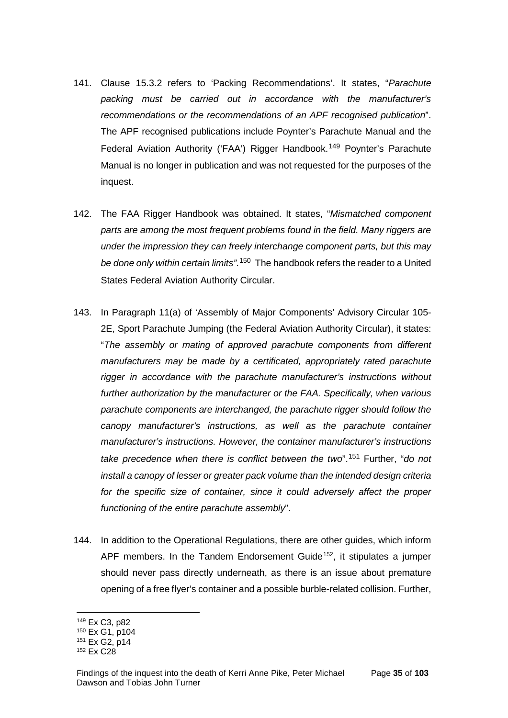- 141. Clause 15.3.2 refers to 'Packing Recommendations'. It states, "*Parachute packing must be carried out in accordance with the manufacturer's recommendations or the recommendations of an APF recognised publication*". The APF recognised publications include Poynter's Parachute Manual and the Federal Aviation Authority ('FAA') Rigger Handbook.<sup>[149](#page-37-0)</sup> Poynter's Parachute Manual is no longer in publication and was not requested for the purposes of the inquest.
- 142. The FAA Rigger Handbook was obtained. It states, "*Mismatched component parts are among the most frequent problems found in the field. Many riggers are under the impression they can freely interchange component parts, but this may be done only within certain limits"*. [150](#page-37-1) The handbook refers the reader to a United States Federal Aviation Authority Circular.
- 143. In Paragraph 11(a) of 'Assembly of Major Components' Advisory Circular 105- 2E, Sport Parachute Jumping (the Federal Aviation Authority Circular), it states: "*The assembly or mating of approved parachute components from different manufacturers may be made by a certificated, appropriately rated parachute rigger in accordance with the parachute manufacturer's instructions without further authorization by the manufacturer or the FAA. Specifically, when various parachute components are interchanged, the parachute rigger should follow the canopy manufacturer's instructions, as well as the parachute container manufacturer's instructions. However, the container manufacturer's instructions take precedence when there is conflict between the two*".[151](#page-37-2) Further, "*do not install a canopy of lesser or greater pack volume than the intended design criteria*  for the specific size of container, since it could adversely affect the proper *functioning of the entire parachute assembly*".
- 144. In addition to the Operational Regulations, there are other guides, which inform APF members. In the Tandem Endorsement Guide<sup>[152](#page-37-3)</sup>, it stipulates a jumper should never pass directly underneath, as there is an issue about premature opening of a free flyer's container and a possible burble-related collision. Further,

<span id="page-37-0"></span><sup>149</sup> Ex C3, p82

<span id="page-37-1"></span><sup>150</sup> Ex G1, p104

<span id="page-37-2"></span><sup>151</sup> Ex G2, p14

<span id="page-37-3"></span><sup>152</sup> Ex C28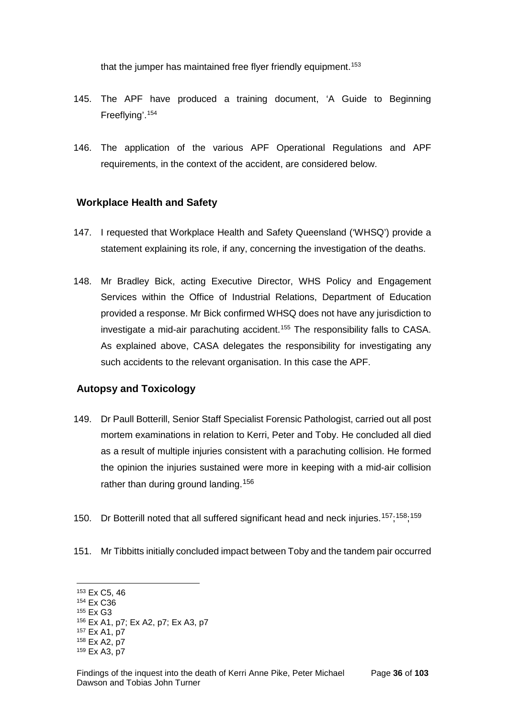that the jumper has maintained free flyer friendly equipment.<sup>[153](#page-38-0)</sup>

- 145. The APF have produced a training document, 'A Guide to Beginning Freeflying'.[154](#page-38-1)
- 146. The application of the various APF Operational Regulations and APF requirements, in the context of the accident, are considered below.

# **Workplace Health and Safety**

- 147. I requested that Workplace Health and Safety Queensland ('WHSQ') provide a statement explaining its role, if any, concerning the investigation of the deaths.
- 148. Mr Bradley Bick, acting Executive Director, WHS Policy and Engagement Services within the Office of Industrial Relations, Department of Education provided a response. Mr Bick confirmed WHSQ does not have any jurisdiction to investigate a mid-air parachuting accident.<sup>[155](#page-38-2)</sup> The responsibility falls to CASA. As explained above, CASA delegates the responsibility for investigating any such accidents to the relevant organisation. In this case the APF.

# **Autopsy and Toxicology**

- 149. Dr Paull Botterill, Senior Staff Specialist Forensic Pathologist, carried out all post mortem examinations in relation to Kerri, Peter and Toby. He concluded all died as a result of multiple injuries consistent with a parachuting collision. He formed the opinion the injuries sustained were more in keeping with a mid-air collision rather than during ground landing.<sup>[156](#page-38-3)</sup>
- 150. Dr Botterill noted that all suffered significant head and neck injuries.<sup>[157](#page-38-4)</sup>;<sup>[158](#page-38-5)</sup>;<sup>[159](#page-38-6)</sup>
- 151. Mr Tibbitts initially concluded impact between Toby and the tandem pair occurred

<span id="page-38-0"></span><sup>153</sup> Ex C5, 46  $\overline{a}$ 

<span id="page-38-1"></span><sup>154</sup> Ex C36

<span id="page-38-2"></span><sup>155</sup> Ex G3

<span id="page-38-3"></span><sup>156</sup> Ex A1, p7; Ex A2, p7; Ex A3, p7

<span id="page-38-4"></span><sup>157</sup> Ex A1, p7

<span id="page-38-5"></span><sup>158</sup> Ex A2, p7

<span id="page-38-6"></span><sup>159</sup> Ex A3, p7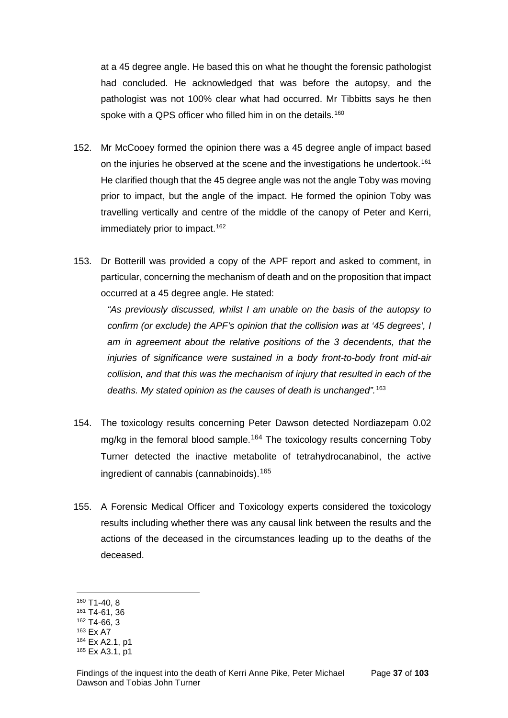at a 45 degree angle. He based this on what he thought the forensic pathologist had concluded. He acknowledged that was before the autopsy, and the pathologist was not 100% clear what had occurred. Mr Tibbitts says he then spoke with a QPS officer who filled him in on the details.<sup>[160](#page-39-0)</sup>

- 152. Mr McCooey formed the opinion there was a 45 degree angle of impact based on the injuries he observed at the scene and the investigations he undertook.<sup>[161](#page-39-1)</sup> He clarified though that the 45 degree angle was not the angle Toby was moving prior to impact, but the angle of the impact. He formed the opinion Toby was travelling vertically and centre of the middle of the canopy of Peter and Kerri, immediately prior to impact.<sup>[162](#page-39-2)</sup>
- 153. Dr Botterill was provided a copy of the APF report and asked to comment, in particular, concerning the mechanism of death and on the proposition that impact occurred at a 45 degree angle. He stated:

*"As previously discussed, whilst I am unable on the basis of the autopsy to confirm (or exclude) the APF's opinion that the collision was at '45 degrees', I am in agreement about the relative positions of the 3 decendents, that the injuries of significance were sustained in a body front-to-body front mid-air collision, and that this was the mechanism of injury that resulted in each of the deaths. My stated opinion as the causes of death is unchanged".* [163](#page-39-3)

- 154. The toxicology results concerning Peter Dawson detected Nordiazepam 0.02 mg/kg in the femoral blood sample.<sup>[164](#page-39-4)</sup> The toxicology results concerning Toby Turner detected the inactive metabolite of tetrahydrocanabinol, the active ingredient of cannabis (cannabinoids).<sup>[165](#page-39-5)</sup>
- 155. A Forensic Medical Officer and Toxicology experts considered the toxicology results including whether there was any causal link between the results and the actions of the deceased in the circumstances leading up to the deaths of the deceased.

<span id="page-39-0"></span><sup>160</sup> T1-40, 8

<span id="page-39-1"></span><sup>161</sup> T4-61, 36

<span id="page-39-2"></span><sup>162</sup> T4-66, 3

<span id="page-39-3"></span><sup>163</sup> Ex A7

<span id="page-39-4"></span><sup>164</sup> Ex A2.1, p1

<span id="page-39-5"></span><sup>165</sup> Ex A3.1, p1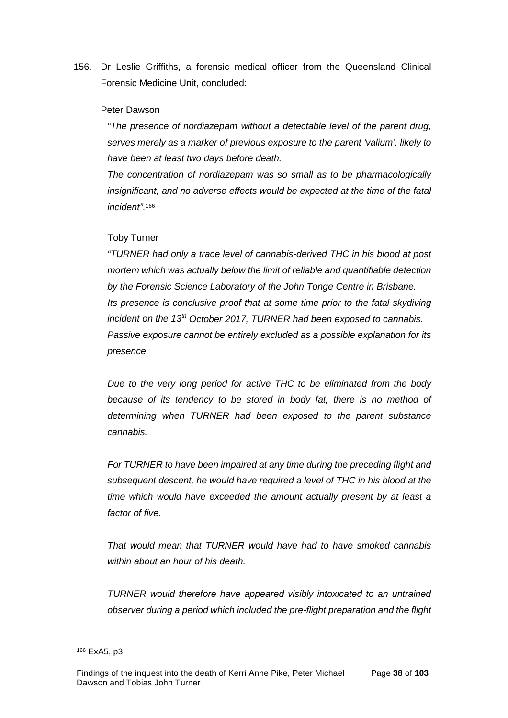156. Dr Leslie Griffiths, a forensic medical officer from the Queensland Clinical Forensic Medicine Unit, concluded:

#### Peter Dawson

*"The presence of nordiazepam without a detectable level of the parent drug, serves merely as a marker of previous exposure to the parent 'valium', likely to have been at least two days before death.*

*The concentration of nordiazepam was so small as to be pharmacologically insignificant, and no adverse effects would be expected at the time of the fatal incident"*.[166](#page-40-0)

## Toby Turner

*"TURNER had only a trace level of cannabis-derived THC in his blood at post mortem which was actually below the limit of reliable and quantifiable detection by the Forensic Science Laboratory of the John Tonge Centre in Brisbane. Its presence is conclusive proof that at some time prior to the fatal skydiving incident on the 13th October 2017, TURNER had been exposed to cannabis. Passive exposure cannot be entirely excluded as a possible explanation for its presence.*

*Due to the very long period for active THC to be eliminated from the body because of its tendency to be stored in body fat, there is no method of determining when TURNER had been exposed to the parent substance cannabis.*

*For TURNER to have been impaired at any time during the preceding flight and subsequent descent, he would have required a level of THC in his blood at the time which would have exceeded the amount actually present by at least a factor of five.*

*That would mean that TURNER would have had to have smoked cannabis within about an hour of his death.*

*TURNER would therefore have appeared visibly intoxicated to an untrained observer during a period which included the pre-flight preparation and the flight* 

<span id="page-40-0"></span><sup>166</sup> ExA5, p3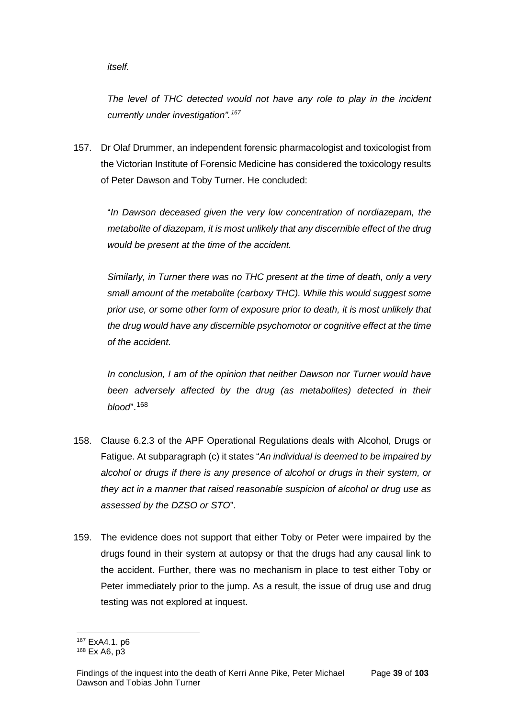*itself.* 

*The level of THC detected would not have any role to play in the incident currently under investigation".[167](#page-41-0)*

157. Dr Olaf Drummer, an independent forensic pharmacologist and toxicologist from the Victorian Institute of Forensic Medicine has considered the toxicology results of Peter Dawson and Toby Turner. He concluded:

"*In Dawson deceased given the very low concentration of nordiazepam, the metabolite of diazepam, it is most unlikely that any discernible effect of the drug would be present at the time of the accident.*

*Similarly, in Turner there was no THC present at the time of death, only a very small amount of the metabolite (carboxy THC). While this would suggest some prior use, or some other form of exposure prior to death, it is most unlikely that the drug would have any discernible psychomotor or cognitive effect at the time of the accident.*

*In conclusion, I am of the opinion that neither Dawson nor Turner would have been adversely affected by the drug (as metabolites) detected in their blood*".[168](#page-41-1)

- 158. Clause 6.2.3 of the APF Operational Regulations deals with Alcohol, Drugs or Fatigue. At subparagraph (c) it states "*An individual is deemed to be impaired by alcohol or drugs if there is any presence of alcohol or drugs in their system, or they act in a manner that raised reasonable suspicion of alcohol or drug use as assessed by the DZSO or STO*".
- 159. The evidence does not support that either Toby or Peter were impaired by the drugs found in their system at autopsy or that the drugs had any causal link to the accident. Further, there was no mechanism in place to test either Toby or Peter immediately prior to the jump. As a result, the issue of drug use and drug testing was not explored at inquest.

<sup>167</sup> ExA4.1. p6  $\overline{a}$ 

<span id="page-41-1"></span><span id="page-41-0"></span><sup>168</sup> Ex A6, p3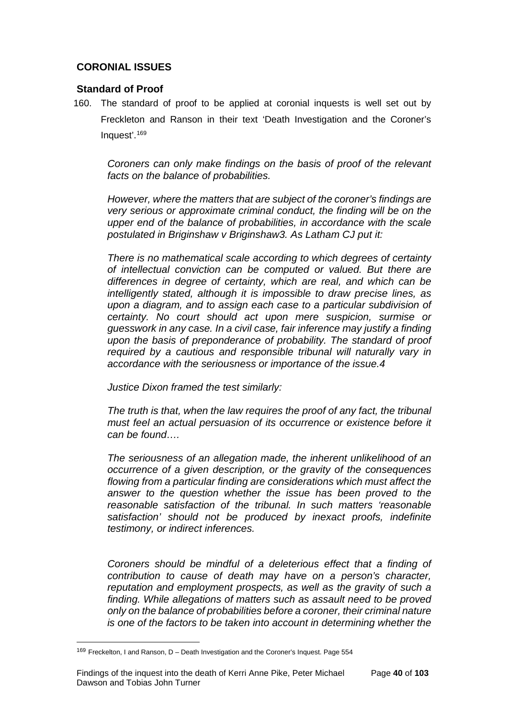# **CORONIAL ISSUES**

# **Standard of Proof**

160. The standard of proof to be applied at coronial inquests is well set out by Freckleton and Ranson in their text 'Death Investigation and the Coroner's Inquest'.[169](#page-42-0)

*Coroners can only make findings on the basis of proof of the relevant facts on the balance of probabilities.*

*However, where the matters that are subject of the coroner's findings are very serious or approximate criminal conduct, the finding will be on the upper end of the balance of probabilities, in accordance with the scale postulated in Briginshaw v Briginshaw3. As Latham CJ put it:*

*There is no mathematical scale according to which degrees of certainty of intellectual conviction can be computed or valued. But there are differences in degree of certainty, which are real, and which can be intelligently stated, although it is impossible to draw precise lines, as upon a diagram, and to assign each case to a particular subdivision of certainty. No court should act upon mere suspicion, surmise or guesswork in any case. In a civil case, fair inference may justify a finding upon the basis of preponderance of probability. The standard of proof required by a cautious and responsible tribunal will naturally vary in accordance with the seriousness or importance of the issue.4*

*Justice Dixon framed the test similarly:*

*The truth is that, when the law requires the proof of any fact, the tribunal must feel an actual persuasion of its occurrence or existence before it can be found….*

*The seriousness of an allegation made, the inherent unlikelihood of an occurrence of a given description, or the gravity of the consequences flowing from a particular finding are considerations which must affect the answer to the question whether the issue has been proved to the reasonable satisfaction of the tribunal. In such matters 'reasonable satisfaction' should not be produced by inexact proofs, indefinite testimony, or indirect inferences.*

*Coroners should be mindful of a deleterious effect that a finding of contribution to cause of death may have on a person's character, reputation and employment prospects, as well as the gravity of such a finding. While allegations of matters such as assault need to be proved only on the balance of probabilities before a coroner, their criminal nature is one of the factors to be taken into account in determining whether the* 

<span id="page-42-0"></span><sup>&</sup>lt;sup>169</sup> Freckelton, I and Ranson, D - Death Investigation and the Coroner's Inquest. Page 554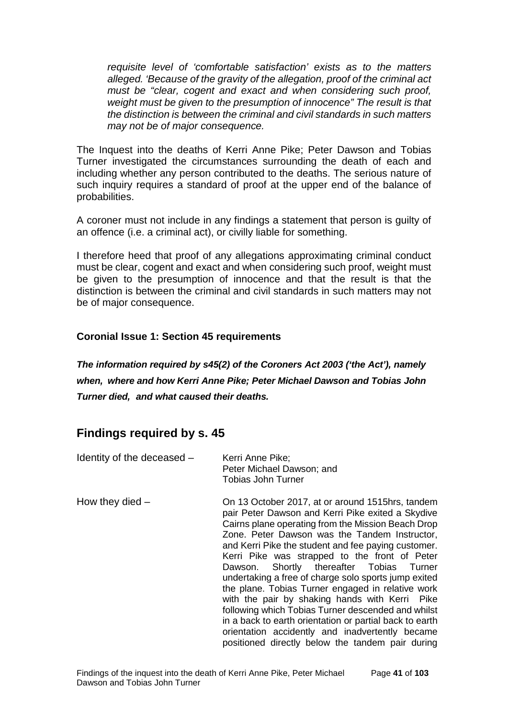*requisite level of 'comfortable satisfaction' exists as to the matters alleged. 'Because of the gravity of the allegation, proof of the criminal act must be "clear, cogent and exact and when considering such proof, weight must be given to the presumption of innocence" The result is that the distinction is between the criminal and civil standards in such matters may not be of major consequence.*

The Inquest into the deaths of Kerri Anne Pike; Peter Dawson and Tobias Turner investigated the circumstances surrounding the death of each and including whether any person contributed to the deaths. The serious nature of such inquiry requires a standard of proof at the upper end of the balance of probabilities.

A coroner must not include in any findings a statement that person is guilty of an offence (i.e. a criminal act), or civilly liable for something.

I therefore heed that proof of any allegations approximating criminal conduct must be clear, cogent and exact and when considering such proof, weight must be given to the presumption of innocence and that the result is that the distinction is between the criminal and civil standards in such matters may not be of major consequence.

# **Coronial Issue 1: Section 45 requirements**

*The information required by s45(2) of the Coroners Act 2003 ('the Act'), namely when, where and how Kerri Anne Pike; Peter Michael Dawson and Tobias John Turner died, and what caused their deaths.* 

# **Findings required by s. 45**

| Identity of the deceased - | Kerri Anne Pike;<br>Peter Michael Dawson; and<br><b>Tobias John Turner</b>                                                                                                                                                                                                                                                                                                                                                                                                                                                                                                                                                                                                                                                                              |
|----------------------------|---------------------------------------------------------------------------------------------------------------------------------------------------------------------------------------------------------------------------------------------------------------------------------------------------------------------------------------------------------------------------------------------------------------------------------------------------------------------------------------------------------------------------------------------------------------------------------------------------------------------------------------------------------------------------------------------------------------------------------------------------------|
| How they died $-$          | On 13 October 2017, at or around 1515hrs, tandem<br>pair Peter Dawson and Kerri Pike exited a Skydive<br>Cairns plane operating from the Mission Beach Drop<br>Zone. Peter Dawson was the Tandem Instructor,<br>and Kerri Pike the student and fee paying customer.<br>Kerri Pike was strapped to the front of Peter<br>Dawson. Shortly thereafter Tobias Turner<br>undertaking a free of charge solo sports jump exited<br>the plane. Tobias Turner engaged in relative work<br>with the pair by shaking hands with Kerri Pike<br>following which Tobias Turner descended and whilst<br>in a back to earth orientation or partial back to earth<br>orientation accidently and inadvertently became<br>positioned directly below the tandem pair during |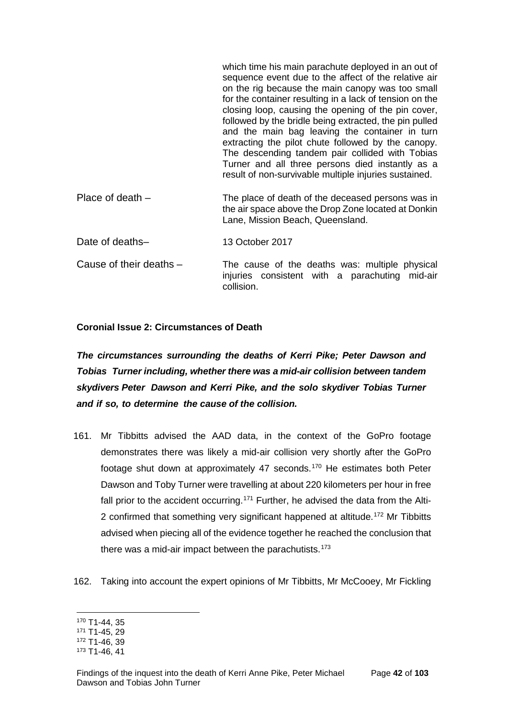which time his main parachute deployed in an out of sequence event due to the affect of the relative air on the rig because the main canopy was too small for the container resulting in a lack of tension on the closing loop, causing the opening of the pin cover, followed by the bridle being extracted, the pin pulled and the main bag leaving the container in turn extracting the pilot chute followed by the canopy. The descending tandem pair collided with Tobias Turner and all three persons died instantly as a result of non-survivable multiple injuries sustained. Place of death – The place of death of the deceased persons was in the air space above the Drop Zone located at Donkin Lane, Mission Beach, Queensland. Date of deaths– 13 October 2017 Cause of their deaths – The cause of the deaths was: multiple physical injuries consistent with a parachuting mid-air collision.

# **Coronial Issue 2: Circumstances of Death**

*The circumstances surrounding the deaths of Kerri Pike; Peter Dawson and Tobias Turner including, whether there was a mid-air collision between tandem skydivers Peter Dawson and Kerri Pike, and the solo skydiver Tobias Turner and if so, to determine the cause of the collision.*

- 161. Mr Tibbitts advised the AAD data, in the context of the GoPro footage demonstrates there was likely a mid-air collision very shortly after the GoPro footage shut down at approximately 47 seconds.[170](#page-44-0) He estimates both Peter Dawson and Toby Turner were travelling at about 220 kilometers per hour in free fall prior to the accident occurring.<sup>[171](#page-44-1)</sup> Further, he advised the data from the Alti-2 confirmed that something very significant happened at altitude.<sup>[172](#page-44-2)</sup> Mr Tibbitts advised when piecing all of the evidence together he reached the conclusion that there was a mid-air impact between the parachutists.[173](#page-44-3)
- 162. Taking into account the expert opinions of Mr Tibbitts, Mr McCooey, Mr Fickling

<sup>170</sup> T1-44, 35  $\overline{a}$ 

<span id="page-44-1"></span><span id="page-44-0"></span><sup>171</sup> T1-45, 29

<span id="page-44-2"></span><sup>172</sup> T1-46, 39

<span id="page-44-3"></span><sup>173</sup> T1-46, 41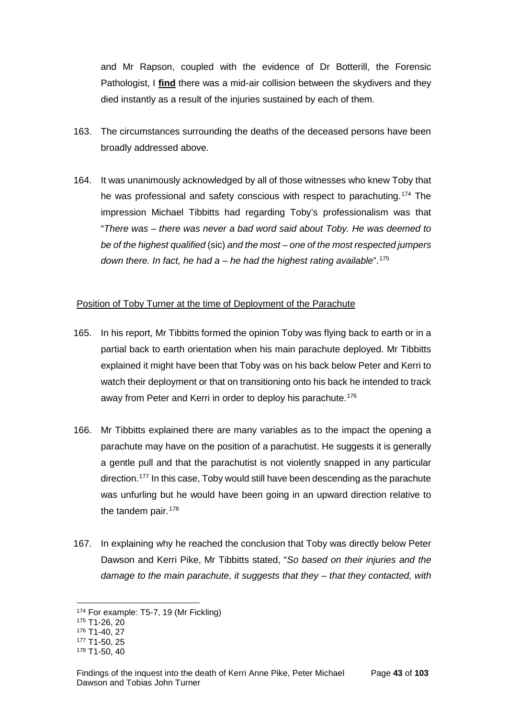and Mr Rapson, coupled with the evidence of Dr Botterill, the Forensic Pathologist, I **find** there was a mid-air collision between the skydivers and they died instantly as a result of the injuries sustained by each of them.

- 163. The circumstances surrounding the deaths of the deceased persons have been broadly addressed above.
- 164. It was unanimously acknowledged by all of those witnesses who knew Toby that he was professional and safety conscious with respect to parachuting.<sup>[174](#page-45-0)</sup> The impression Michael Tibbitts had regarding Toby's professionalism was that "*There was – there was never a bad word said about Toby. He was deemed to be of the highest qualified* (sic) *and the most – one of the most respected jumpers down there. In fact, he had a – he had the highest rating available*".[175](#page-45-1)

# Position of Toby Turner at the time of Deployment of the Parachute

- 165. In his report, Mr Tibbitts formed the opinion Toby was flying back to earth or in a partial back to earth orientation when his main parachute deployed. Mr Tibbitts explained it might have been that Toby was on his back below Peter and Kerri to watch their deployment or that on transitioning onto his back he intended to track away from Peter and Kerri in order to deploy his parachute.<sup>[176](#page-45-2)</sup>
- 166. Mr Tibbitts explained there are many variables as to the impact the opening a parachute may have on the position of a parachutist. He suggests it is generally a gentle pull and that the parachutist is not violently snapped in any particular direction.[177](#page-45-3) In this case, Toby would still have been descending as the parachute was unfurling but he would have been going in an upward direction relative to the tandem pair.<sup>[178](#page-45-4)</sup>
- 167. In explaining why he reached the conclusion that Toby was directly below Peter Dawson and Kerri Pike, Mr Tibbitts stated, "*So based on their injuries and the damage to the main parachute, it suggests that they – that they contacted, with*

<span id="page-45-0"></span><sup>174</sup> For example: T5-7, 19 (Mr Fickling)

<span id="page-45-1"></span><sup>175</sup> T1-26, 20

<span id="page-45-2"></span><sup>176</sup> T1-40, 27

<span id="page-45-3"></span><sup>177</sup> T1-50, 25

<span id="page-45-4"></span><sup>178</sup> T1-50, 40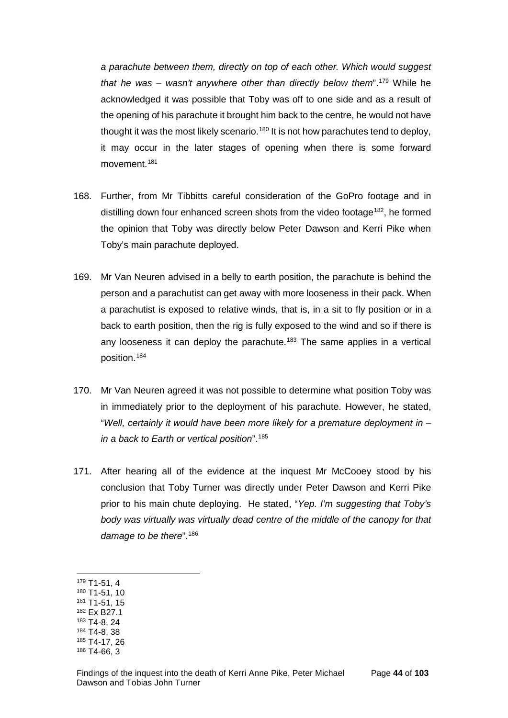*a parachute between them, directly on top of each other. Which would suggest that he was – wasn't anywhere other than directly below them*".[179](#page-46-0) While he acknowledged it was possible that Toby was off to one side and as a result of the opening of his parachute it brought him back to the centre, he would not have thought it was the most likely scenario.<sup>[180](#page-46-1)</sup> It is not how parachutes tend to deploy, it may occur in the later stages of opening when there is some forward movement.<sup>[181](#page-46-2)</sup>

- 168. Further, from Mr Tibbitts careful consideration of the GoPro footage and in distilling down four enhanced screen shots from the video footage<sup>182</sup>, he formed the opinion that Toby was directly below Peter Dawson and Kerri Pike when Toby's main parachute deployed.
- 169. Mr Van Neuren advised in a belly to earth position, the parachute is behind the person and a parachutist can get away with more looseness in their pack. When a parachutist is exposed to relative winds, that is, in a sit to fly position or in a back to earth position, then the rig is fully exposed to the wind and so if there is any looseness it can deploy the parachute.<sup>[183](#page-46-4)</sup> The same applies in a vertical position.[184](#page-46-5)
- 170. Mr Van Neuren agreed it was not possible to determine what position Toby was in immediately prior to the deployment of his parachute. However, he stated, "*Well, certainly it would have been more likely for a premature deployment in – in a back to Earth or vertical position*".[185](#page-46-6)
- 171. After hearing all of the evidence at the inquest Mr McCooey stood by his conclusion that Toby Turner was directly under Peter Dawson and Kerri Pike prior to his main chute deploying. He stated, "*Yep. I'm suggesting that Toby's body was virtually was virtually dead centre of the middle of the canopy for that*  damage to be there".<sup>[186](#page-46-7)</sup>
- <span id="page-46-0"></span><sup>179</sup> T1-51, 4

- <span id="page-46-1"></span><sup>180</sup> T1-51, 10
- <span id="page-46-2"></span><sup>181</sup> T1-51, 15 <sup>182</sup> Ex B27.1
- <span id="page-46-4"></span><span id="page-46-3"></span><sup>183</sup> T4-8, 24
- <span id="page-46-5"></span><sup>184</sup> T4-8, 38
- <span id="page-46-6"></span><sup>185</sup> T4-17, 26
- <span id="page-46-7"></span><sup>186</sup> T4-66, 3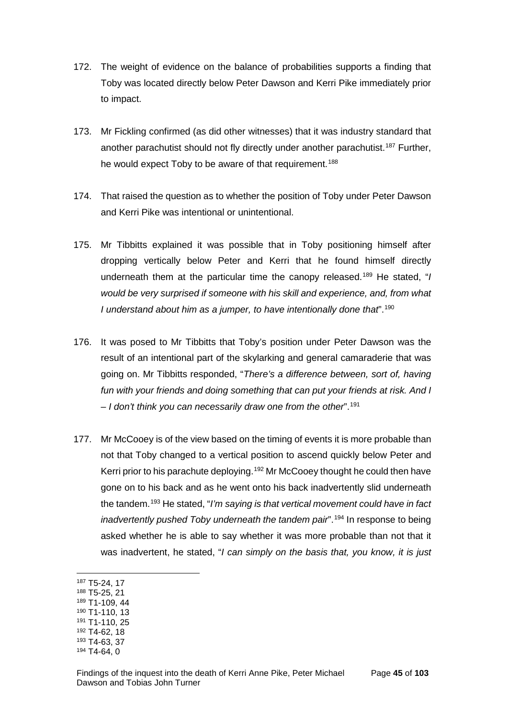- 172. The weight of evidence on the balance of probabilities supports a finding that Toby was located directly below Peter Dawson and Kerri Pike immediately prior to impact.
- 173. Mr Fickling confirmed (as did other witnesses) that it was industry standard that another parachutist should not fly directly under another parachutist.<sup>[187](#page-47-0)</sup> Further, he would expect Toby to be aware of that requirement.<sup>[188](#page-47-1)</sup>
- 174. That raised the question as to whether the position of Toby under Peter Dawson and Kerri Pike was intentional or unintentional.
- 175. Mr Tibbitts explained it was possible that in Toby positioning himself after dropping vertically below Peter and Kerri that he found himself directly underneath them at the particular time the canopy released.[189](#page-47-2) He stated, "*I would be very surprised if someone with his skill and experience, and, from what I understand about him as a jumper, to have intentionally done that*".[190](#page-47-3)
- 176. It was posed to Mr Tibbitts that Toby's position under Peter Dawson was the result of an intentional part of the skylarking and general camaraderie that was going on. Mr Tibbitts responded, "*There's a difference between, sort of, having fun with your friends and doing something that can put your friends at risk. And I – I don't think you can necessarily draw one from the other*".[191](#page-47-4)
- 177. Mr McCooey is of the view based on the timing of events it is more probable than not that Toby changed to a vertical position to ascend quickly below Peter and Kerri prior to his parachute deploving.<sup>[192](#page-47-5)</sup> Mr McCooey thought he could then have gone on to his back and as he went onto his back inadvertently slid underneath the tandem.[193](#page-47-6) He stated, "*I'm saying is that vertical movement could have in fact inadvertently pushed Toby underneath the tandem pair*".<sup>[194](#page-47-7)</sup> In response to being asked whether he is able to say whether it was more probable than not that it was inadvertent, he stated, "*I can simply on the basis that, you know, it is just*
- <span id="page-47-0"></span><sup>187</sup> T5-24, 17

- <span id="page-47-1"></span><sup>188</sup> T5-25, 21 <sup>189</sup> T1-109, 44
- <span id="page-47-2"></span><sup>190</sup> T1-110, 13
- <span id="page-47-4"></span><span id="page-47-3"></span><sup>191</sup> T1-110, 25
- <span id="page-47-5"></span><sup>192</sup> T4-62, 18
- <span id="page-47-6"></span><sup>193</sup> T4-63, 37
- <span id="page-47-7"></span><sup>194</sup> T4-64, 0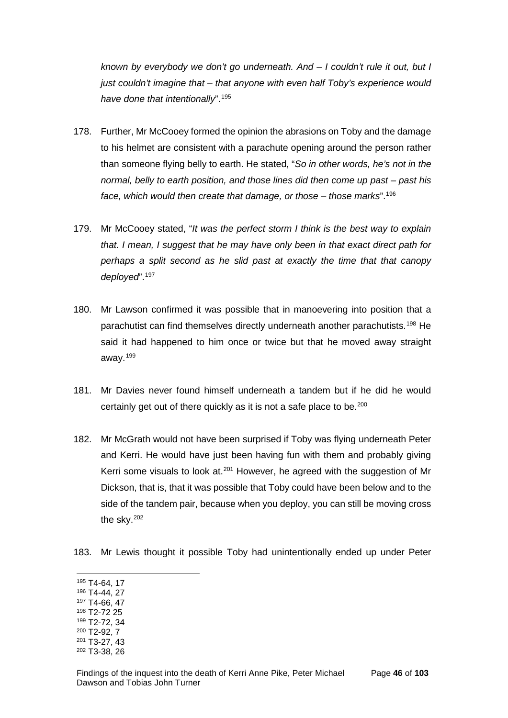*known by everybody we don't go underneath. And – I couldn't rule it out, but I just couldn't imagine that – that anyone with even half Toby's experience would have done that intentionally*".[195](#page-48-0)

- 178. Further, Mr McCooey formed the opinion the abrasions on Toby and the damage to his helmet are consistent with a parachute opening around the person rather than someone flying belly to earth. He stated, "*So in other words, he's not in the normal, belly to earth position, and those lines did then come up past – past his face, which would then create that damage, or those – those marks*".[196](#page-48-1)
- 179. Mr McCooey stated, "*It was the perfect storm I think is the best way to explain that. I mean, I suggest that he may have only been in that exact direct path for perhaps a split second as he slid past at exactly the time that that canopy deployed*".[197](#page-48-2)
- 180. Mr Lawson confirmed it was possible that in manoevering into position that a parachutist can find themselves directly underneath another parachutists.[198](#page-48-3) He said it had happened to him once or twice but that he moved away straight away.[199](#page-48-4)
- 181. Mr Davies never found himself underneath a tandem but if he did he would certainly get out of there quickly as it is not a safe place to be.<sup>[200](#page-48-5)</sup>
- 182. Mr McGrath would not have been surprised if Toby was flying underneath Peter and Kerri. He would have just been having fun with them and probably giving Kerri some visuals to look at. $201$  However, he agreed with the suggestion of Mr Dickson, that is, that it was possible that Toby could have been below and to the side of the tandem pair, because when you deploy, you can still be moving cross the sky.[202](#page-48-7)
- 183. Mr Lewis thought it possible Toby had unintentionally ended up under Peter
- <span id="page-48-0"></span><sup>195</sup> T4-64, 17  $\overline{a}$
- <span id="page-48-1"></span><sup>196</sup> T4-44, 27
- <span id="page-48-2"></span><sup>197</sup> T4-66, 47 <sup>198</sup> T2-72 25
- <span id="page-48-3"></span><sup>199</sup> T2-72, 34
- <span id="page-48-5"></span><span id="page-48-4"></span><sup>200</sup> T2-92, 7
- <span id="page-48-6"></span><sup>201</sup> T3-27, 43
- <span id="page-48-7"></span><sup>202</sup> T3-38, 26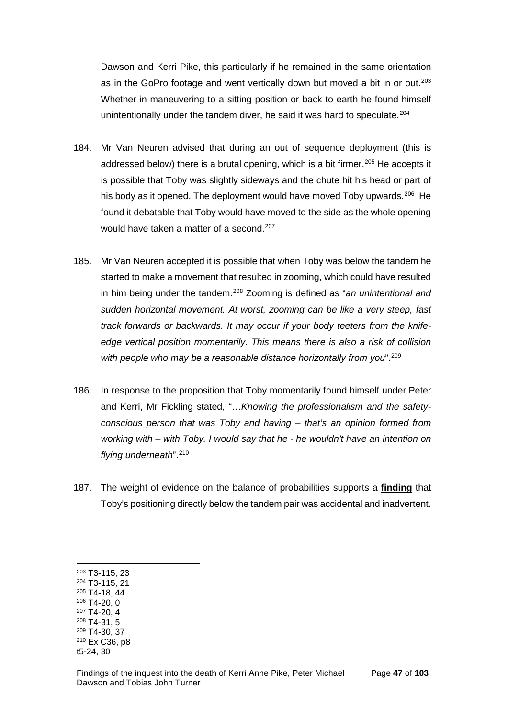Dawson and Kerri Pike, this particularly if he remained in the same orientation as in the GoPro footage and went vertically down but moved a bit in or out.<sup>[203](#page-49-0)</sup> Whether in maneuvering to a sitting position or back to earth he found himself unintentionally under the tandem diver, he said it was hard to speculate.<sup>[204](#page-49-1)</sup>

- 184. Mr Van Neuren advised that during an out of sequence deployment (this is addressed below) there is a brutal opening, which is a bit firmer.<sup>[205](#page-49-2)</sup> He accepts it is possible that Toby was slightly sideways and the chute hit his head or part of his body as it opened. The deployment would have moved Toby upwards.<sup>206</sup> He found it debatable that Toby would have moved to the side as the whole opening would have taken a matter of a second.<sup>[207](#page-49-4)</sup>
- 185. Mr Van Neuren accepted it is possible that when Toby was below the tandem he started to make a movement that resulted in zooming, which could have resulted in him being under the tandem.[208](#page-49-5) Zooming is defined as "*an unintentional and sudden horizontal movement. At worst, zooming can be like a very steep, fast track forwards or backwards. It may occur if your body teeters from the knifeedge vertical position momentarily. This means there is also a risk of collision with people who may be a reasonable distance horizontally from you*".[209](#page-49-6)
- 186. In response to the proposition that Toby momentarily found himself under Peter and Kerri, Mr Fickling stated, "…*Knowing the professionalism and the safetyconscious person that was Toby and having – that's an opinion formed from working with – with Toby. I would say that he - he wouldn't have an intention on flying underneath*".[210](#page-49-7)
- 187. The weight of evidence on the balance of probabilities supports a **finding** that Toby's positioning directly below the tandem pair was accidental and inadvertent.

 $\overline{a}$ 

<span id="page-49-2"></span><sup>205</sup> T4-18, 44 <sup>206</sup> T4-20, 0

- <sup>209</sup> T4-30, 37
- <span id="page-49-7"></span><span id="page-49-6"></span><sup>210</sup> Ex C36, p8

<span id="page-49-0"></span><sup>203</sup> T3-115, 23

<span id="page-49-1"></span><sup>204</sup> T3-115, 21

<span id="page-49-4"></span><span id="page-49-3"></span><sup>207</sup> T4-20, 4

<span id="page-49-5"></span><sup>208</sup> T4-31, 5

t5-24, 30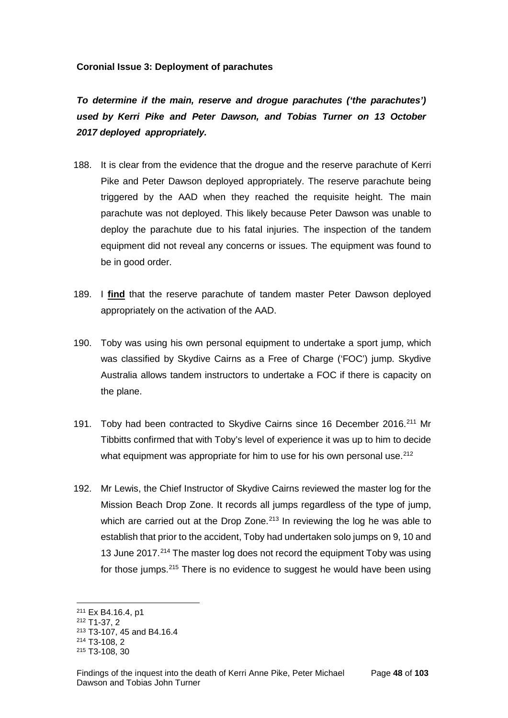## **Coronial Issue 3: Deployment of parachutes**

*To determine if the main, reserve and drogue parachutes ('the parachutes') used by Kerri Pike and Peter Dawson, and Tobias Turner on 13 October 2017 deployed appropriately.*

- 188. It is clear from the evidence that the drogue and the reserve parachute of Kerri Pike and Peter Dawson deployed appropriately. The reserve parachute being triggered by the AAD when they reached the requisite height. The main parachute was not deployed. This likely because Peter Dawson was unable to deploy the parachute due to his fatal injuries. The inspection of the tandem equipment did not reveal any concerns or issues. The equipment was found to be in good order.
- 189. I **find** that the reserve parachute of tandem master Peter Dawson deployed appropriately on the activation of the AAD.
- 190. Toby was using his own personal equipment to undertake a sport jump, which was classified by Skydive Cairns as a Free of Charge ('FOC') jump. Skydive Australia allows tandem instructors to undertake a FOC if there is capacity on the plane.
- 191. Toby had been contracted to Skydive Cairns since 16 December 2016.<sup>[211](#page-50-0)</sup> Mr Tibbitts confirmed that with Toby's level of experience it was up to him to decide what equipment was appropriate for him to use for his own personal use.<sup>[212](#page-50-1)</sup>
- 192. Mr Lewis, the Chief Instructor of Skydive Cairns reviewed the master log for the Mission Beach Drop Zone. It records all jumps regardless of the type of jump, which are carried out at the Drop Zone.<sup>[213](#page-50-2)</sup> In reviewing the log he was able to establish that prior to the accident, Toby had undertaken solo jumps on 9, 10 and 13 June 2017.<sup>[214](#page-50-3)</sup> The master log does not record the equipment Toby was using for those jumps.[215](#page-50-4) There is no evidence to suggest he would have been using

<sup>211</sup> Ex B4.16.4, p1  $\overline{a}$ 

<span id="page-50-1"></span><span id="page-50-0"></span><sup>212</sup> T1-37, 2

<span id="page-50-2"></span><sup>213</sup> T3-107, 45 and B4.16.4

<span id="page-50-3"></span><sup>214</sup> T3-108, 2

<span id="page-50-4"></span><sup>215</sup> T3-108, 30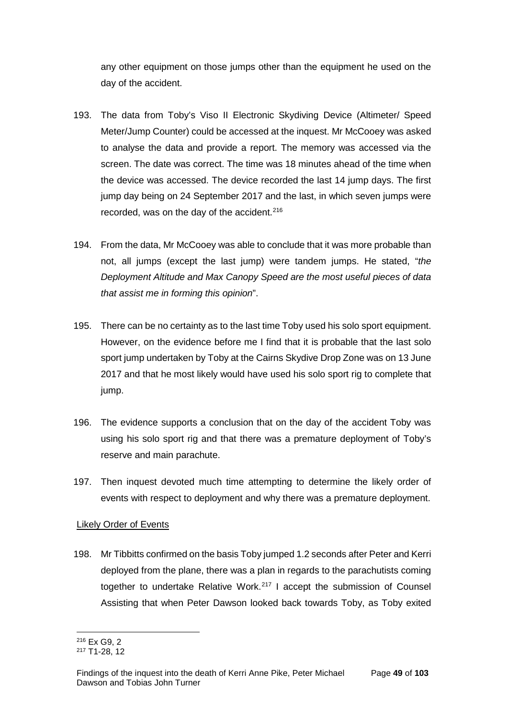any other equipment on those jumps other than the equipment he used on the day of the accident.

- 193. The data from Toby's Viso II Electronic Skydiving Device (Altimeter/ Speed Meter/Jump Counter) could be accessed at the inquest. Mr McCooey was asked to analyse the data and provide a report. The memory was accessed via the screen. The date was correct. The time was 18 minutes ahead of the time when the device was accessed. The device recorded the last 14 jump days. The first jump day being on 24 September 2017 and the last, in which seven jumps were recorded, was on the day of the accident.<sup>[216](#page-51-0)</sup>
- 194. From the data, Mr McCooey was able to conclude that it was more probable than not, all jumps (except the last jump) were tandem jumps. He stated, "*the Deployment Altitude and Max Canopy Speed are the most useful pieces of data that assist me in forming this opinion*".
- 195. There can be no certainty as to the last time Toby used his solo sport equipment. However, on the evidence before me I find that it is probable that the last solo sport jump undertaken by Toby at the Cairns Skydive Drop Zone was on 13 June 2017 and that he most likely would have used his solo sport rig to complete that jump.
- 196. The evidence supports a conclusion that on the day of the accident Toby was using his solo sport rig and that there was a premature deployment of Toby's reserve and main parachute.
- 197. Then inquest devoted much time attempting to determine the likely order of events with respect to deployment and why there was a premature deployment.

## Likely Order of Events

198. Mr Tibbitts confirmed on the basis Toby jumped 1.2 seconds after Peter and Kerri deployed from the plane, there was a plan in regards to the parachutists coming together to undertake Relative Work.[217](#page-51-1) I accept the submission of Counsel Assisting that when Peter Dawson looked back towards Toby, as Toby exited

<sup>216</sup> Ex G9, 2  $\overline{a}$ 

<span id="page-51-1"></span><span id="page-51-0"></span><sup>217</sup> T1-28, 12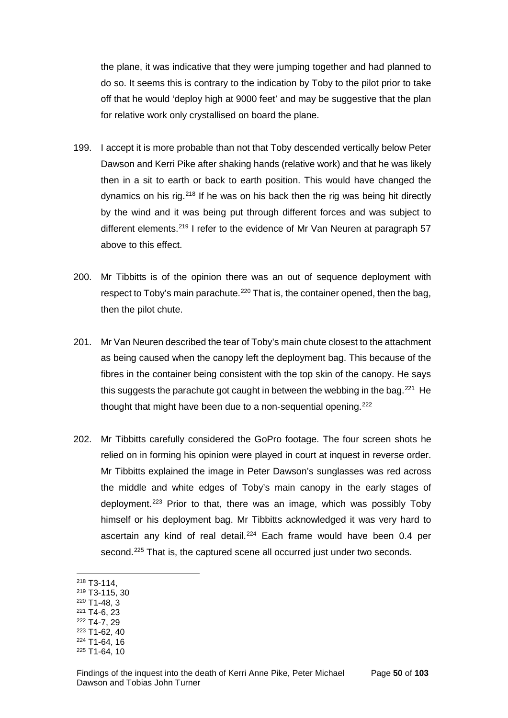the plane, it was indicative that they were jumping together and had planned to do so. It seems this is contrary to the indication by Toby to the pilot prior to take off that he would 'deploy high at 9000 feet' and may be suggestive that the plan for relative work only crystallised on board the plane.

- 199. I accept it is more probable than not that Toby descended vertically below Peter Dawson and Kerri Pike after shaking hands (relative work) and that he was likely then in a sit to earth or back to earth position. This would have changed the dynamics on his rig.<sup>[218](#page-52-0)</sup> If he was on his back then the rig was being hit directly by the wind and it was being put through different forces and was subject to different elements.<sup>[219](#page-52-1)</sup> I refer to the evidence of Mr Van Neuren at paragraph 57 above to this effect.
- 200. Mr Tibbitts is of the opinion there was an out of sequence deployment with respect to Toby's main parachute.<sup>[220](#page-52-2)</sup> That is, the container opened, then the bag, then the pilot chute.
- 201. Mr Van Neuren described the tear of Toby's main chute closest to the attachment as being caused when the canopy left the deployment bag. This because of the fibres in the container being consistent with the top skin of the canopy. He says this suggests the parachute got caught in between the webbing in the bag.<sup>[221](#page-52-3)</sup> He thought that might have been due to a non-sequential opening.<sup>[222](#page-52-4)</sup>
- 202. Mr Tibbitts carefully considered the GoPro footage. The four screen shots he relied on in forming his opinion were played in court at inquest in reverse order. Mr Tibbitts explained the image in Peter Dawson's sunglasses was red across the middle and white edges of Toby's main canopy in the early stages of deployment.[223](#page-52-5) Prior to that, there was an image, which was possibly Toby himself or his deployment bag. Mr Tibbitts acknowledged it was very hard to ascertain any kind of real detail.<sup>[224](#page-52-6)</sup> Each frame would have been 0.4 per second.<sup>[225](#page-52-7)</sup> That is, the captured scene all occurred just under two seconds.
- <span id="page-52-0"></span><sup>218</sup> T3-114,

- <span id="page-52-1"></span><sup>219</sup> T3-115, 30
- <span id="page-52-2"></span><sup>220</sup> T1-48, 3 <sup>221</sup> T4-6, 23
- <span id="page-52-4"></span><span id="page-52-3"></span><sup>222</sup> T4-7, 29
- <span id="page-52-5"></span><sup>223</sup> T1-62, 40
- <span id="page-52-6"></span><sup>224</sup> T1-64, 16
- <span id="page-52-7"></span><sup>225</sup> T1-64, 10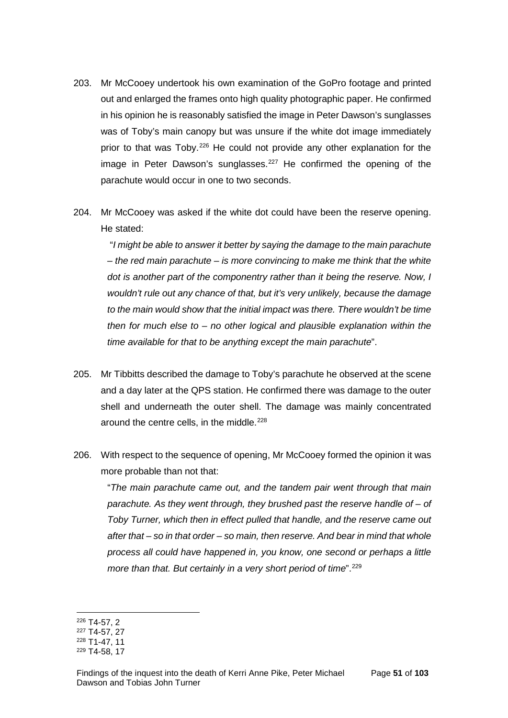- 203. Mr McCooey undertook his own examination of the GoPro footage and printed out and enlarged the frames onto high quality photographic paper. He confirmed in his opinion he is reasonably satisfied the image in Peter Dawson's sunglasses was of Toby's main canopy but was unsure if the white dot image immediately prior to that was Toby.[226](#page-53-0) He could not provide any other explanation for the image in Peter Dawson's sunglasses.<sup>[227](#page-53-1)</sup> He confirmed the opening of the parachute would occur in one to two seconds.
- 204. Mr McCooey was asked if the white dot could have been the reserve opening. He stated:

"*I might be able to answer it better by saying the damage to the main parachute – the red main parachute – is more convincing to make me think that the white dot is another part of the componentry rather than it being the reserve. Now, I wouldn't rule out any chance of that, but it's very unlikely, because the damage to the main would show that the initial impact was there. There wouldn't be time then for much else to – no other logical and plausible explanation within the time available for that to be anything except the main parachute*".

- 205. Mr Tibbitts described the damage to Toby's parachute he observed at the scene and a day later at the QPS station. He confirmed there was damage to the outer shell and underneath the outer shell. The damage was mainly concentrated around the centre cells, in the middle.<sup>[228](#page-53-2)</sup>
- 206. With respect to the sequence of opening, Mr McCooey formed the opinion it was more probable than not that:

"*The main parachute came out, and the tandem pair went through that main parachute. As they went through, they brushed past the reserve handle of – of Toby Turner, which then in effect pulled that handle, and the reserve came out after that – so in that order – so main, then reserve. And bear in mind that whole process all could have happened in, you know, one second or perhaps a little more than that. But certainly in a very short period of time*".<sup>[229](#page-53-3)</sup>

<sup>226</sup> T4-57, 2  $\overline{a}$ 

<span id="page-53-1"></span><span id="page-53-0"></span><sup>227</sup> T4-57, 27

<span id="page-53-2"></span><sup>228</sup> T1-47, 11

<span id="page-53-3"></span><sup>229</sup> T4-58, 17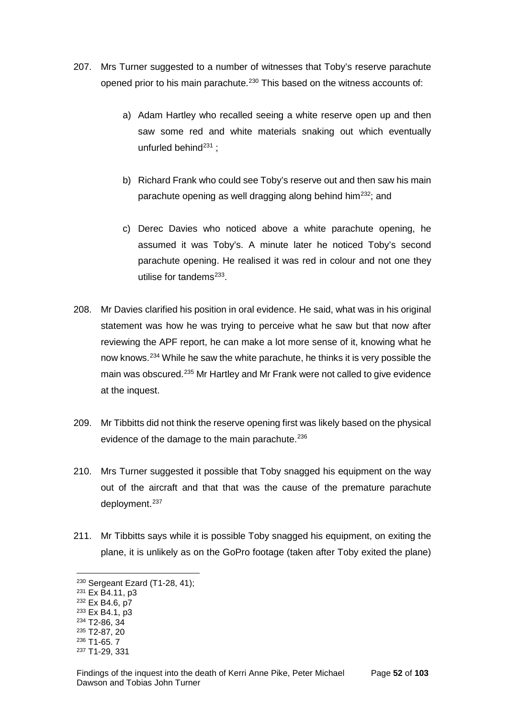- 207. Mrs Turner suggested to a number of witnesses that Toby's reserve parachute opened prior to his main parachute.<sup>[230](#page-54-0)</sup> This based on the witness accounts of:
	- a) Adam Hartley who recalled seeing a white reserve open up and then saw some red and white materials snaking out which eventually unfurled behind<sup>[231](#page-54-1)</sup> :
	- b) Richard Frank who could see Toby's reserve out and then saw his main parachute opening as well dragging along behind him[232](#page-54-2); and
	- c) Derec Davies who noticed above a white parachute opening, he assumed it was Toby's. A minute later he noticed Toby's second parachute opening. He realised it was red in colour and not one they utilise for tandems<sup>[233](#page-54-3)</sup>.
- 208. Mr Davies clarified his position in oral evidence. He said, what was in his original statement was how he was trying to perceive what he saw but that now after reviewing the APF report, he can make a lot more sense of it, knowing what he now knows.[234](#page-54-4) While he saw the white parachute, he thinks it is very possible the main was obscured.<sup>[235](#page-54-5)</sup> Mr Hartley and Mr Frank were not called to give evidence at the inquest.
- 209. Mr Tibbitts did not think the reserve opening first was likely based on the physical evidence of the damage to the main parachute.<sup>[236](#page-54-6)</sup>
- 210. Mrs Turner suggested it possible that Toby snagged his equipment on the way out of the aircraft and that that was the cause of the premature parachute deployment.<sup>[237](#page-54-7)</sup>
- 211. Mr Tibbitts says while it is possible Toby snagged his equipment, on exiting the plane, it is unlikely as on the GoPro footage (taken after Toby exited the plane)

<span id="page-54-0"></span><sup>230</sup> Sergeant Ezard (T1-28, 41);

<span id="page-54-1"></span><sup>231</sup> Ex B4.11, p3

<span id="page-54-2"></span><sup>232</sup> Ex B4.6, p7

<span id="page-54-3"></span><sup>233</sup> Ex B4.1, p3

<span id="page-54-4"></span><sup>234</sup> T2-86, 34

<span id="page-54-5"></span><sup>235</sup> T2-87, 20

<span id="page-54-6"></span><sup>236</sup> T1-65. 7

<span id="page-54-7"></span><sup>237</sup> T1-29, 331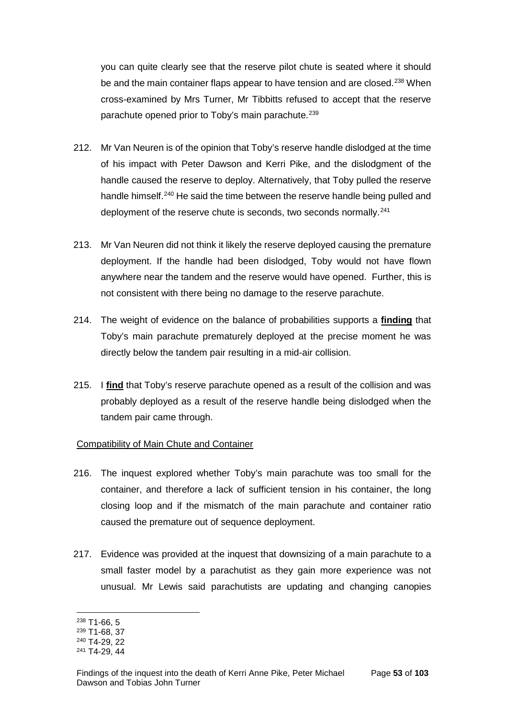you can quite clearly see that the reserve pilot chute is seated where it should be and the main container flaps appear to have tension and are closed.<sup>[238](#page-55-0)</sup> When cross-examined by Mrs Turner, Mr Tibbitts refused to accept that the reserve parachute opened prior to Toby's main parachute.<sup>[239](#page-55-1)</sup>

- 212. Mr Van Neuren is of the opinion that Toby's reserve handle dislodged at the time of his impact with Peter Dawson and Kerri Pike, and the dislodgment of the handle caused the reserve to deploy. Alternatively, that Toby pulled the reserve handle himself.<sup>[240](#page-55-2)</sup> He said the time between the reserve handle being pulled and deployment of the reserve chute is seconds, two seconds normally.<sup>[241](#page-55-3)</sup>
- 213. Mr Van Neuren did not think it likely the reserve deployed causing the premature deployment. If the handle had been dislodged, Toby would not have flown anywhere near the tandem and the reserve would have opened. Further, this is not consistent with there being no damage to the reserve parachute.
- 214. The weight of evidence on the balance of probabilities supports a **finding** that Toby's main parachute prematurely deployed at the precise moment he was directly below the tandem pair resulting in a mid-air collision.
- 215. I **find** that Toby's reserve parachute opened as a result of the collision and was probably deployed as a result of the reserve handle being dislodged when the tandem pair came through.

## Compatibility of Main Chute and Container

- 216. The inquest explored whether Toby's main parachute was too small for the container, and therefore a lack of sufficient tension in his container, the long closing loop and if the mismatch of the main parachute and container ratio caused the premature out of sequence deployment.
- 217. Evidence was provided at the inquest that downsizing of a main parachute to a small faster model by a parachutist as they gain more experience was not unusual. Mr Lewis said parachutists are updating and changing canopies

<sup>238</sup> T1-66, 5  $\overline{a}$ 

<span id="page-55-1"></span><span id="page-55-0"></span><sup>239</sup> T1-68, 37

<span id="page-55-2"></span><sup>240</sup> T4-29, 22

<span id="page-55-3"></span><sup>241</sup> T4-29, 44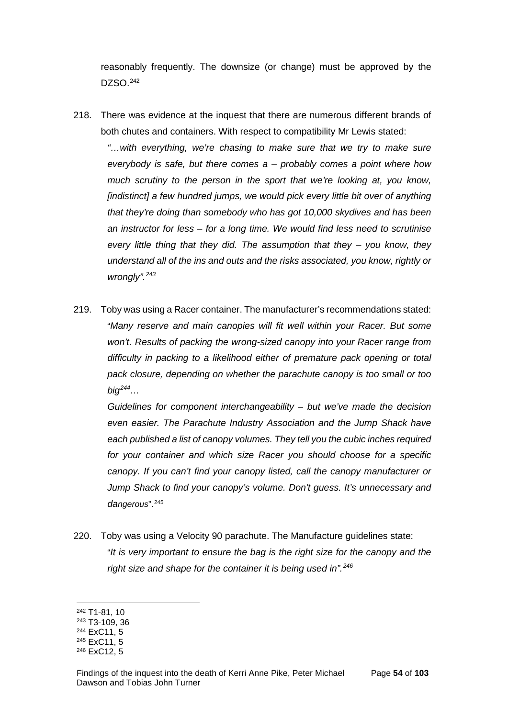reasonably frequently. The downsize (or change) must be approved by the DZSO.[242](#page-56-0)

218. There was evidence at the inquest that there are numerous different brands of both chutes and containers. With respect to compatibility Mr Lewis stated:

*"…with everything, we're chasing to make sure that we try to make sure everybody is safe, but there comes a – probably comes a point where how much scrutiny to the person in the sport that we're looking at, you know,*  [indistinct] a few hundred jumps, we would pick every little bit over of anything *that they're doing than somebody who has got 10,000 skydives and has been an instructor for less – for a long time. We would find less need to scrutinise every little thing that they did. The assumption that they – you know, they understand all of the ins and outs and the risks associated, you know, rightly or wrongly".[243](#page-56-1)*

219. Toby was using a Racer container. The manufacturer's recommendations stated: "*Many reserve and main canopies will fit well within your Racer. But some won't. Results of packing the wrong-sized canopy into your Racer range from difficulty in packing to a likelihood either of premature pack opening or total pack closure, depending on whether the parachute canopy is too small or too big[244…](#page-56-2)*

*Guidelines for component interchangeability – but we've made the decision even easier. The Parachute Industry Association and the Jump Shack have each published a list of canopy volumes. They tell you the cubic inches required for your container and which size Racer you should choose for a specific canopy. If you can't find your canopy listed, call the canopy manufacturer or Jump Shack to find your canopy's volume. Don't guess. It's unnecessary and dangerous*".[245](#page-56-3)

220. Toby was using a Velocity 90 parachute. The Manufacture guidelines state: "*It is very important to ensure the bag is the right size for the canopy and the right size and shape for the container it is being used in".[246](#page-56-4)*

<span id="page-56-0"></span><sup>242</sup> T1-81, 10

<span id="page-56-1"></span><sup>243</sup> T3-109, 36

<span id="page-56-2"></span><sup>244</sup> ExC11, 5

<span id="page-56-3"></span><sup>245</sup> ExC11, 5

<span id="page-56-4"></span><sup>246</sup> ExC12, 5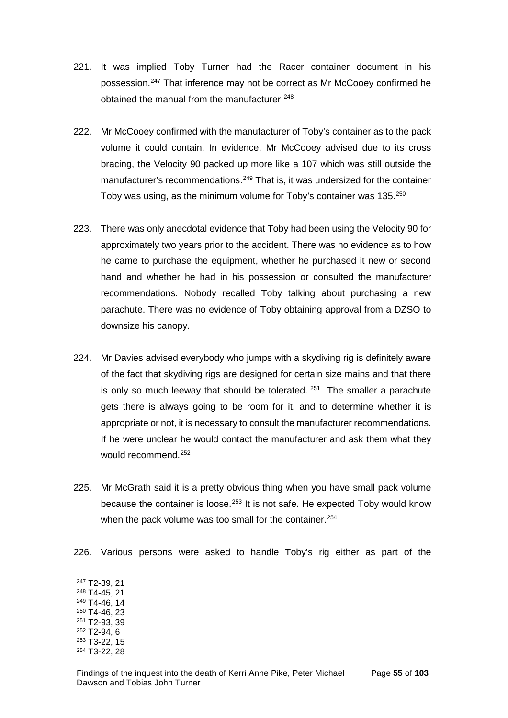- 221. It was implied Toby Turner had the Racer container document in his possession.[247](#page-57-0) That inference may not be correct as Mr McCooey confirmed he obtained the manual from the manufacturer.<sup>[248](#page-57-1)</sup>
- 222. Mr McCooey confirmed with the manufacturer of Toby's container as to the pack volume it could contain. In evidence, Mr McCooey advised due to its cross bracing, the Velocity 90 packed up more like a 107 which was still outside the manufacturer's recommendations.<sup>[249](#page-57-2)</sup> That is, it was undersized for the container Toby was using, as the minimum volume for Toby's container was 135.[250](#page-57-3)
- 223. There was only anecdotal evidence that Toby had been using the Velocity 90 for approximately two years prior to the accident. There was no evidence as to how he came to purchase the equipment, whether he purchased it new or second hand and whether he had in his possession or consulted the manufacturer recommendations. Nobody recalled Toby talking about purchasing a new parachute. There was no evidence of Toby obtaining approval from a DZSO to downsize his canopy.
- 224. Mr Davies advised everybody who jumps with a skydiving rig is definitely aware of the fact that skydiving rigs are designed for certain size mains and that there is only so much leeway that should be tolerated.  $251$  The smaller a parachute gets there is always going to be room for it, and to determine whether it is appropriate or not, it is necessary to consult the manufacturer recommendations. If he were unclear he would contact the manufacturer and ask them what they would recommend.<sup>[252](#page-57-5)</sup>
- 225. Mr McGrath said it is a pretty obvious thing when you have small pack volume because the container is loose. $253$  It is not safe. He expected Toby would know when the pack volume was too small for the container.<sup>[254](#page-57-7)</sup>
- 226. Various persons were asked to handle Toby's rig either as part of the
- <span id="page-57-0"></span><sup>247</sup> T2-39, 21

- <span id="page-57-1"></span><sup>248</sup> T4-45, 21
- <span id="page-57-2"></span><sup>249</sup> T4-46, 14
- <span id="page-57-3"></span><sup>250</sup> T4-46, 23 <sup>251</sup> T2-93, 39
- <span id="page-57-4"></span><sup>252</sup> T2-94, 6
- <span id="page-57-5"></span><sup>253</sup> T3-22, 15
- <span id="page-57-7"></span><span id="page-57-6"></span><sup>254</sup> T3-22, 28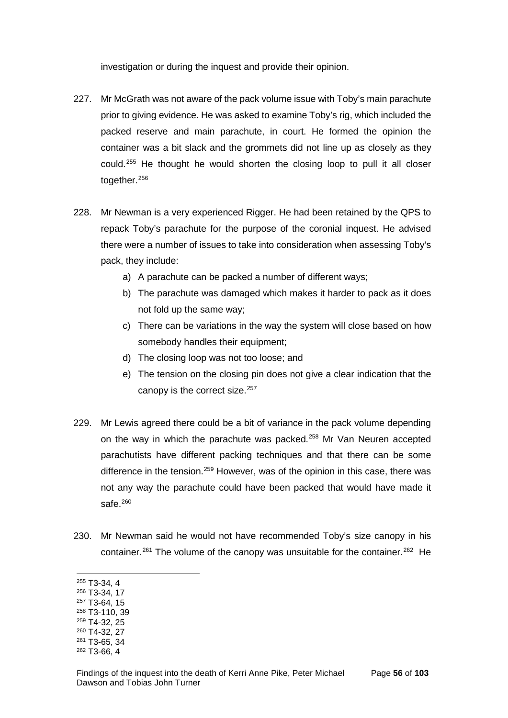investigation or during the inquest and provide their opinion.

- 227. Mr McGrath was not aware of the pack volume issue with Toby's main parachute prior to giving evidence. He was asked to examine Toby's rig, which included the packed reserve and main parachute, in court. He formed the opinion the container was a bit slack and the grommets did not line up as closely as they could.[255](#page-58-0) He thought he would shorten the closing loop to pull it all closer together.[256](#page-58-1)
- 228. Mr Newman is a very experienced Rigger. He had been retained by the QPS to repack Toby's parachute for the purpose of the coronial inquest. He advised there were a number of issues to take into consideration when assessing Toby's pack, they include:
	- a) A parachute can be packed a number of different ways;
	- b) The parachute was damaged which makes it harder to pack as it does not fold up the same way;
	- c) There can be variations in the way the system will close based on how somebody handles their equipment;
	- d) The closing loop was not too loose; and
	- e) The tension on the closing pin does not give a clear indication that the canopy is the correct size.<sup>[257](#page-58-2)</sup>
- 229. Mr Lewis agreed there could be a bit of variance in the pack volume depending on the way in which the parachute was packed.<sup>[258](#page-58-3)</sup> Mr Van Neuren accepted parachutists have different packing techniques and that there can be some difference in the tension.[259](#page-58-4) However, was of the opinion in this case, there was not any way the parachute could have been packed that would have made it safe $260$
- 230. Mr Newman said he would not have recommended Toby's size canopy in his container.<sup>[261](#page-58-6)</sup> The volume of the canopy was unsuitable for the container.<sup>[262](#page-58-7)</sup> He
- <span id="page-58-0"></span><sup>255</sup> T3-34, 4  $\overline{a}$
- <span id="page-58-1"></span><sup>256</sup> T3-34, 17
- <span id="page-58-2"></span><sup>257</sup> T3-64, 15
- <span id="page-58-3"></span><sup>258</sup> T3-110, 39
- <span id="page-58-4"></span><sup>259</sup> T4-32, 25 <sup>260</sup> T4-32, 27
- <span id="page-58-5"></span><sup>261</sup> T3-65, 34
- <span id="page-58-7"></span><span id="page-58-6"></span><sup>262</sup> T3-66, 4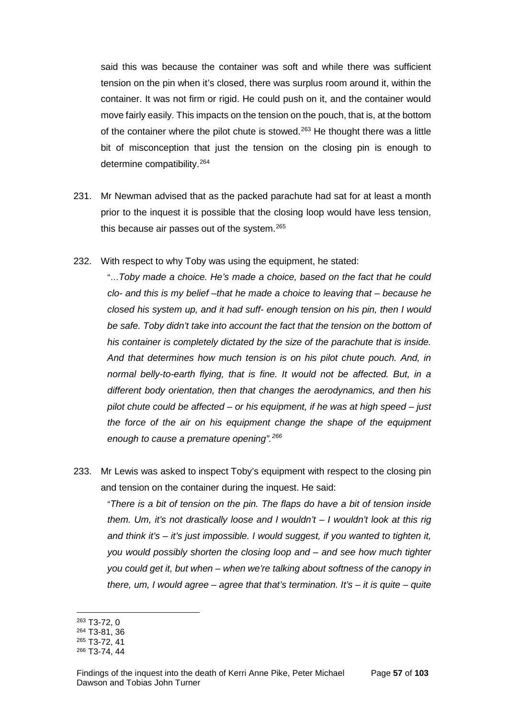said this was because the container was soft and while there was sufficient tension on the pin when it's closed, there was surplus room around it, within the container. It was not firm or rigid. He could push on it, and the container would move fairly easily. This impacts on the tension on the pouch, that is, at the bottom of the container where the pilot chute is stowed.<sup>[263](#page-59-0)</sup> He thought there was a little bit of misconception that just the tension on the closing pin is enough to determine compatibility.[264](#page-59-1)

- 231. Mr Newman advised that as the packed parachute had sat for at least a month prior to the inquest it is possible that the closing loop would have less tension, this because air passes out of the system.<sup>[265](#page-59-2)</sup>
- 232. With respect to why Toby was using the equipment, he stated:

"…*Toby made a choice. He's made a choice, based on the fact that he could clo- and this is my belief –that he made a choice to leaving that – because he closed his system up, and it had suff- enough tension on his pin, then I would be safe. Toby didn't take into account the fact that the tension on the bottom of his container is completely dictated by the size of the parachute that is inside. And that determines how much tension is on his pilot chute pouch. And, in normal belly-to-earth flying, that is fine. It would not be affected. But, in a different body orientation, then that changes the aerodynamics, and then his pilot chute could be affected – or his equipment, if he was at high speed – just the force of the air on his equipment change the shape of the equipment enough to cause a premature opening".[266](#page-59-3)*

233. Mr Lewis was asked to inspect Toby's equipment with respect to the closing pin and tension on the container during the inquest. He said:

"*There is a bit of tension on the pin. The flaps do have a bit of tension inside them. Um, it's not drastically loose and I wouldn't – I wouldn't look at this rig and think it's – it's just impossible. I would suggest, if you wanted to tighten it, you would possibly shorten the closing loop and – and see how much tighter you could get it, but when – when we're talking about softness of the canopy in there, um, I would agree – agree that that's termination. It's – it is quite – quite* 

<sup>263</sup> T3-72, 0  $\overline{a}$ 

<span id="page-59-1"></span><span id="page-59-0"></span><sup>264</sup> T3-81, 36

<span id="page-59-2"></span><sup>265</sup> T3-72, 41

<span id="page-59-3"></span><sup>266</sup> T3-74, 44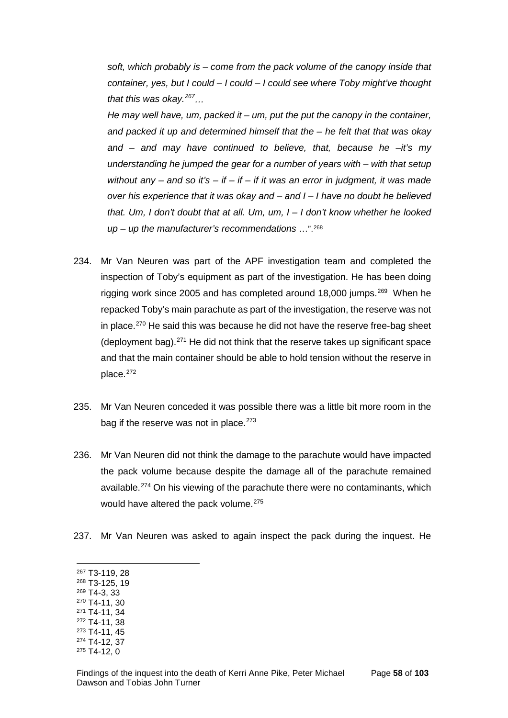*soft, which probably is – come from the pack volume of the canopy inside that container, yes, but I could – I could – I could see where Toby might've thought that this was okay.[267](#page-60-0)…*

*He may well have, um, packed it – um, put the put the canopy in the container, and packed it up and determined himself that the – he felt that that was okay and – and may have continued to believe, that, because he –it's my understanding he jumped the gear for a number of years with – with that setup without any – and so it's – if – if – if it was an error in judgment, it was made over his experience that it was okay and – and I – I have no doubt he believed that. Um, I don't doubt that at all. Um, um, I – I don't know whether he looked up – up the manufacturer's recommendations* …".[268](#page-60-1)

- 234. Mr Van Neuren was part of the APF investigation team and completed the inspection of Toby's equipment as part of the investigation. He has been doing rigging work since 2005 and has completed around 18,000 jumps.<sup>[269](#page-60-2)</sup> When he repacked Toby's main parachute as part of the investigation, the reserve was not in place. $270$  He said this was because he did not have the reserve free-bag sheet (deployment bag). $271$  He did not think that the reserve takes up significant space and that the main container should be able to hold tension without the reserve in place.[272](#page-60-5)
- 235. Mr Van Neuren conceded it was possible there was a little bit more room in the bag if the reserve was not in place. $273$
- 236. Mr Van Neuren did not think the damage to the parachute would have impacted the pack volume because despite the damage all of the parachute remained available.[274](#page-60-7) On his viewing of the parachute there were no contaminants, which would have altered the pack volume.<sup>[275](#page-60-8)</sup>
- 237. Mr Van Neuren was asked to again inspect the pack during the inquest. He
- <sup>267</sup> T3-119, 28  $\overline{a}$
- <span id="page-60-1"></span><span id="page-60-0"></span><sup>268</sup> T3-125, 19
- <span id="page-60-2"></span><sup>269</sup> T4-3, 33
- <span id="page-60-3"></span><sup>270</sup> T4-11, 30 <sup>271</sup> T4-11, 34
- <span id="page-60-5"></span><span id="page-60-4"></span><sup>272</sup> T4-11, 38
- <span id="page-60-6"></span><sup>273</sup> T4-11, 45
- <span id="page-60-7"></span><sup>274</sup> T4-12, 37
- <span id="page-60-8"></span><sup>275</sup> T4-12, 0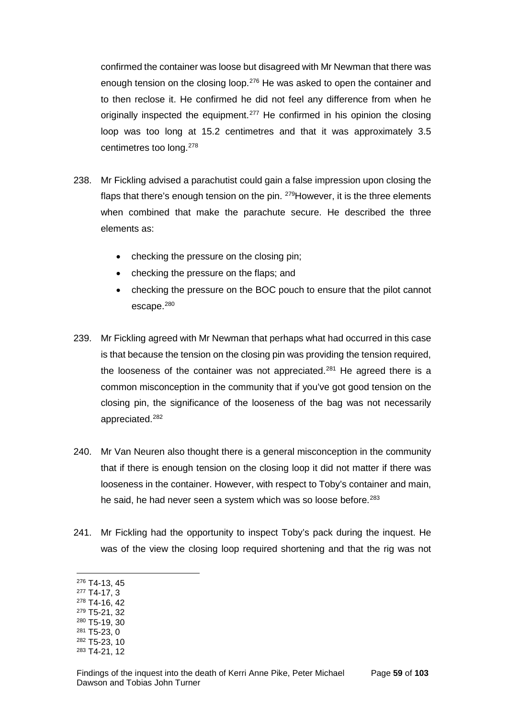confirmed the container was loose but disagreed with Mr Newman that there was enough tension on the closing loop.<sup>[276](#page-61-0)</sup> He was asked to open the container and to then reclose it. He confirmed he did not feel any difference from when he originally inspected the equipment.<sup>[277](#page-61-1)</sup> He confirmed in his opinion the closing loop was too long at 15.2 centimetres and that it was approximately 3.5 centimetres too long.[278](#page-61-2)

- 238. Mr Fickling advised a parachutist could gain a false impression upon closing the flaps that there's enough tension on the pin. <sup>279</sup>However, it is the three elements when combined that make the parachute secure. He described the three elements as:
	- checking the pressure on the closing pin;
	- checking the pressure on the flaps; and
	- checking the pressure on the BOC pouch to ensure that the pilot cannot escape.<sup>[280](#page-61-4)</sup>
- 239. Mr Fickling agreed with Mr Newman that perhaps what had occurred in this case is that because the tension on the closing pin was providing the tension required, the looseness of the container was not appreciated.<sup>[281](#page-61-5)</sup> He agreed there is a common misconception in the community that if you've got good tension on the closing pin, the significance of the looseness of the bag was not necessarily appreciated.[282](#page-61-6)
- 240. Mr Van Neuren also thought there is a general misconception in the community that if there is enough tension on the closing loop it did not matter if there was looseness in the container. However, with respect to Toby's container and main, he said, he had never seen a system which was so loose before.<sup>[283](#page-61-7)</sup>
- 241. Mr Fickling had the opportunity to inspect Toby's pack during the inquest. He was of the view the closing loop required shortening and that the rig was not
- <span id="page-61-0"></span><sup>276</sup> T4-13, 45

- <span id="page-61-1"></span><sup>277</sup> T4-17, 3
- <span id="page-61-2"></span><sup>278</sup> T4-16, 42
- <span id="page-61-3"></span><sup>279</sup> T5-21, 32 <sup>280</sup> T5-19, 30
- <span id="page-61-5"></span><span id="page-61-4"></span><sup>281</sup> T5-23, 0
- <span id="page-61-6"></span><sup>282</sup> T5-23, 10
- <span id="page-61-7"></span><sup>283</sup> T4-21, 12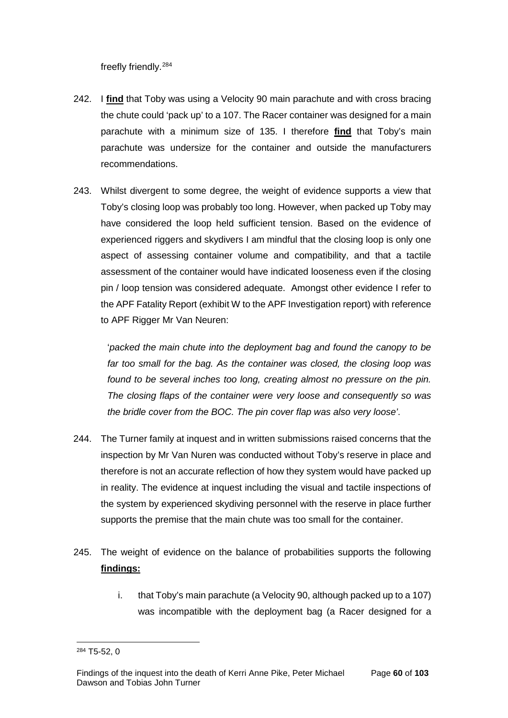freefly friendly.[284](#page-62-0)

- 242. I **find** that Toby was using a Velocity 90 main parachute and with cross bracing the chute could 'pack up' to a 107. The Racer container was designed for a main parachute with a minimum size of 135. I therefore **find** that Toby's main parachute was undersize for the container and outside the manufacturers recommendations.
- 243. Whilst divergent to some degree, the weight of evidence supports a view that Toby's closing loop was probably too long. However, when packed up Toby may have considered the loop held sufficient tension. Based on the evidence of experienced riggers and skydivers I am mindful that the closing loop is only one aspect of assessing container volume and compatibility, and that a tactile assessment of the container would have indicated looseness even if the closing pin / loop tension was considered adequate. Amongst other evidence I refer to the APF Fatality Report (exhibit W to the APF Investigation report) with reference to APF Rigger Mr Van Neuren:

'*packed the main chute into the deployment bag and found the canopy to be far too small for the bag. As the container was closed, the closing loop was found to be several inches too long, creating almost no pressure on the pin. The closing flaps of the container were very loose and consequently so was the bridle cover from the BOC. The pin cover flap was also very loose'*.

- 244. The Turner family at inquest and in written submissions raised concerns that the inspection by Mr Van Nuren was conducted without Toby's reserve in place and therefore is not an accurate reflection of how they system would have packed up in reality. The evidence at inquest including the visual and tactile inspections of the system by experienced skydiving personnel with the reserve in place further supports the premise that the main chute was too small for the container.
- 245. The weight of evidence on the balance of probabilities supports the following **findings:**
	- i. that Toby's main parachute (a Velocity 90, although packed up to a 107) was incompatible with the deployment bag (a Racer designed for a

<span id="page-62-0"></span><sup>284</sup> T5-52, 0  $\overline{a}$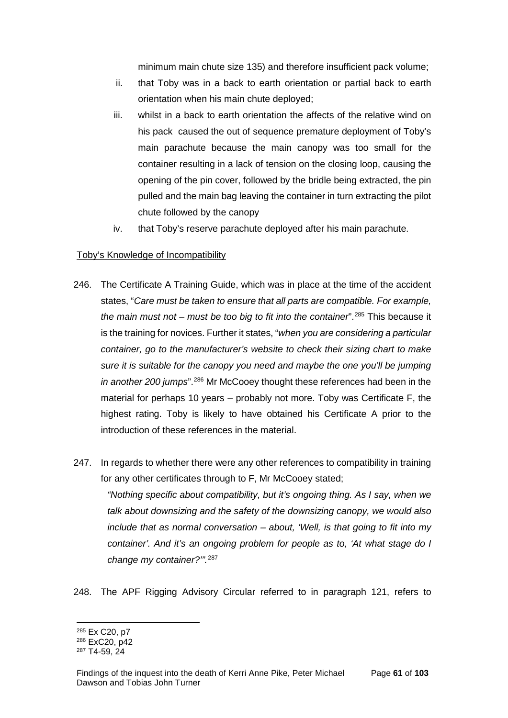minimum main chute size 135) and therefore insufficient pack volume;

- ii. that Toby was in a back to earth orientation or partial back to earth orientation when his main chute deployed;
- iii. whilst in a back to earth orientation the affects of the relative wind on his pack caused the out of sequence premature deployment of Toby's main parachute because the main canopy was too small for the container resulting in a lack of tension on the closing loop, causing the opening of the pin cover, followed by the bridle being extracted, the pin pulled and the main bag leaving the container in turn extracting the pilot chute followed by the canopy
- iv. that Toby's reserve parachute deployed after his main parachute.

## Toby's Knowledge of Incompatibility

- 246. The Certificate A Training Guide, which was in place at the time of the accident states, "*Care must be taken to ensure that all parts are compatible. For example, the main must not – must be too big to fit into the container*".[285](#page-63-0) This because it is the training for novices. Further it states, "*when you are considering a particular container, go to the manufacturer's website to check their sizing chart to make sure it is suitable for the canopy you need and maybe the one you'll be jumping in another 200 jumps*".[286](#page-63-1) Mr McCooey thought these references had been in the material for perhaps 10 years – probably not more. Toby was Certificate F, the highest rating. Toby is likely to have obtained his Certificate A prior to the introduction of these references in the material.
- 247. In regards to whether there were any other references to compatibility in training for any other certificates through to F, Mr McCooey stated; *"Nothing specific about compatibility, but it's ongoing thing. As I say, when we talk about downsizing and the safety of the downsizing canopy, we would also include that as normal conversation – about, 'Well, is that going to fit into my container'. And it's an ongoing problem for people as to, 'At what stage do I change my container?'".*[287](#page-63-2)
- 248. The APF Rigging Advisory Circular referred to in paragraph 121, refers to

<sup>285</sup> Ex C20, p7  $\overline{a}$ 

<span id="page-63-1"></span><span id="page-63-0"></span><sup>286</sup> ExC20, p42

<span id="page-63-2"></span><sup>287</sup> T4-59, 24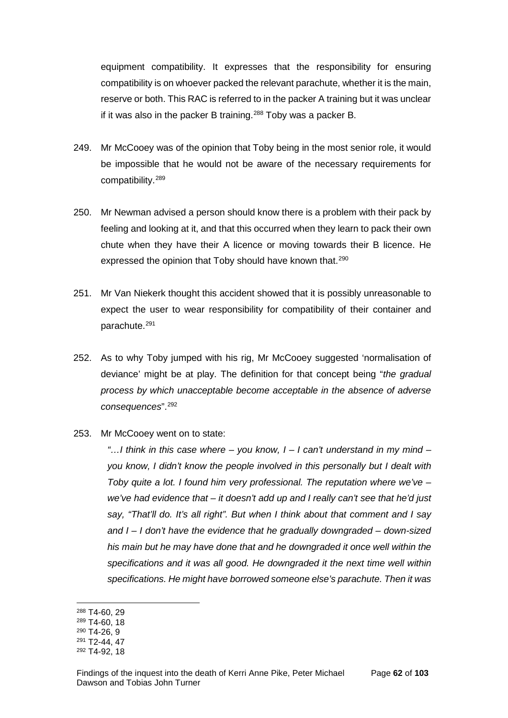equipment compatibility. It expresses that the responsibility for ensuring compatibility is on whoever packed the relevant parachute, whether it is the main, reserve or both. This RAC is referred to in the packer A training but it was unclear if it was also in the packer B training.<sup>[288](#page-64-0)</sup> Toby was a packer B.

- 249. Mr McCooey was of the opinion that Toby being in the most senior role, it would be impossible that he would not be aware of the necessary requirements for compatibility.[289](#page-64-1)
- 250. Mr Newman advised a person should know there is a problem with their pack by feeling and looking at it, and that this occurred when they learn to pack their own chute when they have their A licence or moving towards their B licence. He expressed the opinion that Toby should have known that.<sup>[290](#page-64-2)</sup>
- 251. Mr Van Niekerk thought this accident showed that it is possibly unreasonable to expect the user to wear responsibility for compatibility of their container and parachute.[291](#page-64-3)
- 252. As to why Toby jumped with his rig, Mr McCooey suggested 'normalisation of deviance' might be at play. The definition for that concept being "*the gradual process by which unacceptable become acceptable in the absence of adverse consequences*".[292](#page-64-4)
- 253. Mr McCooey went on to state:

*"…I think in this case where – you know, I – I can't understand in my mind – you know, I didn't know the people involved in this personally but I dealt with Toby quite a lot. I found him very professional. The reputation where we've – we've had evidence that – it doesn't add up and I really can't see that he'd just say, "That'll do. It's all right". But when I think about that comment and I say and I – I don't have the evidence that he gradually downgraded – down-sized his main but he may have done that and he downgraded it once well within the specifications and it was all good. He downgraded it the next time well within specifications. He might have borrowed someone else's parachute. Then it was* 

 $\overline{a}$ 

<span id="page-64-2"></span><sup>290</sup> T4-26, 9

<sup>288</sup> T4-60, 29

<span id="page-64-1"></span><span id="page-64-0"></span><sup>289</sup> T4-60, 18

<span id="page-64-3"></span><sup>291</sup> T2-44, 47

<span id="page-64-4"></span><sup>292</sup> T4-92, 18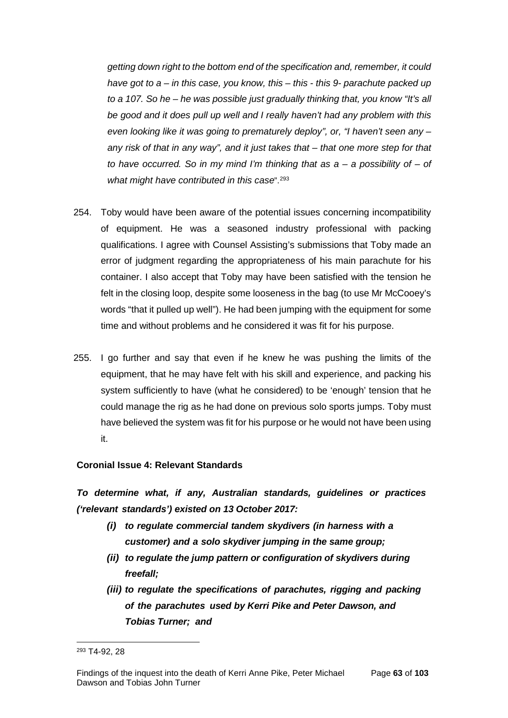*getting down right to the bottom end of the specification and, remember, it could have got to a – in this case, you know, this – this - this 9- parachute packed up to a 107. So he – he was possible just gradually thinking that, you know "It's all be good and it does pull up well and I really haven't had any problem with this even looking like it was going to prematurely deploy", or, "I haven't seen any – any risk of that in any way", and it just takes that – that one more step for that to have occurred. So in my mind I'm thinking that as a – a possibility of – of what might have contributed in this case*".[293](#page-65-0)

- 254. Toby would have been aware of the potential issues concerning incompatibility of equipment. He was a seasoned industry professional with packing qualifications. I agree with Counsel Assisting's submissions that Toby made an error of judgment regarding the appropriateness of his main parachute for his container. I also accept that Toby may have been satisfied with the tension he felt in the closing loop, despite some looseness in the bag (to use Mr McCooey's words "that it pulled up well"). He had been jumping with the equipment for some time and without problems and he considered it was fit for his purpose.
- 255. I go further and say that even if he knew he was pushing the limits of the equipment, that he may have felt with his skill and experience, and packing his system sufficiently to have (what he considered) to be 'enough' tension that he could manage the rig as he had done on previous solo sports jumps. Toby must have believed the system was fit for his purpose or he would not have been using it.

# **Coronial Issue 4: Relevant Standards**

*To determine what, if any, Australian standards, guidelines or practices ('relevant standards') existed on 13 October 2017:*

- *(i) to regulate commercial tandem skydivers (in harness with a customer) and a solo skydiver jumping in the same group;*
- *(ii) to regulate the jump pattern or configuration of skydivers during freefall;*
- *(iii) to regulate the specifications of parachutes, rigging and packing of the parachutes used by Kerri Pike and Peter Dawson, and Tobias Turner; and*

<span id="page-65-0"></span><sup>293</sup> T4-92, 28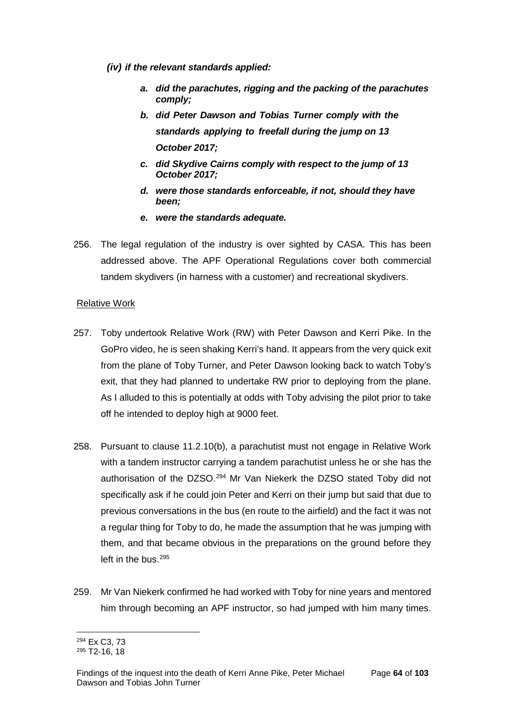- *(iv) if the relevant standards applied:*
	- *a. did the parachutes, rigging and the packing of the parachutes comply;*
	- *b. did Peter Dawson and Tobias Turner comply with the standards applying to freefall during the jump on 13 October 2017;*
	- *c. did Skydive Cairns comply with respect to the jump of 13 October 2017;*
	- *d. were those standards enforceable, if not, should they have been;*
	- *e. were the standards adequate.*
- 256. The legal regulation of the industry is over sighted by CASA. This has been addressed above. The APF Operational Regulations cover both commercial tandem skydivers (in harness with a customer) and recreational skydivers.

## Relative Work

- 257. Toby undertook Relative Work (RW) with Peter Dawson and Kerri Pike. In the GoPro video, he is seen shaking Kerri's hand. It appears from the very quick exit from the plane of Toby Turner, and Peter Dawson looking back to watch Toby's exit, that they had planned to undertake RW prior to deploying from the plane. As I alluded to this is potentially at odds with Toby advising the pilot prior to take off he intended to deploy high at 9000 feet.
- 258. Pursuant to clause 11.2.10(b), a parachutist must not engage in Relative Work with a tandem instructor carrying a tandem parachutist unless he or she has the authorisation of the DZSO.<sup>[294](#page-66-0)</sup> Mr Van Niekerk the DZSO stated Toby did not specifically ask if he could join Peter and Kerri on their jump but said that due to previous conversations in the bus (en route to the airfield) and the fact it was not a regular thing for Toby to do, he made the assumption that he was jumping with them, and that became obvious in the preparations on the ground before they left in the bus.<sup>[295](#page-66-1)</sup>
- 259. Mr Van Niekerk confirmed he had worked with Toby for nine years and mentored him through becoming an APF instructor, so had jumped with him many times.

<sup>294</sup> Ex C3, 73  $\overline{a}$ 

<span id="page-66-1"></span><span id="page-66-0"></span><sup>295</sup> T2-16, 18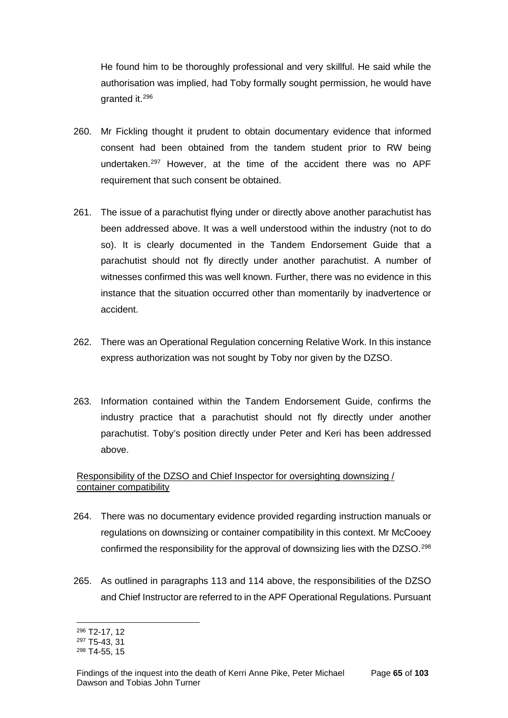He found him to be thoroughly professional and very skillful. He said while the authorisation was implied, had Toby formally sought permission, he would have granted it.[296](#page-67-0)

- 260. Mr Fickling thought it prudent to obtain documentary evidence that informed consent had been obtained from the tandem student prior to RW being undertaken.[297](#page-67-1) However, at the time of the accident there was no APF requirement that such consent be obtained.
- 261. The issue of a parachutist flying under or directly above another parachutist has been addressed above. It was a well understood within the industry (not to do so). It is clearly documented in the Tandem Endorsement Guide that a parachutist should not fly directly under another parachutist. A number of witnesses confirmed this was well known. Further, there was no evidence in this instance that the situation occurred other than momentarily by inadvertence or accident.
- 262. There was an Operational Regulation concerning Relative Work. In this instance express authorization was not sought by Toby nor given by the DZSO.
- 263. Information contained within the Tandem Endorsement Guide, confirms the industry practice that a parachutist should not fly directly under another parachutist. Toby's position directly under Peter and Keri has been addressed above.

# Responsibility of the DZSO and Chief Inspector for oversighting downsizing / container compatibility

- 264. There was no documentary evidence provided regarding instruction manuals or regulations on downsizing or container compatibility in this context. Mr McCooey confirmed the responsibility for the approval of downsizing lies with the DZSO.[298](#page-67-2)
- 265. As outlined in paragraphs 113 and 114 above, the responsibilities of the DZSO and Chief Instructor are referred to in the APF Operational Regulations. Pursuant

<sup>296</sup> T2-17, 12  $\overline{a}$ 

<span id="page-67-1"></span><span id="page-67-0"></span><sup>297</sup> T5-43, 31

<span id="page-67-2"></span><sup>298</sup> T4-55, 15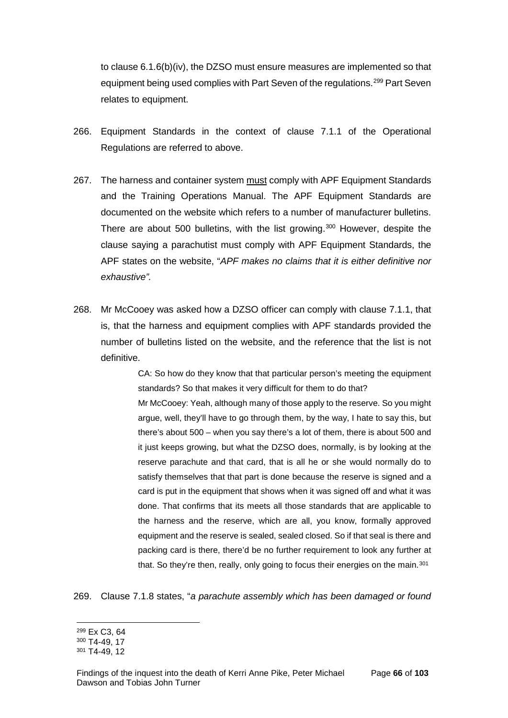to clause 6.1.6(b)(iv), the DZSO must ensure measures are implemented so that equipment being used complies with Part Seven of the regulations.<sup>[299](#page-68-0)</sup> Part Seven relates to equipment.

- 266. Equipment Standards in the context of clause 7.1.1 of the Operational Regulations are referred to above.
- 267. The harness and container system must comply with APF Equipment Standards and the Training Operations Manual. The APF Equipment Standards are documented on the website which refers to a number of manufacturer bulletins. There are about 500 bulletins, with the list growing.<sup>[300](#page-68-1)</sup> However, despite the clause saying a parachutist must comply with APF Equipment Standards, the APF states on the website, "*APF makes no claims that it is either definitive nor exhaustive".*
- 268. Mr McCooey was asked how a DZSO officer can comply with clause 7.1.1, that is, that the harness and equipment complies with APF standards provided the number of bulletins listed on the website, and the reference that the list is not definitive.

CA: So how do they know that that particular person's meeting the equipment standards? So that makes it very difficult for them to do that?

Mr McCooey: Yeah, although many of those apply to the reserve. So you might argue, well, they'll have to go through them, by the way, I hate to say this, but there's about 500 – when you say there's a lot of them, there is about 500 and it just keeps growing, but what the DZSO does, normally, is by looking at the reserve parachute and that card, that is all he or she would normally do to satisfy themselves that that part is done because the reserve is signed and a card is put in the equipment that shows when it was signed off and what it was done. That confirms that its meets all those standards that are applicable to the harness and the reserve, which are all, you know, formally approved equipment and the reserve is sealed, sealed closed. So if that seal is there and packing card is there, there'd be no further requirement to look any further at that. So they're then, really, only going to focus their energies on the main.<sup>[301](#page-68-2)</sup>

269. Clause 7.1.8 states, "*a parachute assembly which has been damaged or found* 

<span id="page-68-0"></span><sup>299</sup> Ex C3, 64  $\overline{a}$ 

<span id="page-68-1"></span><sup>300</sup> T4-49, 17

<span id="page-68-2"></span><sup>301</sup> T4-49, 12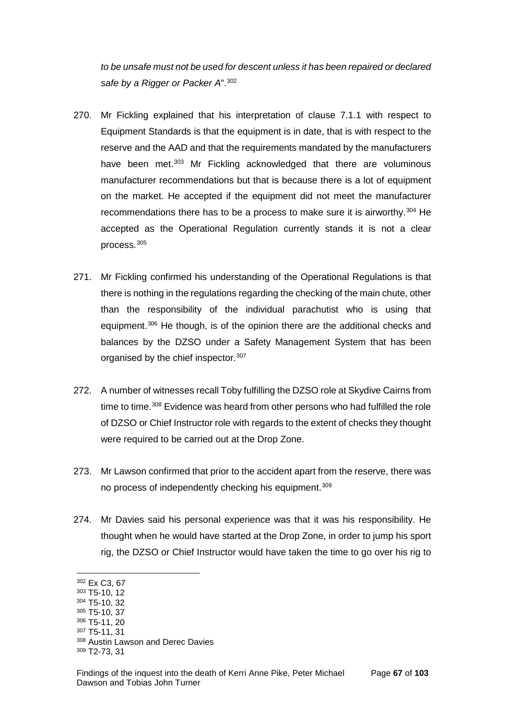*to be unsafe must not be used for descent unless it has been repaired or declared safe by a Rigger or Packer A*".[302](#page-69-0)

- 270. Mr Fickling explained that his interpretation of clause 7.1.1 with respect to Equipment Standards is that the equipment is in date, that is with respect to the reserve and the AAD and that the requirements mandated by the manufacturers have been met.<sup>[303](#page-69-1)</sup> Mr Fickling acknowledged that there are voluminous manufacturer recommendations but that is because there is a lot of equipment on the market. He accepted if the equipment did not meet the manufacturer recommendations there has to be a process to make sure it is airworthy.[304](#page-69-2) He accepted as the Operational Regulation currently stands it is not a clear process.[305](#page-69-3)
- 271. Mr Fickling confirmed his understanding of the Operational Regulations is that there is nothing in the regulations regarding the checking of the main chute, other than the responsibility of the individual parachutist who is using that equipment.[306](#page-69-4) He though, is of the opinion there are the additional checks and balances by the DZSO under a Safety Management System that has been organised by the chief inspector.<sup>[307](#page-69-5)</sup>
- 272. A number of witnesses recall Toby fulfilling the DZSO role at Skydive Cairns from time to time.<sup>[308](#page-69-6)</sup> Evidence was heard from other persons who had fulfilled the role of DZSO or Chief Instructor role with regards to the extent of checks they thought were required to be carried out at the Drop Zone.
- 273. Mr Lawson confirmed that prior to the accident apart from the reserve, there was no process of independently checking his equipment.<sup>[309](#page-69-7)</sup>
- 274. Mr Davies said his personal experience was that it was his responsibility. He thought when he would have started at the Drop Zone, in order to jump his sport rig, the DZSO or Chief Instructor would have taken the time to go over his rig to

 $\overline{a}$ 

<span id="page-69-5"></span><span id="page-69-4"></span><sup>307</sup> T5-11, 31

<span id="page-69-0"></span><sup>302</sup> Ex C3, 67

<span id="page-69-1"></span><sup>303</sup> T5-10, 12

<span id="page-69-2"></span><sup>304</sup> T5-10, 32 <sup>305</sup> T5-10, 37

<span id="page-69-3"></span><sup>306</sup> T5-11, 20

<span id="page-69-6"></span><sup>308</sup> Austin Lawson and Derec Davies

<span id="page-69-7"></span><sup>309</sup> T2-73, 31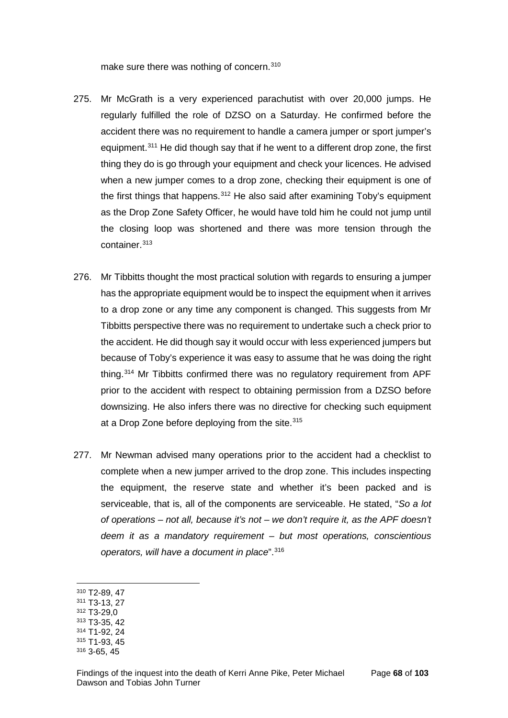make sure there was nothing of concern.<sup>[310](#page-70-0)</sup>

- 275. Mr McGrath is a very experienced parachutist with over 20,000 jumps. He regularly fulfilled the role of DZSO on a Saturday. He confirmed before the accident there was no requirement to handle a camera jumper or sport jumper's equipment.[311](#page-70-1) He did though say that if he went to a different drop zone, the first thing they do is go through your equipment and check your licences. He advised when a new jumper comes to a drop zone, checking their equipment is one of the first things that happens.<sup>[312](#page-70-2)</sup> He also said after examining Toby's equipment as the Drop Zone Safety Officer, he would have told him he could not jump until the closing loop was shortened and there was more tension through the container.<sup>[313](#page-70-3)</sup>
- 276. Mr Tibbitts thought the most practical solution with regards to ensuring a jumper has the appropriate equipment would be to inspect the equipment when it arrives to a drop zone or any time any component is changed. This suggests from Mr Tibbitts perspective there was no requirement to undertake such a check prior to the accident. He did though say it would occur with less experienced jumpers but because of Toby's experience it was easy to assume that he was doing the right thing.[314](#page-70-4) Mr Tibbitts confirmed there was no regulatory requirement from APF prior to the accident with respect to obtaining permission from a DZSO before downsizing. He also infers there was no directive for checking such equipment at a Drop Zone before deploying from the site.<sup>[315](#page-70-5)</sup>
- 277. Mr Newman advised many operations prior to the accident had a checklist to complete when a new jumper arrived to the drop zone. This includes inspecting the equipment, the reserve state and whether it's been packed and is serviceable, that is, all of the components are serviceable. He stated, "*So a lot of operations – not all, because it's not – we don't require it, as the APF doesn't deem it as a mandatory requirement – but most operations, conscientious operators, will have a document in place*".[316](#page-70-6)
- <span id="page-70-0"></span><sup>310</sup> T2-89, 47

- <span id="page-70-1"></span><sup>311</sup> T3-13, 27
- <span id="page-70-2"></span><sup>312</sup> T3-29,0
- <span id="page-70-3"></span><sup>313</sup> T3-35, 42
- <span id="page-70-4"></span><sup>314</sup> T1-92, 24
- <span id="page-70-5"></span><sup>315</sup> T1-93, 45
- <span id="page-70-6"></span><sup>316</sup> 3-65, 45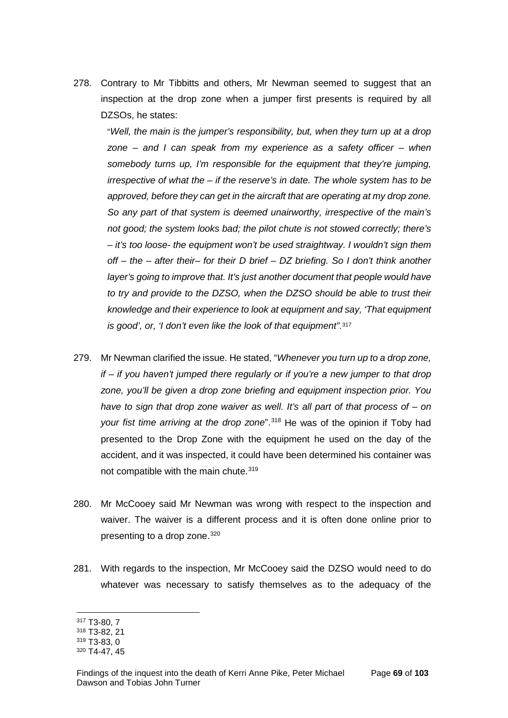278. Contrary to Mr Tibbitts and others, Mr Newman seemed to suggest that an inspection at the drop zone when a jumper first presents is required by all DZSOs, he states:

"*Well, the main is the jumper's responsibility, but, when they turn up at a drop zone – and I can speak from my experience as a safety officer – when somebody turns up, I'm responsible for the equipment that they're jumping, irrespective of what the – if the reserve's in date. The whole system has to be approved, before they can get in the aircraft that are operating at my drop zone. So any part of that system is deemed unairworthy, irrespective of the main's not good; the system looks bad; the pilot chute is not stowed correctly; there's – it's too loose- the equipment won't be used straightway. I wouldn't sign them off – the – after their– for their D brief – DZ briefing. So I don't think another layer's going to improve that. It's just another document that people would have to try and provide to the DZSO, when the DZSO should be able to trust their knowledge and their experience to look at equipment and say, 'That equipment is good', or, 'I don't even like the look of that equipment"*.[317](#page-71-0)

- 279. Mr Newman clarified the issue. He stated, "*Whenever you turn up to a drop zone, if – if you haven't jumped there regularly or if you're a new jumper to that drop zone, you'll be given a drop zone briefing and equipment inspection prior. You have to sign that drop zone waiver as well. It's all part of that process of – on*  your fist time arriving at the drop zone".<sup>[318](#page-71-1)</sup> He was of the opinion if Toby had presented to the Drop Zone with the equipment he used on the day of the accident, and it was inspected, it could have been determined his container was not compatible with the main chute.<sup>[319](#page-71-2)</sup>
- 280. Mr McCooey said Mr Newman was wrong with respect to the inspection and waiver. The waiver is a different process and it is often done online prior to presenting to a drop zone.<sup>[320](#page-71-3)</sup>
- 281. With regards to the inspection, Mr McCooey said the DZSO would need to do whatever was necessary to satisfy themselves as to the adequacy of the

<span id="page-71-0"></span><sup>317</sup> T3-80, 7

<span id="page-71-1"></span><sup>318</sup> T3-82, 21

<span id="page-71-2"></span><sup>319</sup> T3-83, 0

<span id="page-71-3"></span><sup>320</sup> T4-47, 45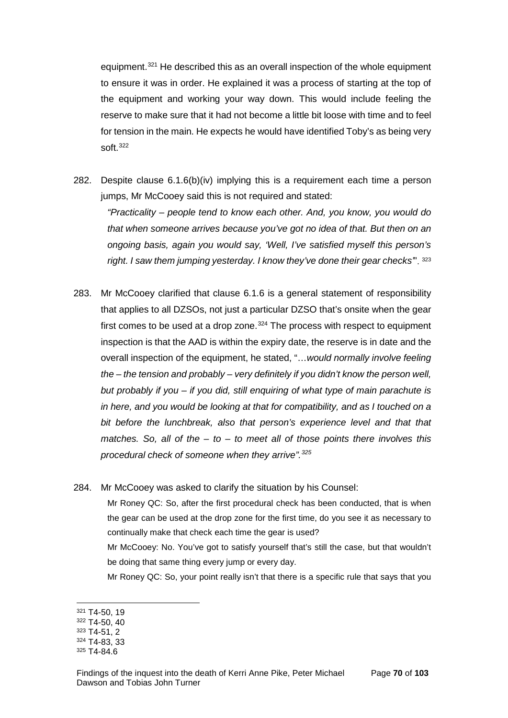equipment.[321](#page-72-0) He described this as an overall inspection of the whole equipment to ensure it was in order. He explained it was a process of starting at the top of the equipment and working your way down. This would include feeling the reserve to make sure that it had not become a little bit loose with time and to feel for tension in the main. He expects he would have identified Toby's as being very soft[.322](#page-72-1)

- 282. Despite clause 6.1.6(b)(iv) implying this is a requirement each time a person jumps, Mr McCooey said this is not required and stated: *"Practicality – people tend to know each other. And, you know, you would do that when someone arrives because you've got no idea of that. But then on an ongoing basis, again you would say, 'Well, I've satisfied myself this person's right. I saw them jumping yesterday. I know they've done their gear checks'*". [323](#page-72-2)
- 283. Mr McCooey clarified that clause 6.1.6 is a general statement of responsibility that applies to all DZSOs, not just a particular DZSO that's onsite when the gear first comes to be used at a drop zone. $324$  The process with respect to equipment inspection is that the AAD is within the expiry date, the reserve is in date and the overall inspection of the equipment, he stated, "…*would normally involve feeling the – the tension and probably – very definitely if you didn't know the person well, but probably if you – if you did, still enquiring of what type of main parachute is in here, and you would be looking at that for compatibility, and as I touched on a bit before the lunchbreak, also that person's experience level and that that matches. So, all of the – to – to meet all of those points there involves this procedural check of someone when they arrive".[325](#page-72-4)*
- 284. Mr McCooey was asked to clarify the situation by his Counsel:

Mr Roney QC: So, after the first procedural check has been conducted, that is when the gear can be used at the drop zone for the first time, do you see it as necessary to continually make that check each time the gear is used?

Mr McCooey: No. You've got to satisfy yourself that's still the case, but that wouldn't be doing that same thing every jump or every day.

Mr Roney QC: So, your point really isn't that there is a specific rule that says that you

<span id="page-72-0"></span><sup>321</sup> T4-50, 19

<span id="page-72-1"></span><sup>322</sup> T4-50, 40

<span id="page-72-2"></span><sup>323</sup> T4-51, 2

<span id="page-72-3"></span><sup>324</sup> T4-83, 33

<span id="page-72-4"></span><sup>325</sup> T4-84.6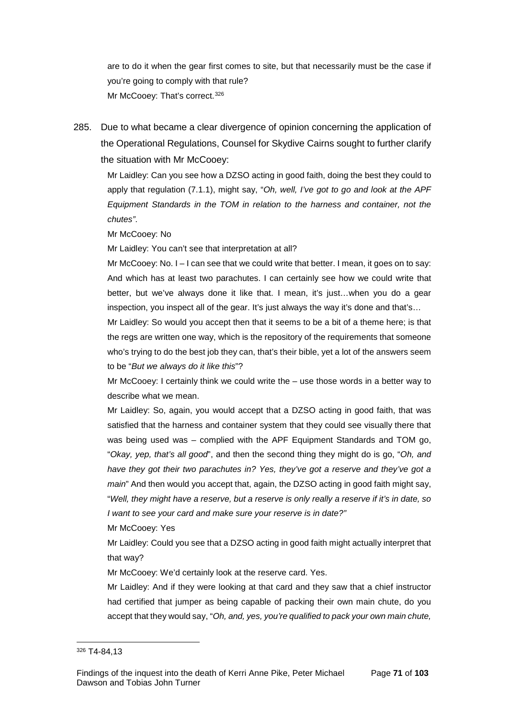are to do it when the gear first comes to site, but that necessarily must be the case if you're going to comply with that rule? Mr McCooey: That's correct.<sup>[326](#page-73-0)</sup>

285. Due to what became a clear divergence of opinion concerning the application of the Operational Regulations, Counsel for Skydive Cairns sought to further clarify the situation with Mr McCooey:

Mr Laidley: Can you see how a DZSO acting in good faith, doing the best they could to apply that regulation (7.1.1), might say, "*Oh, well, I've got to go and look at the APF Equipment Standards in the TOM in relation to the harness and container, not the chutes"*.

Mr McCooey: No

Mr Laidley: You can't see that interpretation at all?

Mr McCooey: No. I – I can see that we could write that better. I mean, it goes on to say: And which has at least two parachutes. I can certainly see how we could write that better, but we've always done it like that. I mean, it's just...when you do a gear inspection, you inspect all of the gear. It's just always the way it's done and that's...

Mr Laidley: So would you accept then that it seems to be a bit of a theme here; is that the regs are written one way, which is the repository of the requirements that someone who's trying to do the best job they can, that's their bible, yet a lot of the answers seem to be "*But we always do it like this*"?

Mr McCooey: I certainly think we could write the – use those words in a better way to describe what we mean.

Mr Laidley: So, again, you would accept that a DZSO acting in good faith, that was satisfied that the harness and container system that they could see visually there that was being used was – complied with the APF Equipment Standards and TOM go, "*Okay, yep, that's all good*", and then the second thing they might do is go, "*Oh, and have they got their two parachutes in? Yes, they've got a reserve and they've got a main*" And then would you accept that, again, the DZSO acting in good faith might say, "*Well, they might have a reserve, but a reserve is only really a reserve if it's in date, so I want to see your card and make sure your reserve is in date?"*

Mr McCooey: Yes

Mr Laidley: Could you see that a DZSO acting in good faith might actually interpret that that way?

Mr McCooey: We'd certainly look at the reserve card. Yes.

Mr Laidley: And if they were looking at that card and they saw that a chief instructor had certified that jumper as being capable of packing their own main chute, do you accept that they would say, "*Oh, and, yes, you're qualified to pack your own main chute,* 

<span id="page-73-0"></span><sup>326</sup> T4-84,13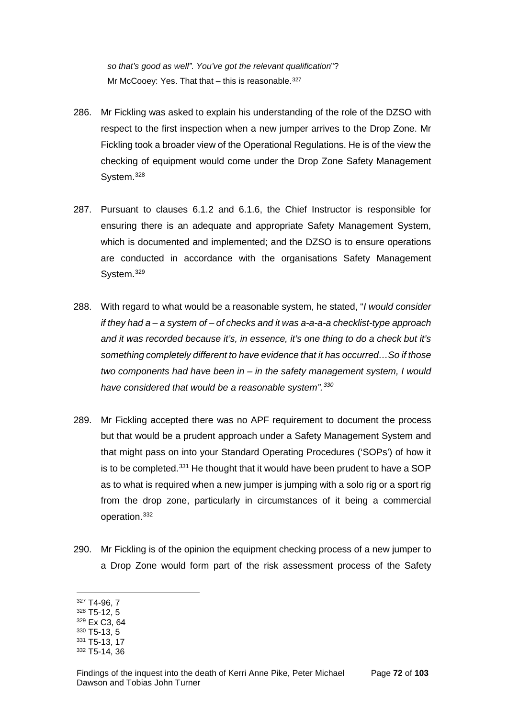*so that's good as well". You've got the relevant qualification*"? Mr McCooey: Yes. That that  $-$  this is reasonable.<sup>[327](#page-74-0)</sup>

- 286. Mr Fickling was asked to explain his understanding of the role of the DZSO with respect to the first inspection when a new jumper arrives to the Drop Zone. Mr Fickling took a broader view of the Operational Regulations. He is of the view the checking of equipment would come under the Drop Zone Safety Management System.<sup>[328](#page-74-1)</sup>
- 287. Pursuant to clauses 6.1.2 and 6.1.6, the Chief Instructor is responsible for ensuring there is an adequate and appropriate Safety Management System, which is documented and implemented; and the DZSO is to ensure operations are conducted in accordance with the organisations Safety Management System.[329](#page-74-2)
- 288. With regard to what would be a reasonable system, he stated, "*I would consider if they had a – a system of – of checks and it was a-a-a-a checklist-type approach and it was recorded because it's, in essence, it's one thing to do a check but it's something completely different to have evidence that it has occurred…So if those two components had have been in – in the safety management system, I would have considered that would be a reasonable system".[330](#page-74-3)*
- 289. Mr Fickling accepted there was no APF requirement to document the process but that would be a prudent approach under a Safety Management System and that might pass on into your Standard Operating Procedures ('SOPs') of how it is to be completed. $331$  He thought that it would have been prudent to have a SOP as to what is required when a new jumper is jumping with a solo rig or a sport rig from the drop zone, particularly in circumstances of it being a commercial operation.[332](#page-74-5)
- 290. Mr Fickling is of the opinion the equipment checking process of a new jumper to a Drop Zone would form part of the risk assessment process of the Safety

<span id="page-74-0"></span><sup>327</sup> T4-96, 7

<span id="page-74-1"></span><sup>328</sup> T5-12, 5

<span id="page-74-2"></span><sup>329</sup> Ex C3, 64

<span id="page-74-3"></span><sup>330</sup> T5-13, 5 <sup>331</sup> T5-13, 17

<span id="page-74-4"></span><sup>332</sup> T5-14, 36

<span id="page-74-5"></span>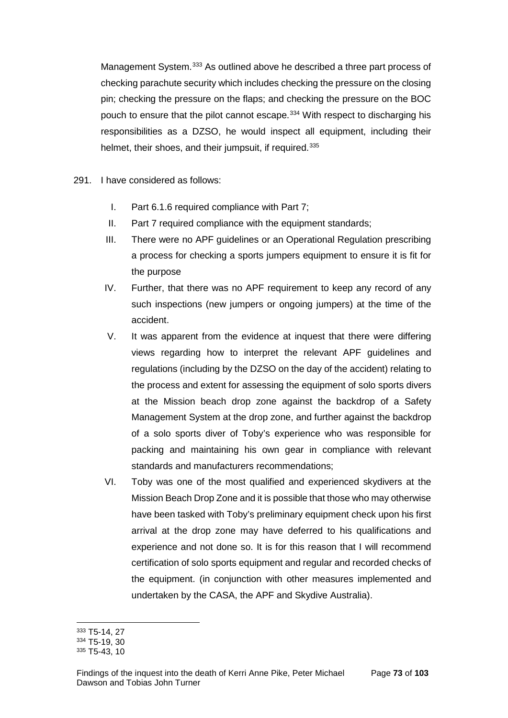Management System.[333](#page-75-0) As outlined above he described a three part process of checking parachute security which includes checking the pressure on the closing pin; checking the pressure on the flaps; and checking the pressure on the BOC pouch to ensure that the pilot cannot escape.<sup>[334](#page-75-1)</sup> With respect to discharging his responsibilities as a DZSO, he would inspect all equipment, including their helmet, their shoes, and their jumpsuit, if required.<sup>[335](#page-75-2)</sup>

- 291. I have considered as follows:
	- I. Part 6.1.6 required compliance with Part 7;
	- II. Part 7 required compliance with the equipment standards;
	- III. There were no APF guidelines or an Operational Regulation prescribing a process for checking a sports jumpers equipment to ensure it is fit for the purpose
	- IV. Further, that there was no APF requirement to keep any record of any such inspections (new jumpers or ongoing jumpers) at the time of the accident.
	- V. It was apparent from the evidence at inquest that there were differing views regarding how to interpret the relevant APF guidelines and regulations (including by the DZSO on the day of the accident) relating to the process and extent for assessing the equipment of solo sports divers at the Mission beach drop zone against the backdrop of a Safety Management System at the drop zone, and further against the backdrop of a solo sports diver of Toby's experience who was responsible for packing and maintaining his own gear in compliance with relevant standards and manufacturers recommendations;
	- VI. Toby was one of the most qualified and experienced skydivers at the Mission Beach Drop Zone and it is possible that those who may otherwise have been tasked with Toby's preliminary equipment check upon his first arrival at the drop zone may have deferred to his qualifications and experience and not done so. It is for this reason that I will recommend certification of solo sports equipment and regular and recorded checks of the equipment. (in conjunction with other measures implemented and undertaken by the CASA, the APF and Skydive Australia).

<sup>333</sup> T5-14, 27  $\overline{a}$ 

<span id="page-75-1"></span><span id="page-75-0"></span><sup>334</sup> T5-19, 30

<span id="page-75-2"></span><sup>335</sup> T5-43, 10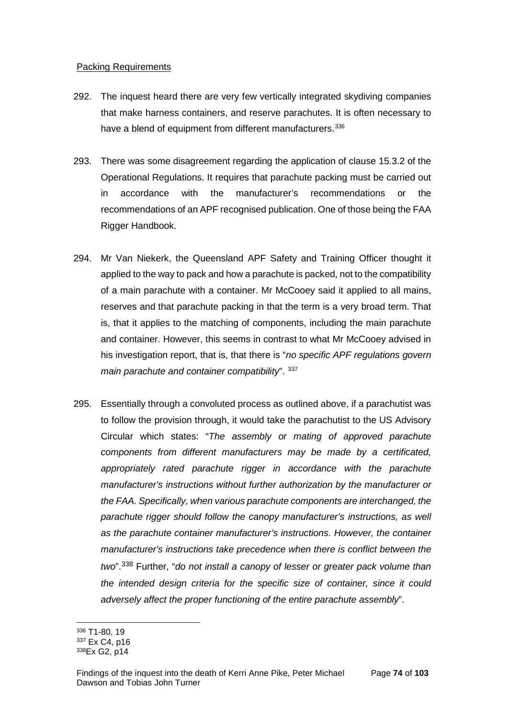#### Packing Requirements

- 292. The inquest heard there are very few vertically integrated skydiving companies that make harness containers, and reserve parachutes. It is often necessary to have a blend of equipment from different manufacturers.<sup>[336](#page-76-0)</sup>
- 293. There was some disagreement regarding the application of clause 15.3.2 of the Operational Regulations. It requires that parachute packing must be carried out in accordance with the manufacturer's recommendations or the recommendations of an APF recognised publication. One of those being the FAA Rigger Handbook.
- 294. Mr Van Niekerk, the Queensland APF Safety and Training Officer thought it applied to the way to pack and how a parachute is packed, not to the compatibility of a main parachute with a container. Mr McCooey said it applied to all mains, reserves and that parachute packing in that the term is a very broad term. That is, that it applies to the matching of components, including the main parachute and container. However, this seems in contrast to what Mr McCooey advised in his investigation report, that is, that there is "*no specific APF regulations govern main parachute and container compatibility*". [337](#page-76-1)
- 295. Essentially through a convoluted process as outlined above, if a parachutist was to follow the provision through, it would take the parachutist to the US Advisory Circular which states: "*The assembly or mating of approved parachute components from different manufacturers may be made by a certificated, appropriately rated parachute rigger in accordance with the parachute manufacturer's instructions without further authorization by the manufacturer or the FAA. Specifically, when various parachute components are interchanged, the parachute rigger should follow the canopy manufacturer's instructions, as well as the parachute container manufacturer's instructions. However, the container manufacturer's instructions take precedence when there is conflict between the two*".[338](#page-76-2) Further, "*do not install a canopy of lesser or greater pack volume than the intended design criteria for the specific size of container, since it could adversely affect the proper functioning of the entire parachute assembly*".

<sup>336</sup> T1-80, 19  $\overline{a}$ 

<span id="page-76-1"></span><span id="page-76-0"></span><sup>337</sup> Ex C4, p16

<span id="page-76-2"></span><sup>338</sup>Ex G2, p14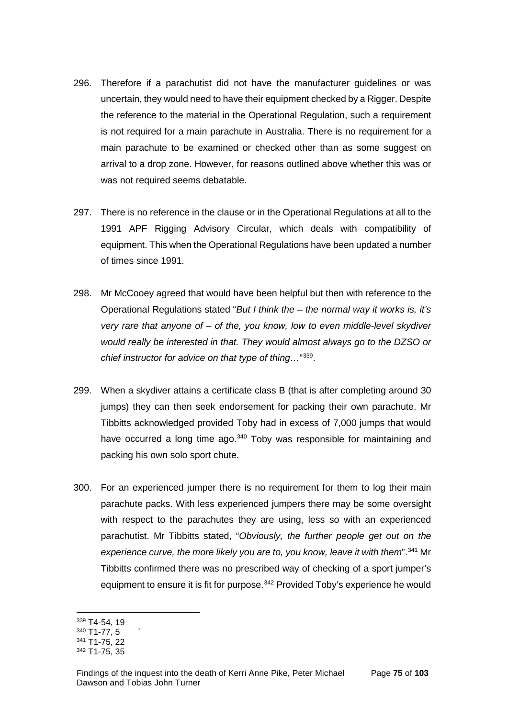- 296. Therefore if a parachutist did not have the manufacturer guidelines or was uncertain, they would need to have their equipment checked by a Rigger. Despite the reference to the material in the Operational Regulation, such a requirement is not required for a main parachute in Australia. There is no requirement for a main parachute to be examined or checked other than as some suggest on arrival to a drop zone. However, for reasons outlined above whether this was or was not required seems debatable.
- 297. There is no reference in the clause or in the Operational Regulations at all to the 1991 APF Rigging Advisory Circular, which deals with compatibility of equipment. This when the Operational Regulations have been updated a number of times since 1991.
- 298. Mr McCooey agreed that would have been helpful but then with reference to the Operational Regulations stated "*But I think the – the normal way it works is, it's very rare that anyone of – of the, you know, low to even middle-level skydiver would really be interested in that. They would almost always go to the DZSO or chief instructor for advice on that type of thing…*"[339.](#page-77-0)
- 299. When a skydiver attains a certificate class B (that is after completing around 30 jumps) they can then seek endorsement for packing their own parachute. Mr Tibbitts acknowledged provided Toby had in excess of 7,000 jumps that would have occurred a long time ago.<sup>[340](#page-77-1)</sup> Toby was responsible for maintaining and packing his own solo sport chute.
- 300. For an experienced jumper there is no requirement for them to log their main parachute packs. With less experienced jumpers there may be some oversight with respect to the parachutes they are using, less so with an experienced parachutist. Mr Tibbitts stated, "*Obviously, the further people get out on the experience curve, the more likely you are to, you know, leave it with them*".[341](#page-77-2) Mr Tibbitts confirmed there was no prescribed way of checking of a sport jumper's equipment to ensure it is fit for purpose.<sup>[342](#page-77-3)</sup> Provided Toby's experience he would

<sup>339</sup> T4-54, 19  $\overline{a}$ 

<span id="page-77-1"></span><span id="page-77-0"></span> $340$  T1-77, 5

<span id="page-77-2"></span><sup>341</sup> T1-75, 22

<span id="page-77-3"></span><sup>342</sup> T1-75, 35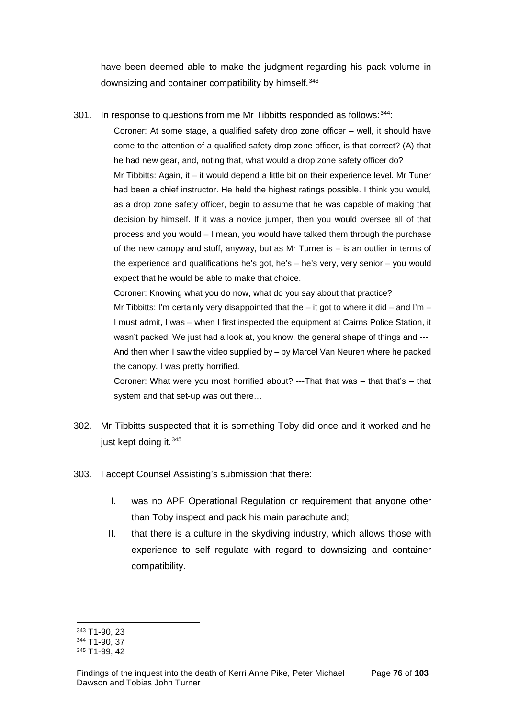have been deemed able to make the judgment regarding his pack volume in downsizing and container compatibility by himself.<sup>[343](#page-78-0)</sup>

301. In response to questions from me Mr Tibbitts responded as follows: $344$ :

Coroner: At some stage, a qualified safety drop zone officer – well, it should have come to the attention of a qualified safety drop zone officer, is that correct? (A) that he had new gear, and, noting that, what would a drop zone safety officer do? Mr Tibbitts: Again, it – it would depend a little bit on their experience level. Mr Tuner had been a chief instructor. He held the highest ratings possible. I think you would, as a drop zone safety officer, begin to assume that he was capable of making that decision by himself. If it was a novice jumper, then you would oversee all of that process and you would – I mean, you would have talked them through the purchase of the new canopy and stuff, anyway, but as Mr Turner is – is an outlier in terms of the experience and qualifications he's got, he's – he's very, very senior – you would expect that he would be able to make that choice.

Coroner: Knowing what you do now, what do you say about that practice? Mr Tibbitts: I'm certainly very disappointed that the  $-$  it got to where it did  $-$  and I'm  $-$ I must admit, I was – when I first inspected the equipment at Cairns Police Station, it wasn't packed. We just had a look at, you know, the general shape of things and --- And then when I saw the video supplied by – by Marcel Van Neuren where he packed the canopy, I was pretty horrified.

Coroner: What were you most horrified about? ---That that was – that that's – that system and that set-up was out there…

- 302. Mr Tibbitts suspected that it is something Toby did once and it worked and he just kept doing it.<sup>[345](#page-78-2)</sup>
- 303. I accept Counsel Assisting's submission that there:
	- I. was no APF Operational Regulation or requirement that anyone other than Toby inspect and pack his main parachute and;
	- II. that there is a culture in the skydiving industry, which allows those with experience to self regulate with regard to downsizing and container compatibility.

<sup>343</sup> T1-90, 23  $\overline{a}$ 

<span id="page-78-1"></span><span id="page-78-0"></span><sup>344</sup> T1-90, 37

<span id="page-78-2"></span><sup>345</sup> T1-99, 42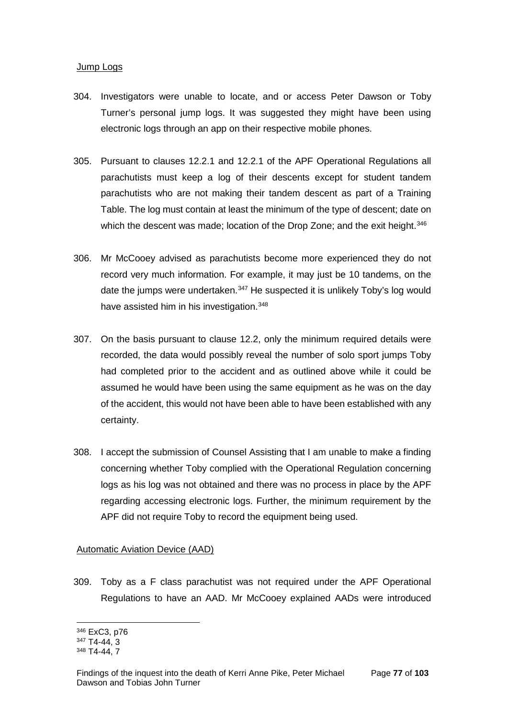#### Jump Logs

- 304. Investigators were unable to locate, and or access Peter Dawson or Toby Turner's personal jump logs. It was suggested they might have been using electronic logs through an app on their respective mobile phones.
- 305. Pursuant to clauses 12.2.1 and 12.2.1 of the APF Operational Regulations all parachutists must keep a log of their descents except for student tandem parachutists who are not making their tandem descent as part of a Training Table. The log must contain at least the minimum of the type of descent; date on which the descent was made; location of the Drop Zone; and the exit height.<sup>[346](#page-79-0)</sup>
- 306. Mr McCooey advised as parachutists become more experienced they do not record very much information. For example, it may just be 10 tandems, on the date the jumps were undertaken.<sup>[347](#page-79-1)</sup> He suspected it is unlikely Toby's log would have assisted him in his investigation.<sup>[348](#page-79-2)</sup>
- 307. On the basis pursuant to clause 12.2, only the minimum required details were recorded, the data would possibly reveal the number of solo sport jumps Toby had completed prior to the accident and as outlined above while it could be assumed he would have been using the same equipment as he was on the day of the accident, this would not have been able to have been established with any certainty.
- 308. I accept the submission of Counsel Assisting that I am unable to make a finding concerning whether Toby complied with the Operational Regulation concerning logs as his log was not obtained and there was no process in place by the APF regarding accessing electronic logs. Further, the minimum requirement by the APF did not require Toby to record the equipment being used.

## Automatic Aviation Device (AAD)

309. Toby as a F class parachutist was not required under the APF Operational Regulations to have an AAD. Mr McCooey explained AADs were introduced

<span id="page-79-0"></span><sup>346</sup> ExC3, p76  $\overline{a}$ 

<span id="page-79-1"></span><sup>347</sup> T4-44, 3

<span id="page-79-2"></span><sup>348</sup> T4-44, 7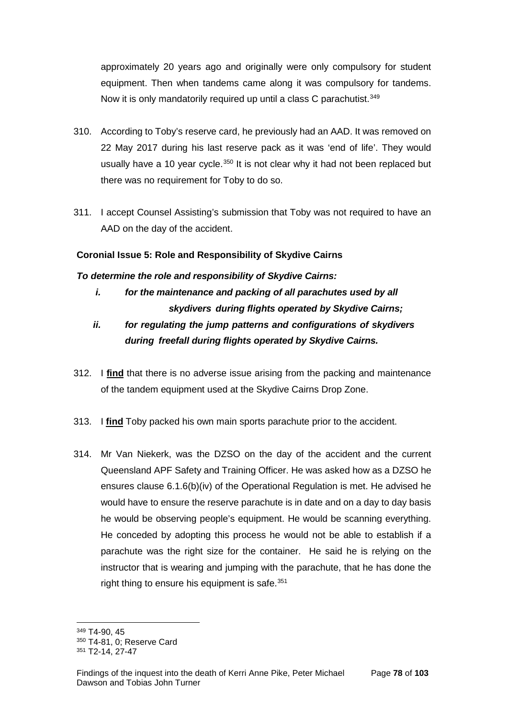approximately 20 years ago and originally were only compulsory for student equipment. Then when tandems came along it was compulsory for tandems. Now it is only mandatorily required up until a class C parachutist.<sup>[349](#page-80-0)</sup>

- 310. According to Toby's reserve card, he previously had an AAD. It was removed on 22 May 2017 during his last reserve pack as it was 'end of life'. They would usually have a 10 year cycle.<sup>[350](#page-80-1)</sup> It is not clear why it had not been replaced but there was no requirement for Toby to do so.
- 311. I accept Counsel Assisting's submission that Toby was not required to have an AAD on the day of the accident.

## **Coronial Issue 5: Role and Responsibility of Skydive Cairns**

## *To determine the role and responsibility of Skydive Cairns:*

- *i. for the maintenance and packing of all parachutes used by all skydivers during flights operated by Skydive Cairns;*
- *ii. for regulating the jump patterns and configurations of skydivers during freefall during flights operated by Skydive Cairns.*
- 312. I **find** that there is no adverse issue arising from the packing and maintenance of the tandem equipment used at the Skydive Cairns Drop Zone.
- 313. I **find** Toby packed his own main sports parachute prior to the accident.
- 314. Mr Van Niekerk, was the DZSO on the day of the accident and the current Queensland APF Safety and Training Officer. He was asked how as a DZSO he ensures clause 6.1.6(b)(iv) of the Operational Regulation is met. He advised he would have to ensure the reserve parachute is in date and on a day to day basis he would be observing people's equipment. He would be scanning everything. He conceded by adopting this process he would not be able to establish if a parachute was the right size for the container. He said he is relying on the instructor that is wearing and jumping with the parachute, that he has done the right thing to ensure his equipment is safe.<sup>[351](#page-80-2)</sup>

<span id="page-80-0"></span><sup>349</sup> T4-90, 45  $\overline{a}$ 

<span id="page-80-1"></span><sup>350</sup> T4-81, 0; Reserve Card

<span id="page-80-2"></span><sup>351</sup> T2-14, 27-47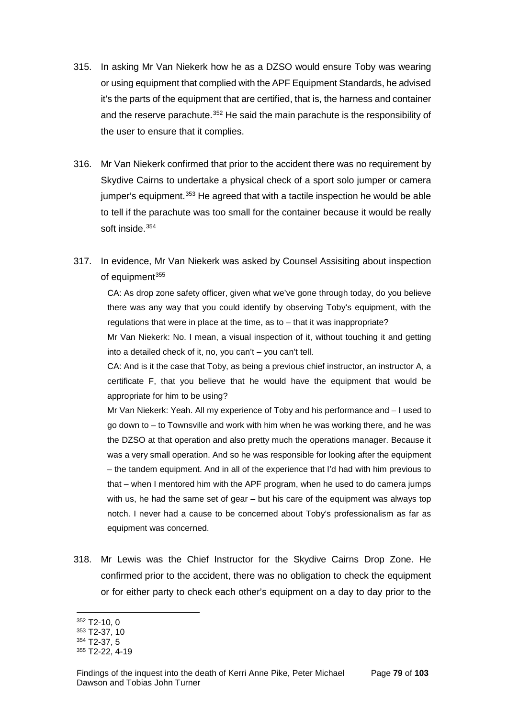- 315. In asking Mr Van Niekerk how he as a DZSO would ensure Toby was wearing or using equipment that complied with the APF Equipment Standards, he advised it's the parts of the equipment that are certified, that is, the harness and container and the reserve parachute.<sup>[352](#page-81-0)</sup> He said the main parachute is the responsibility of the user to ensure that it complies.
- 316. Mr Van Niekerk confirmed that prior to the accident there was no requirement by Skydive Cairns to undertake a physical check of a sport solo jumper or camera jumper's equipment.<sup>[353](#page-81-1)</sup> He agreed that with a tactile inspection he would be able to tell if the parachute was too small for the container because it would be really soft inside.[354](#page-81-2)
- 317. In evidence, Mr Van Niekerk was asked by Counsel Assisiting about inspection of equipment<sup>[355](#page-81-3)</sup>

CA: As drop zone safety officer, given what we've gone through today, do you believe there was any way that you could identify by observing Toby's equipment, with the regulations that were in place at the time, as to – that it was inappropriate?

Mr Van Niekerk: No. I mean, a visual inspection of it, without touching it and getting into a detailed check of it, no, you can't – you can't tell.

CA: And is it the case that Toby, as being a previous chief instructor, an instructor A, a certificate F, that you believe that he would have the equipment that would be appropriate for him to be using?

Mr Van Niekerk: Yeah. All my experience of Toby and his performance and – I used to go down to – to Townsville and work with him when he was working there, and he was the DZSO at that operation and also pretty much the operations manager. Because it was a very small operation. And so he was responsible for looking after the equipment – the tandem equipment. And in all of the experience that I'd had with him previous to that – when I mentored him with the APF program, when he used to do camera jumps with us, he had the same set of gear – but his care of the equipment was always top notch. I never had a cause to be concerned about Toby's professionalism as far as equipment was concerned.

318. Mr Lewis was the Chief Instructor for the Skydive Cairns Drop Zone. He confirmed prior to the accident, there was no obligation to check the equipment or for either party to check each other's equipment on a day to day prior to the

<sup>352</sup> T2-10, 0  $\overline{a}$ 

<span id="page-81-1"></span><span id="page-81-0"></span><sup>353</sup> T2-37, 10

<span id="page-81-2"></span><sup>354</sup> T2-37, 5

<span id="page-81-3"></span><sup>355</sup> T2-22, 4-19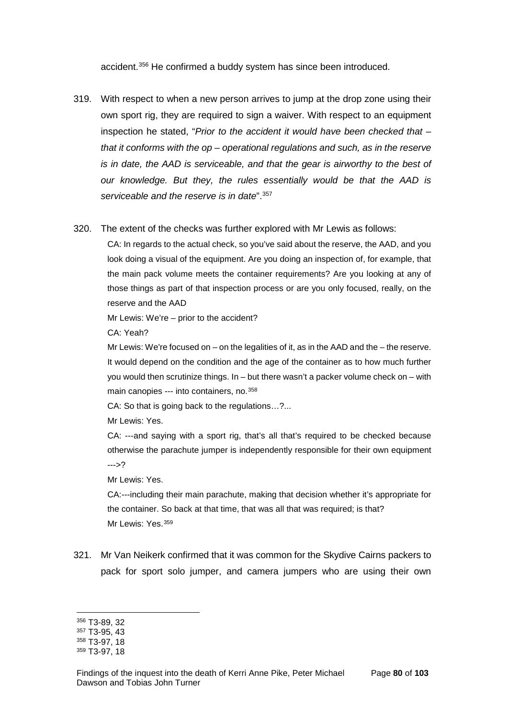accident. [356](#page-82-0) He confirmed a buddy system has since been introduced.

- 319. With respect to when a new person arrives to jump at the drop zone using their own sport rig, they are required to sign a waiver. With respect to an equipment inspection he stated, "*Prior to the accident it would have been checked that – that it conforms with the op – operational regulations and such, as in the reserve is in date, the AAD is serviceable, and that the gear is airworthy to the best of our knowledge. But they, the rules essentially would be that the AAD is serviceable and the reserve is in date*".[357](#page-82-1)
- 320. The extent of the checks was further explored with Mr Lewis as follows:

CA: In regards to the actual check, so you've said about the reserve, the AAD, and you look doing a visual of the equipment. Are you doing an inspection of, for example, that the main pack volume meets the container requirements? Are you looking at any of those things as part of that inspection process or are you only focused, really, on the reserve and the AAD

Mr Lewis: We're – prior to the accident?

CA: Yeah?

Mr Lewis: We're focused on – on the legalities of it, as in the AAD and the – the reserve. It would depend on the condition and the age of the container as to how much further you would then scrutinize things.  $In - but$  there wasn't a packer volume check on  $-$  with main canopies --- into containers, no. [358](#page-82-2)

CA: So that is going back to the regulations…?...

Mr Lewis: Yes.

CA: ---and saying with a sport rig, that's all that's required to be checked because otherwise the parachute jumper is independently responsible for their own equipment --->?

Mr Lewis: Yes.

CA:---including their main parachute, making that decision whether it's appropriate for the container. So back at that time, that was all that was required; is that? Mr Lewis: Yes. [359](#page-82-3)

321. Mr Van Neikerk confirmed that it was common for the Skydive Cairns packers to pack for sport solo jumper, and camera jumpers who are using their own

<sup>356</sup> T3-89, 32  $\overline{a}$ 

<span id="page-82-1"></span><span id="page-82-0"></span><sup>357</sup> T3-95, 43

<span id="page-82-2"></span><sup>358</sup> T3-97, 18

<span id="page-82-3"></span><sup>359</sup> T3-97, 18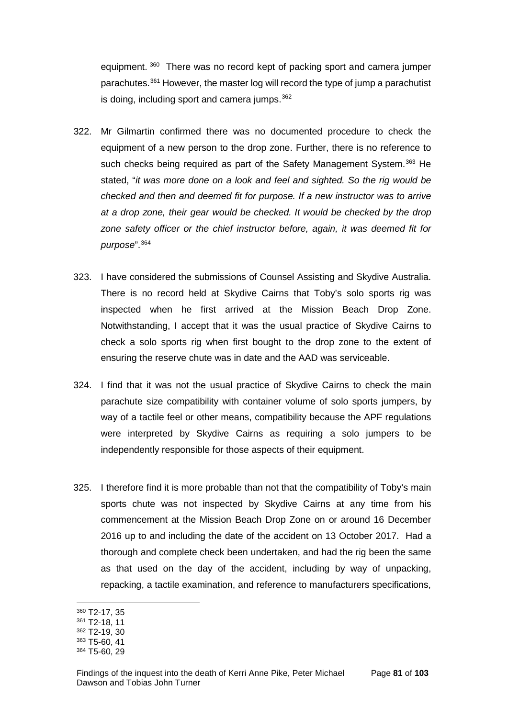equipment. [360](#page-83-0) There was no record kept of packing sport and camera jumper parachutes.[361](#page-83-1) However, the master log will record the type of jump a parachutist is doing, including sport and camera jumps.<sup>[362](#page-83-2)</sup>

- 322. Mr Gilmartin confirmed there was no documented procedure to check the equipment of a new person to the drop zone. Further, there is no reference to such checks being required as part of the Safety Management System.<sup>[363](#page-83-3)</sup> He stated, "*it was more done on a look and feel and sighted. So the rig would be checked and then and deemed fit for purpose. If a new instructor was to arrive at a drop zone, their gear would be checked. It would be checked by the drop zone safety officer or the chief instructor before, again, it was deemed fit for purpose*".[364](#page-83-4)
- 323. I have considered the submissions of Counsel Assisting and Skydive Australia. There is no record held at Skydive Cairns that Toby's solo sports rig was inspected when he first arrived at the Mission Beach Drop Zone. Notwithstanding, I accept that it was the usual practice of Skydive Cairns to check a solo sports rig when first bought to the drop zone to the extent of ensuring the reserve chute was in date and the AAD was serviceable.
- 324. I find that it was not the usual practice of Skydive Cairns to check the main parachute size compatibility with container volume of solo sports jumpers, by way of a tactile feel or other means, compatibility because the APF regulations were interpreted by Skydive Cairns as requiring a solo jumpers to be independently responsible for those aspects of their equipment.
- 325. I therefore find it is more probable than not that the compatibility of Toby's main sports chute was not inspected by Skydive Cairns at any time from his commencement at the Mission Beach Drop Zone on or around 16 December 2016 up to and including the date of the accident on 13 October 2017. Had a thorough and complete check been undertaken, and had the rig been the same as that used on the day of the accident, including by way of unpacking, repacking, a tactile examination, and reference to manufacturers specifications,

<span id="page-83-0"></span><sup>360</sup> T2-17, 35

<span id="page-83-1"></span><sup>361</sup> T2-18, 11

<span id="page-83-2"></span><sup>362</sup> T2-19, 30

<span id="page-83-3"></span><sup>363</sup> T5-60, 41

<span id="page-83-4"></span><sup>364</sup> T5-60, 29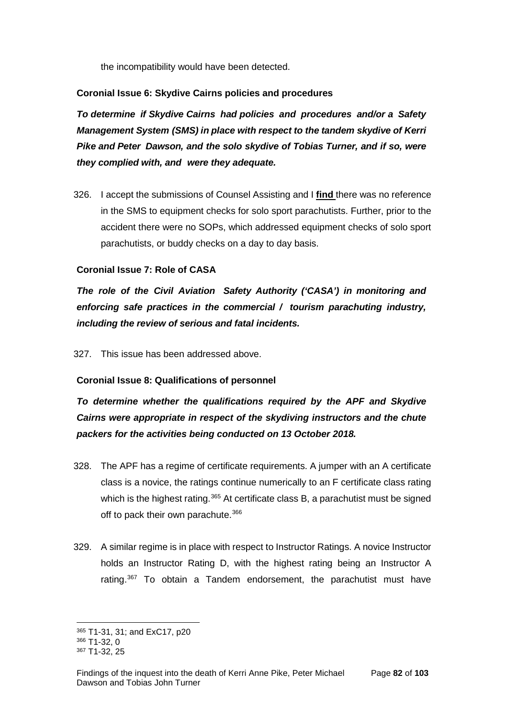the incompatibility would have been detected.

#### **Coronial Issue 6: Skydive Cairns policies and procedures**

*To determine if Skydive Cairns had policies and procedures and/or a Safety Management System (SMS) in place with respect to the tandem skydive of Kerri Pike and Peter Dawson, and the solo skydive of Tobias Turner, and if so, were they complied with, and were they adequate.*

326. I accept the submissions of Counsel Assisting and I **find** there was no reference in the SMS to equipment checks for solo sport parachutists. Further, prior to the accident there were no SOPs, which addressed equipment checks of solo sport parachutists, or buddy checks on a day to day basis.

## **Coronial Issue 7: Role of CASA**

*The role of the Civil Aviation Safety Authority ('CASA') in monitoring and enforcing safe practices in the commercial / tourism parachuting industry, including the review of serious and fatal incidents.*

327. This issue has been addressed above.

## **Coronial Issue 8: Qualifications of personnel**

*To determine whether the qualifications required by the APF and Skydive Cairns were appropriate in respect of the skydiving instructors and the chute packers for the activities being conducted on 13 October 2018.*

- 328. The APF has a regime of certificate requirements. A jumper with an A certificate class is a novice, the ratings continue numerically to an F certificate class rating which is the highest rating.<sup>[365](#page-84-0)</sup> At certificate class B, a parachutist must be signed off to pack their own parachute.<sup>[366](#page-84-1)</sup>
- 329. A similar regime is in place with respect to Instructor Ratings. A novice Instructor holds an Instructor Rating D, with the highest rating being an Instructor A rating.<sup>[367](#page-84-2)</sup> To obtain a Tandem endorsement, the parachutist must have

<sup>365</sup> T1-31, 31; and ExC17, p20  $\overline{a}$ 

<span id="page-84-1"></span><span id="page-84-0"></span><sup>366</sup> T1-32, 0

<span id="page-84-2"></span><sup>367</sup> T1-32, 25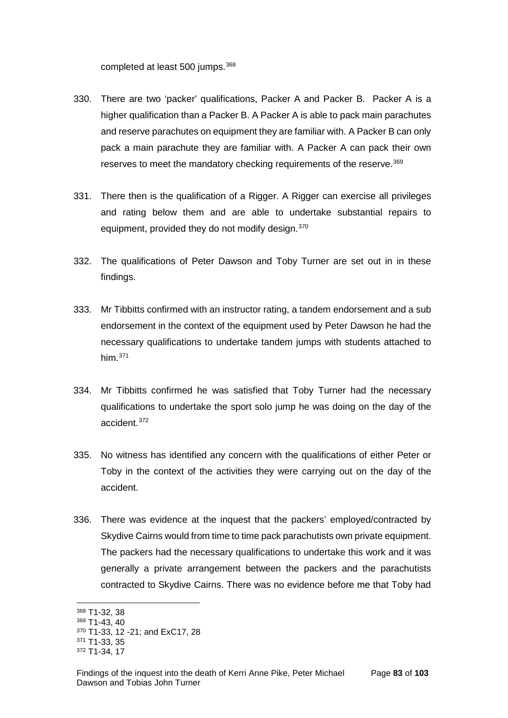completed at least 500 jumps.<sup>[368](#page-85-0)</sup>

- 330. There are two 'packer' qualifications, Packer A and Packer B. Packer A is a higher qualification than a Packer B. A Packer A is able to pack main parachutes and reserve parachutes on equipment they are familiar with. A Packer B can only pack a main parachute they are familiar with. A Packer A can pack their own reserves to meet the mandatory checking requirements of the reserve.<sup>[369](#page-85-1)</sup>
- 331. There then is the qualification of a Rigger. A Rigger can exercise all privileges and rating below them and are able to undertake substantial repairs to equipment, provided they do not modify design.<sup>[370](#page-85-2)</sup>
- 332. The qualifications of Peter Dawson and Toby Turner are set out in in these findings.
- 333. Mr Tibbitts confirmed with an instructor rating, a tandem endorsement and a sub endorsement in the context of the equipment used by Peter Dawson he had the necessary qualifications to undertake tandem jumps with students attached to him. $371$
- 334. Mr Tibbitts confirmed he was satisfied that Toby Turner had the necessary qualifications to undertake the sport solo jump he was doing on the day of the accident.[372](#page-85-4)
- 335. No witness has identified any concern with the qualifications of either Peter or Toby in the context of the activities they were carrying out on the day of the accident.
- 336. There was evidence at the inquest that the packers' employed/contracted by Skydive Cairns would from time to time pack parachutists own private equipment. The packers had the necessary qualifications to undertake this work and it was generally a private arrangement between the packers and the parachutists contracted to Skydive Cairns. There was no evidence before me that Toby had

<span id="page-85-0"></span><sup>368</sup> T1-32, 38

<span id="page-85-1"></span><sup>369</sup> T1-43, 40

<span id="page-85-2"></span><sup>370</sup> T1-33, 12 -21; and ExC17, 28

<span id="page-85-3"></span><sup>371</sup> T1-33, 35

<span id="page-85-4"></span><sup>372</sup> T1-34, 17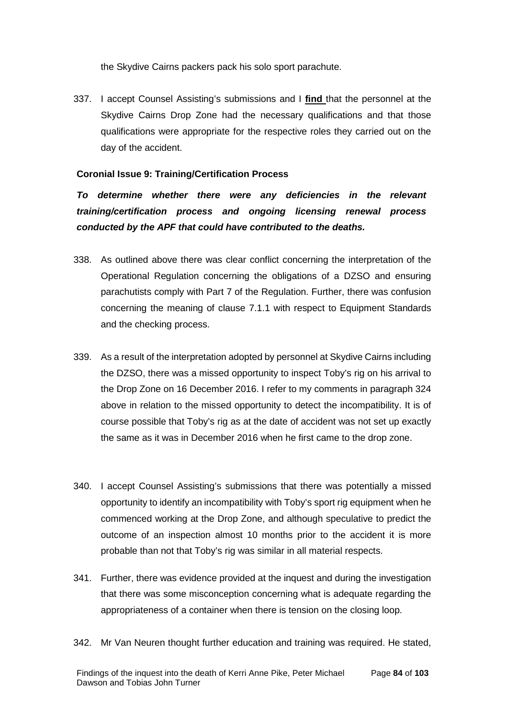the Skydive Cairns packers pack his solo sport parachute.

337. I accept Counsel Assisting's submissions and I **find** that the personnel at the Skydive Cairns Drop Zone had the necessary qualifications and that those qualifications were appropriate for the respective roles they carried out on the day of the accident.

#### **Coronial Issue 9: Training/Certification Process**

*To determine whether there were any deficiencies in the relevant training/certification process and ongoing licensing renewal process conducted by the APF that could have contributed to the deaths.*

- 338. As outlined above there was clear conflict concerning the interpretation of the Operational Regulation concerning the obligations of a DZSO and ensuring parachutists comply with Part 7 of the Regulation. Further, there was confusion concerning the meaning of clause 7.1.1 with respect to Equipment Standards and the checking process.
- 339. As a result of the interpretation adopted by personnel at Skydive Cairns including the DZSO, there was a missed opportunity to inspect Toby's rig on his arrival to the Drop Zone on 16 December 2016. I refer to my comments in paragraph 324 above in relation to the missed opportunity to detect the incompatibility. It is of course possible that Toby's rig as at the date of accident was not set up exactly the same as it was in December 2016 when he first came to the drop zone.
- 340. I accept Counsel Assisting's submissions that there was potentially a missed opportunity to identify an incompatibility with Toby's sport rig equipment when he commenced working at the Drop Zone, and although speculative to predict the outcome of an inspection almost 10 months prior to the accident it is more probable than not that Toby's rig was similar in all material respects.
- 341. Further, there was evidence provided at the inquest and during the investigation that there was some misconception concerning what is adequate regarding the appropriateness of a container when there is tension on the closing loop.
- 342. Mr Van Neuren thought further education and training was required. He stated,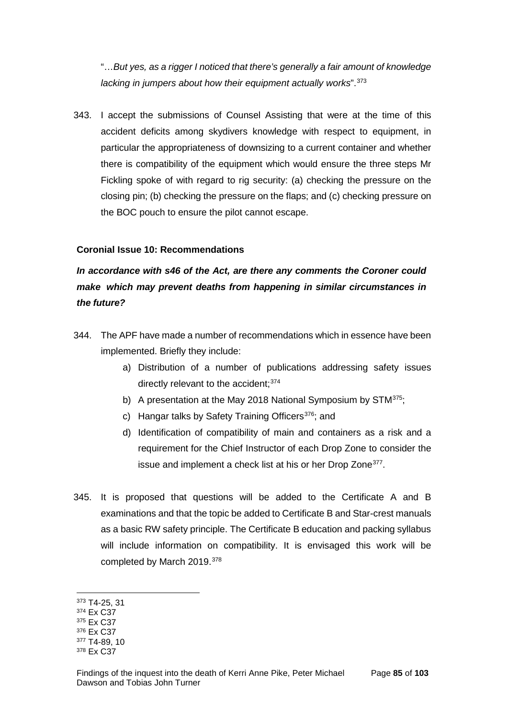"…*But yes, as a rigger I noticed that there's generally a fair amount of knowledge*  lacking in jumpers about how their equipment actually works".<sup>[373](#page-87-0)</sup>

343. I accept the submissions of Counsel Assisting that were at the time of this accident deficits among skydivers knowledge with respect to equipment, in particular the appropriateness of downsizing to a current container and whether there is compatibility of the equipment which would ensure the three steps Mr Fickling spoke of with regard to rig security: (a) checking the pressure on the closing pin; (b) checking the pressure on the flaps; and (c) checking pressure on the BOC pouch to ensure the pilot cannot escape.

## **Coronial Issue 10: Recommendations**

# *In accordance with s46 of the Act, are there any comments the Coroner could make which may prevent deaths from happening in similar circumstances in the future?*

- 344. The APF have made a number of recommendations which in essence have been implemented. Briefly they include:
	- a) Distribution of a number of publications addressing safety issues directly relevant to the accident: [374](#page-87-1)
	- b) A presentation at the May 2018 National Symposium by STM<sup>375</sup>;
	- c) Hangar talks by Safety Training Officers<sup>[376](#page-87-3)</sup>; and
	- d) Identification of compatibility of main and containers as a risk and a requirement for the Chief Instructor of each Drop Zone to consider the issue and implement a check list at his or her Drop Zone<sup>377</sup>.
- 345. It is proposed that questions will be added to the Certificate A and B examinations and that the topic be added to Certificate B and Star-crest manuals as a basic RW safety principle. The Certificate B education and packing syllabus will include information on compatibility. It is envisaged this work will be completed by March 2019.[378](#page-87-5)

<sup>373</sup> T4-25, 31  $\overline{a}$ 

<span id="page-87-1"></span><span id="page-87-0"></span><sup>374</sup> Ex C37

<span id="page-87-2"></span><sup>375</sup> Ex C37

<span id="page-87-3"></span><sup>376</sup> Ex C37

<span id="page-87-5"></span><span id="page-87-4"></span><sup>377</sup> T4-89, 10 <sup>378</sup> Ex C37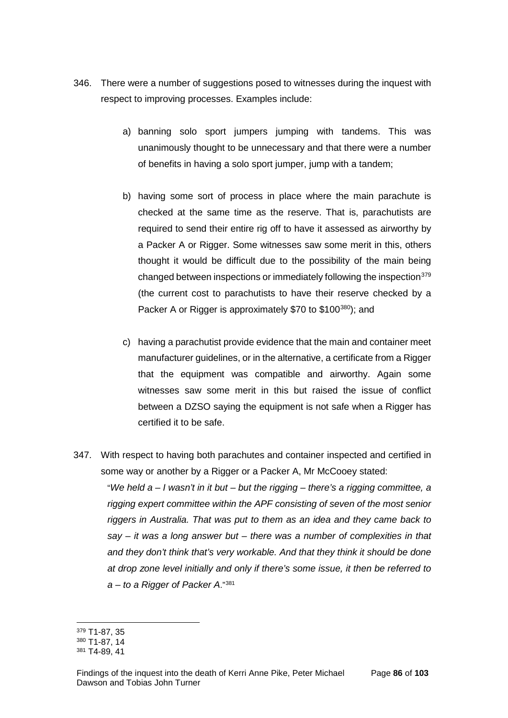- 346. There were a number of suggestions posed to witnesses during the inquest with respect to improving processes. Examples include:
	- a) banning solo sport jumpers jumping with tandems. This was unanimously thought to be unnecessary and that there were a number of benefits in having a solo sport jumper, jump with a tandem;
	- b) having some sort of process in place where the main parachute is checked at the same time as the reserve. That is, parachutists are required to send their entire rig off to have it assessed as airworthy by a Packer A or Rigger. Some witnesses saw some merit in this, others thought it would be difficult due to the possibility of the main being changed between inspections or immediately following the inspection<sup>[379](#page-88-0)</sup> (the current cost to parachutists to have their reserve checked by a Packer A or Rigger is approximately \$70 to \$100<sup>380</sup>); and
	- c) having a parachutist provide evidence that the main and container meet manufacturer guidelines, or in the alternative, a certificate from a Rigger that the equipment was compatible and airworthy. Again some witnesses saw some merit in this but raised the issue of conflict between a DZSO saying the equipment is not safe when a Rigger has certified it to be safe.
- 347. With respect to having both parachutes and container inspected and certified in some way or another by a Rigger or a Packer A, Mr McCooey stated:

"*We held a – I wasn't in it but – but the rigging – there's a rigging committee, a rigging expert committee within the APF consisting of seven of the most senior riggers in Australia. That was put to them as an idea and they came back to say – it was a long answer but – there was a number of complexities in that and they don't think that's very workable. And that they think it should be done at drop zone level initially and only if there's some issue, it then be referred to a – to a Rigger of Packer A*."[381](#page-88-2)

<sup>379</sup> T1-87, 35  $\overline{a}$ 

<span id="page-88-1"></span><span id="page-88-0"></span><sup>380</sup> T1-87, 14

<span id="page-88-2"></span><sup>381</sup> T4-89, 41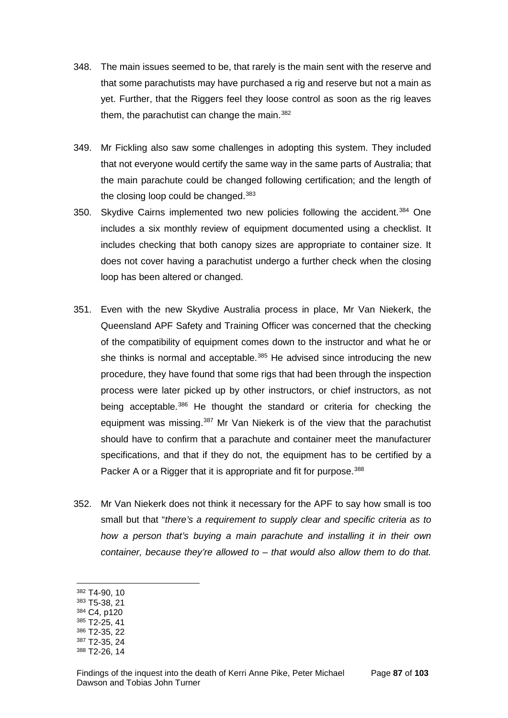- 348. The main issues seemed to be, that rarely is the main sent with the reserve and that some parachutists may have purchased a rig and reserve but not a main as yet. Further, that the Riggers feel they loose control as soon as the rig leaves them, the parachutist can change the main. $382$
- 349. Mr Fickling also saw some challenges in adopting this system. They included that not everyone would certify the same way in the same parts of Australia; that the main parachute could be changed following certification; and the length of the closing loop could be changed.<sup>[383](#page-89-1)</sup>
- 350. Skydive Cairns implemented two new policies following the accident.<sup>[384](#page-89-2)</sup> One includes a six monthly review of equipment documented using a checklist. It includes checking that both canopy sizes are appropriate to container size. It does not cover having a parachutist undergo a further check when the closing loop has been altered or changed.
- 351. Even with the new Skydive Australia process in place, Mr Van Niekerk, the Queensland APF Safety and Training Officer was concerned that the checking of the compatibility of equipment comes down to the instructor and what he or she thinks is normal and acceptable.<sup>[385](#page-89-3)</sup> He advised since introducing the new procedure, they have found that some rigs that had been through the inspection process were later picked up by other instructors, or chief instructors, as not being acceptable.<sup>[386](#page-89-4)</sup> He thought the standard or criteria for checking the equipment was missing.<sup>[387](#page-89-5)</sup> Mr Van Niekerk is of the view that the parachutist should have to confirm that a parachute and container meet the manufacturer specifications, and that if they do not, the equipment has to be certified by a Packer A or a Rigger that it is appropriate and fit for purpose.<sup>[388](#page-89-6)</sup>
- 352. Mr Van Niekerk does not think it necessary for the APF to say how small is too small but that "*there's a requirement to supply clear and specific criteria as to how a person that's buying a main parachute and installing it in their own container, because they're allowed to – that would also allow them to do that.*
- <span id="page-89-0"></span><sup>382</sup> T4-90, 10

- <span id="page-89-1"></span><sup>383</sup> T5-38, 21
- <span id="page-89-2"></span><sup>384</sup> C4, p120
- <span id="page-89-3"></span><sup>385</sup> T2-25, 41 <sup>386</sup> T2-35, 22
- <span id="page-89-4"></span><sup>387</sup> T2-35, 24
- <span id="page-89-5"></span>
- <span id="page-89-6"></span><sup>388</sup> T2-26, 14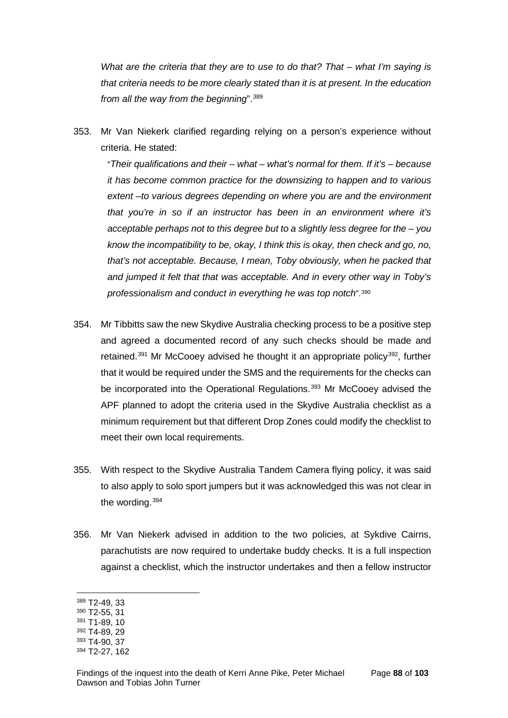*What are the criteria that they are to use to do that? That – what I'm saying is that criteria needs to be more clearly stated than it is at present. In the education from all the way from the beginning*".[389](#page-90-0)

353. Mr Van Niekerk clarified regarding relying on a person's experience without criteria. He stated:

"*Their qualifications and their – what – what's normal for them. If it's – because it has become common practice for the downsizing to happen and to various extent –to various degrees depending on where you are and the environment that you're in so if an instructor has been in an environment where it's acceptable perhaps not to this degree but to a slightly less degree for the – you know the incompatibility to be, okay, I think this is okay, then check and go, no, that's not acceptable. Because, I mean, Toby obviously, when he packed that and jumped it felt that that was acceptable. And in every other way in Toby's professionalism and conduct in everything he was top notch*".[390](#page-90-1)

- 354. Mr Tibbitts saw the new Skydive Australia checking process to be a positive step and agreed a documented record of any such checks should be made and retained.<sup>[391](#page-90-2)</sup> Mr McCooey advised he thought it an appropriate policy<sup>392</sup>, further that it would be required under the SMS and the requirements for the checks can be incorporated into the Operational Regulations.<sup>[393](#page-90-4)</sup> Mr McCooey advised the APF planned to adopt the criteria used in the Skydive Australia checklist as a minimum requirement but that different Drop Zones could modify the checklist to meet their own local requirements.
- 355. With respect to the Skydive Australia Tandem Camera flying policy, it was said to also apply to solo sport jumpers but it was acknowledged this was not clear in the wording.[394](#page-90-5)
- 356. Mr Van Niekerk advised in addition to the two policies, at Sykdive Cairns, parachutists are now required to undertake buddy checks. It is a full inspection against a checklist, which the instructor undertakes and then a fellow instructor

<span id="page-90-0"></span><sup>389</sup> T2-49, 33

<span id="page-90-1"></span><sup>390</sup> T2-55, 31

<span id="page-90-2"></span><sup>391</sup> T1-89, 10

<span id="page-90-3"></span><sup>392</sup> T4-89, 29

<span id="page-90-4"></span><sup>393</sup> T4-90, 37

<span id="page-90-5"></span><sup>394</sup> T2-27, 162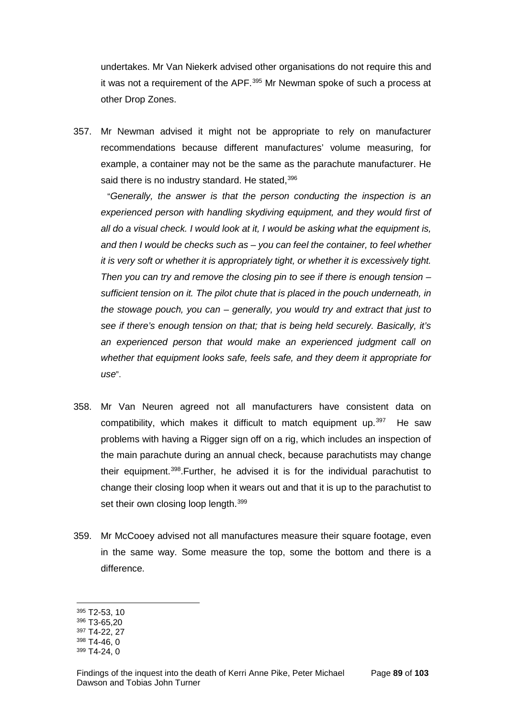undertakes. Mr Van Niekerk advised other organisations do not require this and it was not a requirement of the APF.<sup>[395](#page-91-0)</sup> Mr Newman spoke of such a process at other Drop Zones.

357. Mr Newman advised it might not be appropriate to rely on manufacturer recommendations because different manufactures' volume measuring, for example, a container may not be the same as the parachute manufacturer. He said there is no industry standard. He stated, [396](#page-91-1)

"*Generally, the answer is that the person conducting the inspection is an experienced person with handling skydiving equipment, and they would first of all do a visual check. I would look at it, I would be asking what the equipment is, and then I would be checks such as – you can feel the container, to feel whether it is very soft or whether it is appropriately tight, or whether it is excessively tight. Then you can try and remove the closing pin to see if there is enough tension – sufficient tension on it. The pilot chute that is placed in the pouch underneath, in the stowage pouch, you can – generally, you would try and extract that just to see if there's enough tension on that; that is being held securely. Basically, it's an experienced person that would make an experienced judgment call on whether that equipment looks safe, feels safe, and they deem it appropriate for use*".

- 358. Mr Van Neuren agreed not all manufacturers have consistent data on compatibility, which makes it difficult to match equipment up. $397$  He saw problems with having a Rigger sign off on a rig, which includes an inspection of the main parachute during an annual check, because parachutists may change their equipment.[398.](#page-91-3)Further, he advised it is for the individual parachutist to change their closing loop when it wears out and that it is up to the parachutist to set their own closing loop length.<sup>[399](#page-91-4)</sup>
- 359. Mr McCooey advised not all manufactures measure their square footage, even in the same way. Some measure the top, some the bottom and there is a difference.

<span id="page-91-0"></span><sup>395</sup> T2-53, 10

<span id="page-91-1"></span><sup>396</sup> T3-65,20

<span id="page-91-2"></span><sup>397</sup> T4-22, 27

<span id="page-91-3"></span><sup>398</sup> T4-46, 0

<span id="page-91-4"></span><sup>399</sup> T4-24, 0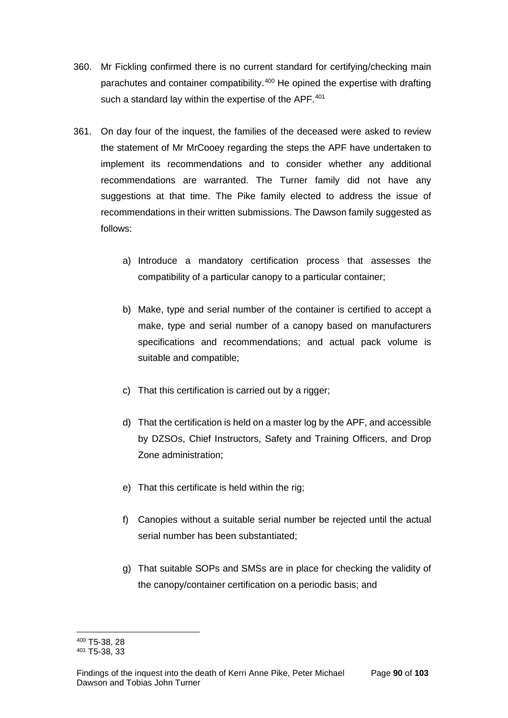- 360. Mr Fickling confirmed there is no current standard for certifying/checking main parachutes and container compatibility.<sup>[400](#page-92-0)</sup> He opined the expertise with drafting such a standard lay within the expertise of the APF.<sup>[401](#page-92-1)</sup>
- 361. On day four of the inquest, the families of the deceased were asked to review the statement of Mr MrCooey regarding the steps the APF have undertaken to implement its recommendations and to consider whether any additional recommendations are warranted. The Turner family did not have any suggestions at that time. The Pike family elected to address the issue of recommendations in their written submissions. The Dawson family suggested as follows:
	- a) Introduce a mandatory certification process that assesses the compatibility of a particular canopy to a particular container;
	- b) Make, type and serial number of the container is certified to accept a make, type and serial number of a canopy based on manufacturers specifications and recommendations; and actual pack volume is suitable and compatible;
	- c) That this certification is carried out by a rigger;
	- d) That the certification is held on a master log by the APF, and accessible by DZSOs, Chief Instructors, Safety and Training Officers, and Drop Zone administration;
	- e) That this certificate is held within the rig;
	- f) Canopies without a suitable serial number be rejected until the actual serial number has been substantiated;
	- g) That suitable SOPs and SMSs are in place for checking the validity of the canopy/container certification on a periodic basis; and

<sup>400</sup> T5-38, 28  $\overline{a}$ 

<span id="page-92-1"></span><span id="page-92-0"></span><sup>401</sup> T5-38, 33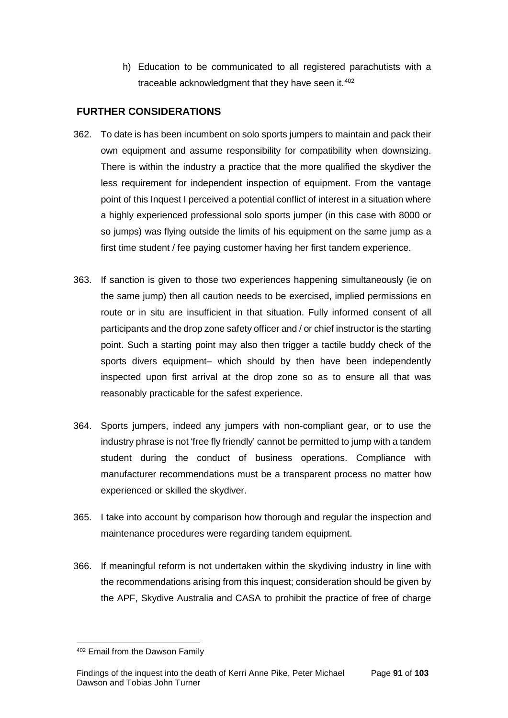h) Education to be communicated to all registered parachutists with a traceable acknowledgment that they have seen it. $402$ 

# **FURTHER CONSIDERATIONS**

- 362. To date is has been incumbent on solo sports jumpers to maintain and pack their own equipment and assume responsibility for compatibility when downsizing. There is within the industry a practice that the more qualified the skydiver the less requirement for independent inspection of equipment. From the vantage point of this Inquest I perceived a potential conflict of interest in a situation where a highly experienced professional solo sports jumper (in this case with 8000 or so jumps) was flying outside the limits of his equipment on the same jump as a first time student / fee paying customer having her first tandem experience.
- 363. If sanction is given to those two experiences happening simultaneously (ie on the same jump) then all caution needs to be exercised, implied permissions en route or in situ are insufficient in that situation. Fully informed consent of all participants and the drop zone safety officer and / or chief instructor is the starting point. Such a starting point may also then trigger a tactile buddy check of the sports divers equipment– which should by then have been independently inspected upon first arrival at the drop zone so as to ensure all that was reasonably practicable for the safest experience.
- 364. Sports jumpers, indeed any jumpers with non-compliant gear, or to use the industry phrase is not 'free fly friendly' cannot be permitted to jump with a tandem student during the conduct of business operations. Compliance with manufacturer recommendations must be a transparent process no matter how experienced or skilled the skydiver.
- 365. I take into account by comparison how thorough and regular the inspection and maintenance procedures were regarding tandem equipment.
- 366. If meaningful reform is not undertaken within the skydiving industry in line with the recommendations arising from this inquest; consideration should be given by the APF, Skydive Australia and CASA to prohibit the practice of free of charge

<span id="page-93-0"></span><sup>402</sup> Email from the Dawson Family  $\overline{a}$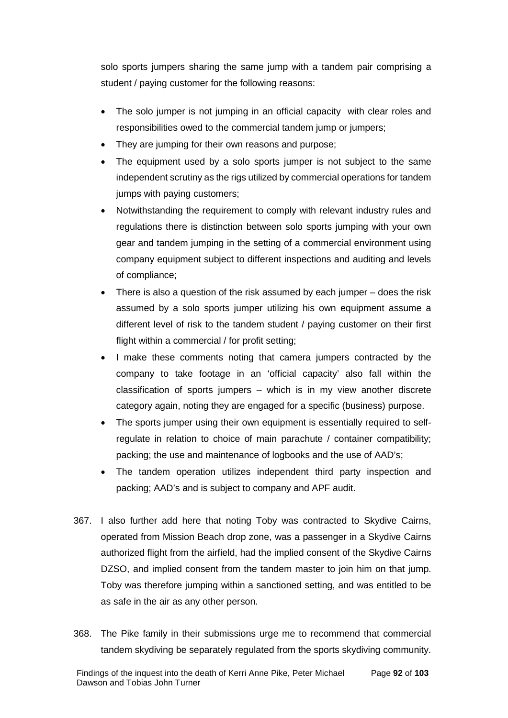solo sports jumpers sharing the same jump with a tandem pair comprising a student / paying customer for the following reasons:

- The solo jumper is not jumping in an official capacity with clear roles and responsibilities owed to the commercial tandem jump or jumpers;
- They are jumping for their own reasons and purpose;
- The equipment used by a solo sports jumper is not subject to the same independent scrutiny as the rigs utilized by commercial operations for tandem jumps with paying customers;
- Notwithstanding the requirement to comply with relevant industry rules and regulations there is distinction between solo sports jumping with your own gear and tandem jumping in the setting of a commercial environment using company equipment subject to different inspections and auditing and levels of compliance;
- There is also a question of the risk assumed by each jumper does the risk assumed by a solo sports jumper utilizing his own equipment assume a different level of risk to the tandem student / paying customer on their first flight within a commercial / for profit setting;
- I make these comments noting that camera jumpers contracted by the company to take footage in an 'official capacity' also fall within the classification of sports jumpers – which is in my view another discrete category again, noting they are engaged for a specific (business) purpose.
- The sports jumper using their own equipment is essentially required to selfregulate in relation to choice of main parachute / container compatibility; packing; the use and maintenance of logbooks and the use of AAD's;
- The tandem operation utilizes independent third party inspection and packing; AAD's and is subject to company and APF audit.
- 367. I also further add here that noting Toby was contracted to Skydive Cairns, operated from Mission Beach drop zone, was a passenger in a Skydive Cairns authorized flight from the airfield, had the implied consent of the Skydive Cairns DZSO, and implied consent from the tandem master to join him on that jump. Toby was therefore jumping within a sanctioned setting, and was entitled to be as safe in the air as any other person.
- 368. The Pike family in their submissions urge me to recommend that commercial tandem skydiving be separately regulated from the sports skydiving community.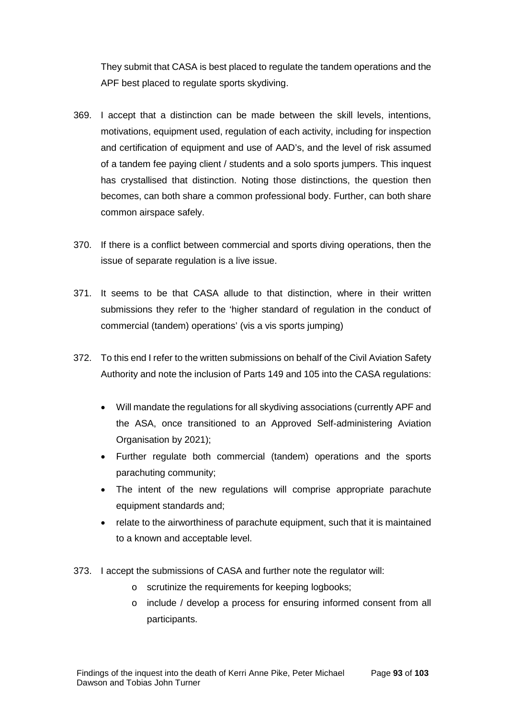They submit that CASA is best placed to regulate the tandem operations and the APF best placed to regulate sports skydiving.

- 369. I accept that a distinction can be made between the skill levels, intentions, motivations, equipment used, regulation of each activity, including for inspection and certification of equipment and use of AAD's, and the level of risk assumed of a tandem fee paying client / students and a solo sports jumpers. This inquest has crystallised that distinction. Noting those distinctions, the question then becomes, can both share a common professional body. Further, can both share common airspace safely.
- 370. If there is a conflict between commercial and sports diving operations, then the issue of separate regulation is a live issue.
- 371. It seems to be that CASA allude to that distinction, where in their written submissions they refer to the 'higher standard of regulation in the conduct of commercial (tandem) operations' (vis a vis sports jumping)
- 372. To this end I refer to the written submissions on behalf of the Civil Aviation Safety Authority and note the inclusion of Parts 149 and 105 into the CASA regulations:
	- Will mandate the regulations for all skydiving associations (currently APF and the ASA, once transitioned to an Approved Self-administering Aviation Organisation by 2021);
	- Further regulate both commercial (tandem) operations and the sports parachuting community;
	- The intent of the new regulations will comprise appropriate parachute equipment standards and;
	- relate to the airworthiness of parachute equipment, such that it is maintained to a known and acceptable level.
- 373. I accept the submissions of CASA and further note the regulator will:
	- o scrutinize the requirements for keeping logbooks;
	- o include / develop a process for ensuring informed consent from all participants.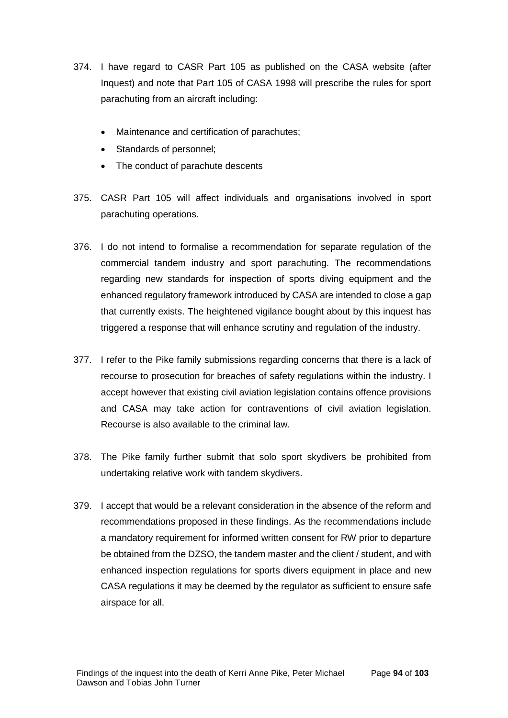- 374. I have regard to CASR Part 105 as published on the CASA website (after Inquest) and note that Part 105 of CASA 1998 will prescribe the rules for sport parachuting from an aircraft including:
	- Maintenance and certification of parachutes;
	- Standards of personnel;
	- The conduct of parachute descents
- 375. CASR Part 105 will affect individuals and organisations involved in sport parachuting operations.
- 376. I do not intend to formalise a recommendation for separate regulation of the commercial tandem industry and sport parachuting. The recommendations regarding new standards for inspection of sports diving equipment and the enhanced regulatory framework introduced by CASA are intended to close a gap that currently exists. The heightened vigilance bought about by this inquest has triggered a response that will enhance scrutiny and regulation of the industry.
- 377. I refer to the Pike family submissions regarding concerns that there is a lack of recourse to prosecution for breaches of safety regulations within the industry. I accept however that existing civil aviation legislation contains offence provisions and CASA may take action for contraventions of civil aviation legislation. Recourse is also available to the criminal law.
- 378. The Pike family further submit that solo sport skydivers be prohibited from undertaking relative work with tandem skydivers.
- 379. I accept that would be a relevant consideration in the absence of the reform and recommendations proposed in these findings. As the recommendations include a mandatory requirement for informed written consent for RW prior to departure be obtained from the DZSO, the tandem master and the client / student, and with enhanced inspection regulations for sports divers equipment in place and new CASA regulations it may be deemed by the regulator as sufficient to ensure safe airspace for all.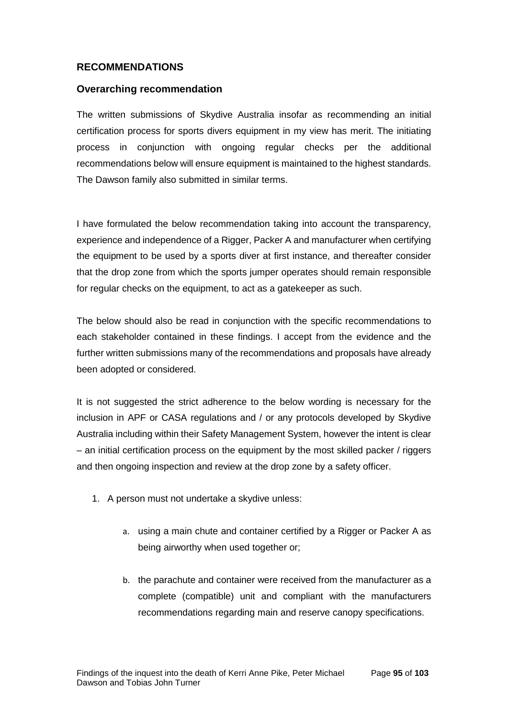# **RECOMMENDATIONS**

#### **Overarching recommendation**

The written submissions of Skydive Australia insofar as recommending an initial certification process for sports divers equipment in my view has merit. The initiating process in conjunction with ongoing regular checks per the additional recommendations below will ensure equipment is maintained to the highest standards. The Dawson family also submitted in similar terms.

I have formulated the below recommendation taking into account the transparency, experience and independence of a Rigger, Packer A and manufacturer when certifying the equipment to be used by a sports diver at first instance, and thereafter consider that the drop zone from which the sports jumper operates should remain responsible for regular checks on the equipment, to act as a gatekeeper as such.

The below should also be read in conjunction with the specific recommendations to each stakeholder contained in these findings. I accept from the evidence and the further written submissions many of the recommendations and proposals have already been adopted or considered.

It is not suggested the strict adherence to the below wording is necessary for the inclusion in APF or CASA regulations and / or any protocols developed by Skydive Australia including within their Safety Management System, however the intent is clear – an initial certification process on the equipment by the most skilled packer / riggers and then ongoing inspection and review at the drop zone by a safety officer.

- 1. A person must not undertake a skydive unless:
	- a. using a main chute and container certified by a Rigger or Packer A as being airworthy when used together or;
	- b. the parachute and container were received from the manufacturer as a complete (compatible) unit and compliant with the manufacturers recommendations regarding main and reserve canopy specifications.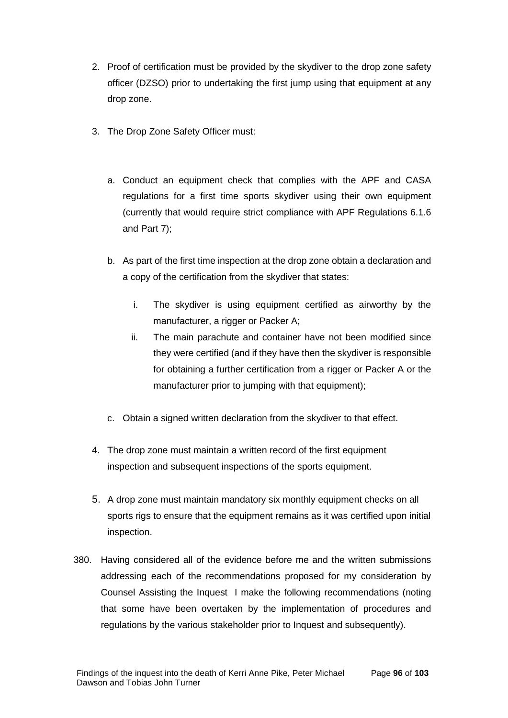- 2. Proof of certification must be provided by the skydiver to the drop zone safety officer (DZSO) prior to undertaking the first jump using that equipment at any drop zone.
- 3. The Drop Zone Safety Officer must:
	- a. Conduct an equipment check that complies with the APF and CASA regulations for a first time sports skydiver using their own equipment (currently that would require strict compliance with APF Regulations 6.1.6 and Part 7);
	- b. As part of the first time inspection at the drop zone obtain a declaration and a copy of the certification from the skydiver that states:
		- i. The skydiver is using equipment certified as airworthy by the manufacturer, a rigger or Packer A;
		- ii. The main parachute and container have not been modified since they were certified (and if they have then the skydiver is responsible for obtaining a further certification from a rigger or Packer A or the manufacturer prior to jumping with that equipment);
	- c. Obtain a signed written declaration from the skydiver to that effect.
- 4. The drop zone must maintain a written record of the first equipment inspection and subsequent inspections of the sports equipment.
- 5. A drop zone must maintain mandatory six monthly equipment checks on all sports rigs to ensure that the equipment remains as it was certified upon initial inspection.
- 380. Having considered all of the evidence before me and the written submissions addressing each of the recommendations proposed for my consideration by Counsel Assisting the Inquest I make the following recommendations (noting that some have been overtaken by the implementation of procedures and regulations by the various stakeholder prior to Inquest and subsequently).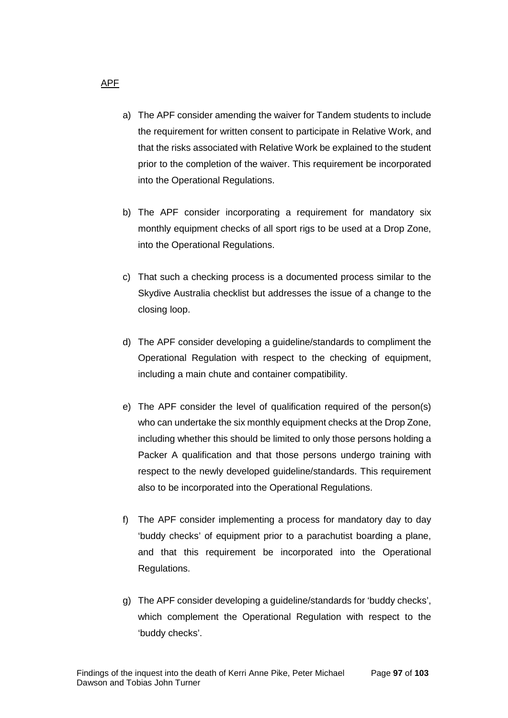- a) The APF consider amending the waiver for Tandem students to include the requirement for written consent to participate in Relative Work, and that the risks associated with Relative Work be explained to the student prior to the completion of the waiver. This requirement be incorporated into the Operational Regulations.
- b) The APF consider incorporating a requirement for mandatory six monthly equipment checks of all sport rigs to be used at a Drop Zone, into the Operational Regulations.
- c) That such a checking process is a documented process similar to the Skydive Australia checklist but addresses the issue of a change to the closing loop.
- d) The APF consider developing a guideline/standards to compliment the Operational Regulation with respect to the checking of equipment, including a main chute and container compatibility.
- e) The APF consider the level of qualification required of the person(s) who can undertake the six monthly equipment checks at the Drop Zone, including whether this should be limited to only those persons holding a Packer A qualification and that those persons undergo training with respect to the newly developed guideline/standards. This requirement also to be incorporated into the Operational Regulations.
- f) The APF consider implementing a process for mandatory day to day 'buddy checks' of equipment prior to a parachutist boarding a plane, and that this requirement be incorporated into the Operational Regulations.
- g) The APF consider developing a guideline/standards for 'buddy checks', which complement the Operational Regulation with respect to the 'buddy checks'.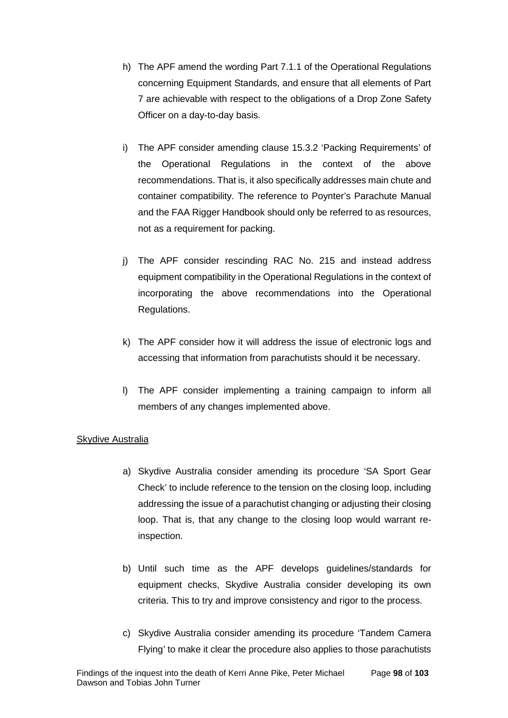- h) The APF amend the wording Part 7.1.1 of the Operational Regulations concerning Equipment Standards, and ensure that all elements of Part 7 are achievable with respect to the obligations of a Drop Zone Safety Officer on a day-to-day basis.
- i) The APF consider amending clause 15.3.2 'Packing Requirements' of the Operational Regulations in the context of the above recommendations. That is, it also specifically addresses main chute and container compatibility. The reference to Poynter's Parachute Manual and the FAA Rigger Handbook should only be referred to as resources, not as a requirement for packing.
- j) The APF consider rescinding RAC No. 215 and instead address equipment compatibility in the Operational Regulations in the context of incorporating the above recommendations into the Operational Regulations.
- k) The APF consider how it will address the issue of electronic logs and accessing that information from parachutists should it be necessary.
- l) The APF consider implementing a training campaign to inform all members of any changes implemented above.

#### Skydive Australia

- a) Skydive Australia consider amending its procedure 'SA Sport Gear Check' to include reference to the tension on the closing loop, including addressing the issue of a parachutist changing or adjusting their closing loop. That is, that any change to the closing loop would warrant reinspection.
- b) Until such time as the APF develops guidelines/standards for equipment checks, Skydive Australia consider developing its own criteria. This to try and improve consistency and rigor to the process.
- c) Skydive Australia consider amending its procedure 'Tandem Camera Flying' to make it clear the procedure also applies to those parachutists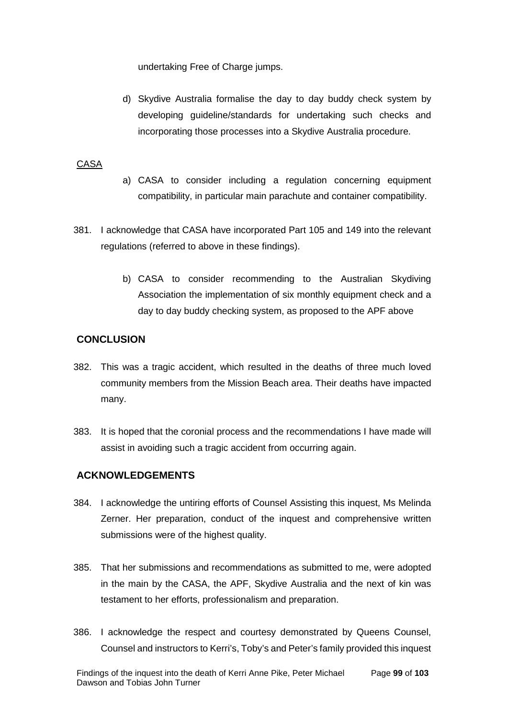undertaking Free of Charge jumps.

d) Skydive Australia formalise the day to day buddy check system by developing guideline/standards for undertaking such checks and incorporating those processes into a Skydive Australia procedure.

## CASA

- a) CASA to consider including a regulation concerning equipment compatibility, in particular main parachute and container compatibility.
- 381. I acknowledge that CASA have incorporated Part 105 and 149 into the relevant regulations (referred to above in these findings).
	- b) CASA to consider recommending to the Australian Skydiving Association the implementation of six monthly equipment check and a day to day buddy checking system, as proposed to the APF above

# **CONCLUSION**

- 382. This was a tragic accident, which resulted in the deaths of three much loved community members from the Mission Beach area. Their deaths have impacted many.
- 383. It is hoped that the coronial process and the recommendations I have made will assist in avoiding such a tragic accident from occurring again.

## **ACKNOWLEDGEMENTS**

- 384. I acknowledge the untiring efforts of Counsel Assisting this inquest, Ms Melinda Zerner. Her preparation, conduct of the inquest and comprehensive written submissions were of the highest quality.
- 385. That her submissions and recommendations as submitted to me, were adopted in the main by the CASA, the APF, Skydive Australia and the next of kin was testament to her efforts, professionalism and preparation.
- 386. I acknowledge the respect and courtesy demonstrated by Queens Counsel, Counsel and instructors to Kerri's, Toby's and Peter's family provided this inquest